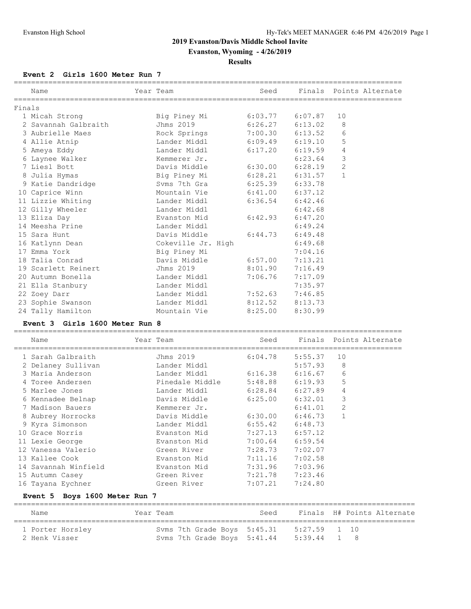**Evanston, Wyoming - 4/26/2019**

# **Results**

#### **Event 2 Girls 1600 Meter Run 7**

|        | Name                 | Year Team                    | Seed    |         |                | Finals Points Alternate |
|--------|----------------------|------------------------------|---------|---------|----------------|-------------------------|
| Finals |                      |                              |         |         |                |                         |
|        | 1 Micah Strong       |                              |         |         | 10             |                         |
|        | 2 Savannah Galbraith | Jhms 2019                    | 6:26.27 | 6:13.02 | 8              |                         |
|        | 3 Aubrielle Maes     | Rock Springs 7:00.30         |         | 6:13.52 | 6              |                         |
|        | 4 Allie Atnip        | Lander Middl 6:09.49 6:19.10 |         |         | 5              |                         |
|        | 5 Ameya Eddy         | Lander Middl 6:17.20         |         | 6:19.59 | $\overline{4}$ |                         |
|        | 6 Laynee Walker      | Kemmerer Jr.                 |         | 6:23.64 | 3              |                         |
|        | 7 Liesl Bott         | Davis Middle 6:30.00         |         | 6:28.19 | $\overline{c}$ |                         |
|        | 8 Julia Hymas        | Big Piney Mi 6:28.21         |         | 6:31.57 | $\mathbf{1}$   |                         |
|        | 9 Katie Dandridge    | Syms 7th Gra 6:25.39         |         | 6:33.78 |                |                         |
|        | 10 Caprice Winn      | Mountain Vie 6:41.00 6:37.12 |         |         |                |                         |
|        | 11 Lizzie Whiting    | Lander Middl 6:36.54         |         | 6:42.46 |                |                         |
|        | 12 Gilly Wheeler     | Lander Middl                 |         | 6:42.68 |                |                         |
|        | 13 Eliza Day         | Evanston Mid                 | 6:42.93 | 6:47.20 |                |                         |
|        | 14 Meesha Prine      | Lander Middl                 |         | 6:49.24 |                |                         |
|        | 15 Sara Hunt         | Davis Middle 6:44.73         |         | 6:49.48 |                |                         |
|        | 16 Katlynn Dean      | Cokeville Jr. High           |         | 6:49.68 |                |                         |
|        | 17 Emma York         | Big Piney Mi                 |         | 7:04.16 |                |                         |
|        | 18 Talia Conrad      | Davis Middle 6:57.00         |         | 7:13.21 |                |                         |
|        | 19 Scarlett Reinert  | Jhms 2019                    | 8:01.90 | 7:16.49 |                |                         |
|        | 20 Autumn Bonella    | Lander Middl                 | 7:06.76 | 7:17.09 |                |                         |
|        | 21 Ella Stanbury     | Lander Middl                 |         | 7:35.97 |                |                         |
|        | 22 Zoey Darr         | Lander Middl 7:52.63         |         | 7:46.85 |                |                         |
|        | 23 Sophie Swanson    | Lander Middl 8:12.52         |         | 8:13.73 |                |                         |
|        | 24 Tally Hamilton    | Mountain Vie                 | 8:25.00 | 8:30.99 |                |                         |

#### **Event 3 Girls 1600 Meter Run 8**

| Name                 | Year Team                                  |                     | Seed Finals Points Alternate |                |  |
|----------------------|--------------------------------------------|---------------------|------------------------------|----------------|--|
| 1 Sarah Galbraith    | Jhms 2019                                  | 6:04.78             | 5:55.37                      | 10             |  |
| 2 Delaney Sullivan   | Lander Middl                               |                     | 5:57.93                      | 8              |  |
| 3 Maria Anderson     | Lander Middl                               | $6:16.38$ $6:16.67$ |                              | 6              |  |
| 4 Toree Andersen     | Pinedale Middle        5:48.88     6:19.93 |                     |                              | 5              |  |
| 5 Marlee Jones       | Lander Middl                               | 6:28.84 6:27.89     |                              | 4              |  |
| 6 Kennadee Belnap    | Davis Middle                               | 6:25.00             | 6:32.01                      | 3              |  |
| 7 Madison Bauers     | Kemmerer Jr.                               |                     | 6:41.01                      | $\overline{2}$ |  |
| 8 Aubrey Horrocks    | Davis Middle                               | 6:30.00             | 6:46.73                      | $\mathbf{1}$   |  |
| 9 Kyra Simonson      | Lander Middl                               | $6:55.42$ $6:48.73$ |                              |                |  |
| 10 Grace Norris      | Evanston Mid                               | 7:27.13             | 6:57.12                      |                |  |
| 11 Lexie George      | Evanston Mid                               | 7:00.64             | 6:59.54                      |                |  |
| 12 Vanessa Valerio   | Green River                                | 7:28.73             | 7:02.07                      |                |  |
| 13 Kallee Cook       | Evanston Mid                               | 7:11.16             | 7:02.58                      |                |  |
| 14 Savannah Winfield | Evanston Mid                               | 7:31.96             | 7:03.96                      |                |  |
| 15 Autumn Casey      | Green River                                | 7:21.78             | 7:23.46                      |                |  |
| 16 Tayana Eychner    | Green River                                | 7:07.21             | 7:24.80                      |                |  |
|                      |                                            |                     |                              |                |  |

# **Event 5 Boys 1600 Meter Run 7**

| Name                              | Year Team                                                              | Seed |              | Finals H# Points Alternate |
|-----------------------------------|------------------------------------------------------------------------|------|--------------|----------------------------|
| 1 Porter Horsley<br>2 Henk Visser | Syms 7th Grade Boys 5:45.31<br>Syms 7th Grade Boys 5:41.44 5:39.44 1 8 |      | 5:27.59 1 10 |                            |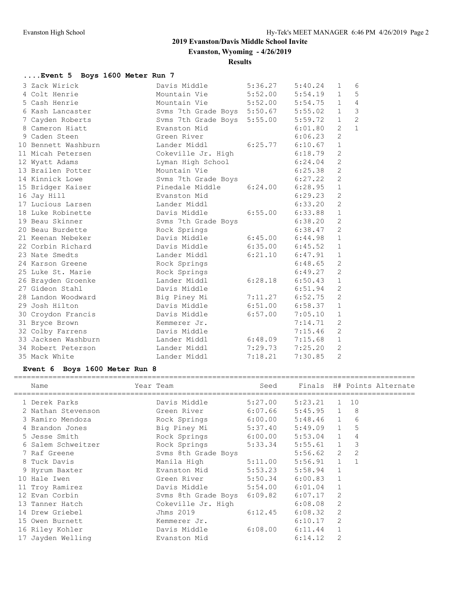**Evanston, Wyoming - 4/26/2019**

**Results**

# **....Event 5 Boys 1600 Meter Run 7**

| 3 Zack Wirick       | Davis Middle                        | 5:36.27             | 5:40.24 | $\mathbf{1}$   | 6              |
|---------------------|-------------------------------------|---------------------|---------|----------------|----------------|
| 4 Colt Henrie       | Mountain Vie 5:52.00 5:54.19        |                     |         | $\mathbf{1}$   | 5              |
| 5 Cash Henrie       | Mountain Vie 5:52.00 5:54.75        |                     |         | $\mathbf{1}$   | $\overline{4}$ |
| 6 Kash Lancaster    | Svms 7th Grade Boys 5:50.67 5:55.02 |                     |         | $\mathbf{1}$   | $\mathfrak{Z}$ |
| 7 Cayden Roberts    | Svms 7th Grade Boys 5:55.00 5:59.72 |                     |         | $\mathbf{1}$   | $\overline{c}$ |
| 8 Cameron Hiatt     | Evanston Mid                        |                     | 6:01.80 | $\overline{2}$ | $\mathbf{1}$   |
| 9 Caden Steen       | Green River                         |                     | 6:06.23 | $\overline{2}$ |                |
| 10 Bennett Washburn | Lander Middl                        | $6:25.77$ $6:10.67$ |         | $\mathbf{1}$   |                |
| 11 Micah Petersen   | Cokeville Jr. High 6:18.79          |                     |         | 2              |                |
| 12 Wyatt Adams      | Lyman High School                   |                     | 6:24.04 | 2              |                |
| 13 Brailen Potter   | Mountain Vie                        |                     | 6:25.38 | $\overline{c}$ |                |
| 14 Kinnick Lowe     | Svms 7th Grade Boys                 |                     | 6:27.22 | $\overline{c}$ |                |
| 15 Bridger Kaiser   | Pinedale Middle 6:24.00             |                     | 6:28.95 | $\mathbf 1$    |                |
| 16 Jay Hill         | Evanston Mid                        |                     | 6:29.23 | 2              |                |
| 17 Lucious Larsen   | Lander Middl                        |                     | 6:33.20 | $\overline{2}$ |                |
| 18 Luke Robinette   | Davis Middle                        | 6:55.00             | 6:33.88 | $\mathbf{1}$   |                |
| 19 Beau Skinner     | Syms 7th Grade Boys                 |                     | 6:38.20 | 2              |                |
| 20 Beau Burdette    | Rock Springs                        |                     | 6:38.47 | 2              |                |
| 21 Keenan Nebeker   | Davis Middle                        | $6:45.00$ $6:44.98$ |         | $1\,$          |                |
| 22 Corbin Richard   | Davis Middle                        | $6:35.00$ $6:45.52$ |         | $\mathbf{1}$   |                |
| 23 Nate Smedts      | Lander Middl                        | $6:21.10$ $6:47.91$ |         | $\mathbf{1}$   |                |
| 24 Karson Greene    | Rock Springs                        |                     | 6:48.65 | 2              |                |
| 25 Luke St. Marie   | Rock Springs                        |                     | 6:49.27 | $\mathbf{2}$   |                |
| 26 Brayden Groenke  | Lander Middl                        | 6:28.18             | 6:50.43 | $1\,$          |                |
| 27 Gideon Stahl     | Davis Middle                        |                     | 6:51.94 | 2              |                |
| 28 Landon Woodward  | Big Piney Mi                        | $7:11.27$ $6:52.75$ |         | $\overline{c}$ |                |
| 29 Josh Hilton      | Davis Middle                        | $6:51.00$ $6:58.37$ |         | $1\,$          |                |
| 30 Croydon Francis  | Davis Middle                        | 6:57.00             | 7:05.10 | $\mathbf{1}$   |                |
| 31 Bryce Brown      | Kemmerer Jr.                        |                     | 7:14.71 | 2              |                |
| 32 Colby Farrens    | Davis Middle                        |                     | 7:15.46 | $\mathbf{2}$   |                |
| 33 Jacksen Washburn | Lander Middl                        | $6:48.09$ $7:15.68$ |         | $\mathbf{1}$   |                |
| 34 Robert Peterson  | Lander Middl                        | $7:29.73$ $7:25.20$ |         | $\overline{c}$ |                |
| 35 Mack White       | Lander Middl                        | 7:18.21             | 7:30.85 | $\overline{2}$ |                |

# **Event 6 Boys 1600 Meter Run 8**

| Name               | Year Team            | Seed    |                                                                                                                                            |                |                                                                    | Finals H# Points Alternate            |
|--------------------|----------------------|---------|--------------------------------------------------------------------------------------------------------------------------------------------|----------------|--------------------------------------------------------------------|---------------------------------------|
| 1 Derek Parks      | Davis Middle         | 5:27.00 | 5:23.21                                                                                                                                    | 1              | 10                                                                 |                                       |
| 2 Nathan Stevenson | Green River          | 6:07.66 | $5:45.95$ 1                                                                                                                                |                | 8 <sup>8</sup>                                                     |                                       |
| 3 Ramiro Mendoza   | Rock Springs         | 6:00.00 | $5:48.46$ 1                                                                                                                                |                | 6                                                                  |                                       |
| 4 Brandon Jones    | Big Piney Mi 5:37.40 |         | 5:49.09 1                                                                                                                                  |                | 5                                                                  |                                       |
| 5 Jesse Smith      | Rock Springs         | 6:00.00 | $5:53.04$ 1                                                                                                                                |                | 4                                                                  |                                       |
| 6 Salem Schweitzer |                      | 5:33.34 |                                                                                                                                            |                | $\mathcal{E}$                                                      |                                       |
| 7 Raf Greene       | Svms 8th Grade Boys  |         |                                                                                                                                            |                | 2                                                                  |                                       |
| 8 Tuck Davis       |                      | 5:11.00 |                                                                                                                                            |                | $\overline{1}$                                                     |                                       |
| 9 Hyrum Baxter     | Evanston Mid         |         |                                                                                                                                            |                |                                                                    |                                       |
| 10 Hale Iwen       |                      |         |                                                                                                                                            | $\overline{1}$ |                                                                    |                                       |
| 11 Troy Ramirez    |                      |         |                                                                                                                                            | $\mathbf{1}$   |                                                                    |                                       |
| 12 Evan Corbin     |                      |         |                                                                                                                                            | 2              |                                                                    |                                       |
| 13 Tanner Hatch    |                      |         |                                                                                                                                            | 2              |                                                                    |                                       |
| 14 Drew Griebel    | Jhms 2019            | 6:12.45 |                                                                                                                                            | 2              |                                                                    |                                       |
| 15 Owen Burnett    | Kemmerer Jr.         |         | 6:10.17                                                                                                                                    | 2              |                                                                    |                                       |
| 16 Riley Kohler    | Davis Middle         | 6:08.00 | 6:11.44                                                                                                                                    |                |                                                                    |                                       |
| 17 Jayden Welling  | Evanston Mid         |         | 6:14.12                                                                                                                                    | $\mathfrak{D}$ |                                                                    |                                       |
|                    |                      |         | Rock Springs<br>Manila High<br>5:53.23<br>Green River 5:50.34<br>Davis Middle 5:54.00<br>Svms 8th Grade Boys 6:09.82<br>Cokeville Jr. High |                | $5:58.94$ 1<br>6:00.83<br>6:01.04<br>6:07.17<br>6:08.08<br>6:08.32 | $5:55.61$ 1<br>5:56.62 2<br>5:56.91 1 |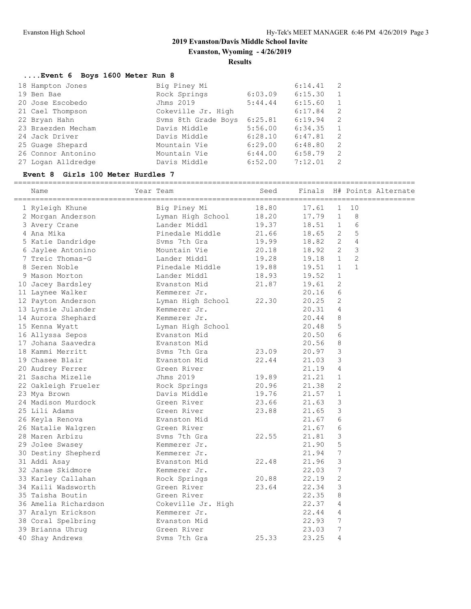**Evanston, Wyoming - 4/26/2019**

#### **Results**

# **....Event 6 Boys 1600 Meter Run 8**

| 18 Hampton Jones   | Big Piney Mi        |         | 6:14.41 | $\overline{2}$ |
|--------------------|---------------------|---------|---------|----------------|
| 19 Ben Bae         | Rock Springs        | 6:03.09 | 6:15.30 | 1              |
| 20 Jose Escobedo   | Jhms 2019           | 5:44.44 | 6:15.60 | $\mathbf{1}$   |
| 21 Cael Thompson   | Cokeville Jr. High  |         | 6:17.84 | 2              |
| 22 Bryan Hahn      | Syms 8th Grade Boys | 6:25.81 | 6:19.94 | - 2            |
| 23 Braezden Mecham | Davis Middle        | 5:56.00 | 6:34.35 | $\overline{1}$ |
| 24 Jack Driver     | Davis Middle        | 6:28.10 | 6:47.81 | - 2            |
| 25 Guage Shepard   | Mountain Vie        | 6:29.00 | 6:48.80 | 2              |
| 26 Connor Antonino | Mountain Vie        | 6:44.00 | 6:58.79 | -2             |
| 27 Logan Alldredge | Davis Middle        | 6:52.00 | 7:12.01 | $\overline{2}$ |

# **Event 8 Girls 100 Meter Hurdles 7**

| Name                 | Year Team                                  | Seed  |         |                |                | Finals H# Points Alternate |
|----------------------|--------------------------------------------|-------|---------|----------------|----------------|----------------------------|
| 1 Ryleigh Khune      | Big Piney Mı<br>Lyman High School<br>Alist | 18.80 | 17.61   | $\mathbf{1}$   | 10             |                            |
| 2 Morgan Anderson    |                                            | 18.20 | 17.79   | $\mathbf{1}$   | 8              |                            |
| 3 Avery Crane        | Lander Middl                               | 19.37 | 18.51 1 |                | 6              |                            |
| 4 Ana Mika           | Pinedale Middle                            | 21.66 | 18.65   | 2              | 5              |                            |
| 5 Katie Dandridge    | Svms 7th Gra                               | 19.99 | 18.82 2 |                | 4              |                            |
| 6 Jaylee Antonino    | Mountain Vie                               | 20.18 | 18.92 2 |                | 3              |                            |
| 7 Treic Thomas-G     | Lander Middl                               | 19.28 | 19.18 1 |                | $\overline{2}$ |                            |
| 8 Seren Noble        | Pinedale Middle 19.88                      |       | 19.51   | $\mathbf{1}$   | $\mathbf{1}$   |                            |
| 9 Mason Morton       | Lander Middl                               | 18.93 | 19.52   | $\mathbf{1}$   |                |                            |
| 10 Jacey Bardsley    | Evanston Mid                               | 21.87 | 19.61   | 2              |                |                            |
| 11 Laynee Walker     | Kemmerer Jr.                               |       | 20.16   | 6              |                |                            |
| 12 Payton Anderson   | Lyman High School 22.30                    |       | 20.25   | 2              |                |                            |
| 13 Lynsie Julander   | Kemmerer Jr.                               |       | 20.31   | $\overline{4}$ |                |                            |
| 14 Aurora Shephard   | Kemmerer Jr.                               |       | 20.44   | 8              |                |                            |
| 15 Kenna Wyatt       | Lyman High School                          |       | 20.48   | 5              |                |                            |
| 16 Allyssa Sepos     | Evanston Mid                               |       | 20.50   | 6              |                |                            |
| 17 Johana Saavedra   | Evanston Mid                               |       | 20.56   | 8              |                |                            |
| 18 Kammi Merritt     | Syms 7th Gra                               | 23.09 | 20.97   | $\mathcal{S}$  |                |                            |
| 19 Chasee Blair      | Evanston Mid                               | 22.44 | 21.03   | 3              |                |                            |
| 20 Audrey Ferrer     | Green River                                |       | 21.19   | 4              |                |                            |
| 21 Sascha Mizelle    | Jhms 2019                                  | 19.89 | 21.21   | $\mathbf{1}$   |                |                            |
| 22 Oakleigh Frueler  | Rock Springs                               | 20.96 | 21.38   | 2              |                |                            |
| 23 Mya Brown         | Davis Middle                               | 19.76 | 21.57   | $\mathbf{1}$   |                |                            |
| 24 Madison Murdock   | Green River                                | 23.66 | 21.63   | 3              |                |                            |
| 25 Lili Adams        | Green River                                | 23.88 | 21.65   | $\mathcal{S}$  |                |                            |
| 26 Keyla Renova      | Evanston Mid                               |       | 21.67   | 6              |                |                            |
| 26 Natalie Walgren   | Green River                                |       | 21.67   | 6              |                |                            |
| 28 Maren Arbizu      | Syms 7th Gra                               | 22.55 | 21.81   | $\mathcal{E}$  |                |                            |
| 29 Jolee Swasey      | Kemmerer Jr.                               |       | 21.90   | 5              |                |                            |
| 30 Destiny Shepherd  | Kemmerer Jr.                               |       | 21.94   | 7              |                |                            |
| 31 Addi Asay         | Evanston Mid                               | 22.48 | 21.96   | 3              |                |                            |
| 32 Janae Skidmore    | Kemmerer Jr.                               |       | 22.03   | 7              |                |                            |
| 33 Karley Callahan   | Rock Springs                               | 20.88 | 22.19   | 2              |                |                            |
| 34 Kaili Wadsworth   | Green River                                | 23.64 | 22.34   | 3              |                |                            |
| 35 Taisha Boutin     | Green River                                |       | 22.35   | 8              |                |                            |
| 36 Amelia Richardson | Cokeville Jr. High                         |       | 22.37   | 4              |                |                            |
| 37 Aralyn Erickson   | Kemmerer Jr.                               |       | 22.44   | $\overline{4}$ |                |                            |
| 38 Coral Spelbring   | Evanston Mid                               |       | 22.93   | 7              |                |                            |
| 39 Brianna Uhrug     | Green River                                |       | 23.03   | 7              |                |                            |
| 40 Shay Andrews      | Syms 7th Gra                               | 25.33 | 23.25   | $\overline{4}$ |                |                            |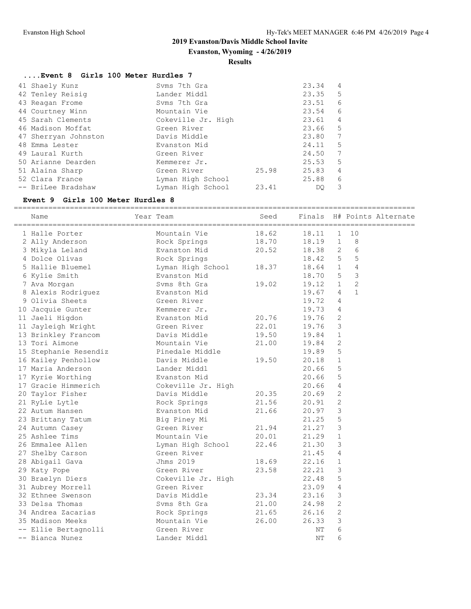**Evanston, Wyoming - 4/26/2019**

#### **Results**

| Event 8 Girls 100 Meter Hurdles 7 |
|-----------------------------------|
|-----------------------------------|

|  | 41 Shaely Kunz       | Syms 7th Gra       |       | 23.34 | 4              |
|--|----------------------|--------------------|-------|-------|----------------|
|  | 42 Tenley Reisig     | Lander Middl       |       | 23.35 | 5              |
|  | 43 Reagan Frome      | Syms 7th Gra       |       | 23.51 | 6              |
|  | 44 Courtney Winn     | Mountain Vie       |       | 23.54 | 6              |
|  | 45 Sarah Clements    | Cokeville Jr. High |       | 23.61 | 4              |
|  | 46 Madison Moffat    | Green River        |       | 23.66 | 5              |
|  | 47 Sherryan Johnston | Davis Middle       |       | 23.80 | 7              |
|  | 48 Emma Lester       | Evanston Mid       |       | 24.11 | 5              |
|  | 49 Laural Kurth      | Green River        |       | 24.50 | 7              |
|  | 50 Arianne Dearden   | Kemmerer Jr.       |       | 25.53 | 5              |
|  | 51 Alaina Sharp      | Green River        | 25.98 | 25.83 | $\overline{4}$ |
|  | 52 Clara France      | Lyman High School  |       | 25.88 | 6              |
|  | -- BriLee Bradshaw   | Lyman High School  | 23.41 | DO.   | 3              |
|  |                      |                    |       |       |                |

#### **Event 9 Girls 100 Meter Hurdles 8**

| ========================= |                         |       |                 |                |                |                     |
|---------------------------|-------------------------|-------|-----------------|----------------|----------------|---------------------|
| Name                      | Year Team               | Seed  | Finals          |                |                | H# Points Alternate |
| 1 Halle Porter            | Mountain Vie            | 18.62 | 18.11           | $\mathbf{1}$   | 10             |                     |
| 2 Ally Anderson           | Rock Springs            | 18.70 | 18.19           | 1              | 8              |                     |
| 3 Mikyla Leland           | Evanston Mid            | 20.52 | 18.38           | 2              | 6              |                     |
| 4 Dolce Olivas            | Rock Springs            |       | 18.42           | 5              | 5              |                     |
| 5 Hallie Bluemel          | Lyman High School 18.37 |       | 18.64 1         |                | 4              |                     |
| 6 Kylie Smith             | Evanston Mid            |       | 18.70 5         |                | 3              |                     |
| 7 Ava Morgan              | Syms 8th Gra            | 19.02 | $19.12 \quad 1$ |                | $\overline{2}$ |                     |
| 8 Alexis Rodriguez        | Evanston Mid            |       | 19.67           | $\overline{4}$ | $\mathbf{1}$   |                     |
| 9 Olivia Sheets           | Green River             |       | 19.72           | 4              |                |                     |
| 10 Jacquie Gunter         | Kemmerer Jr.            |       | 19.73           | 4              |                |                     |
| 11 Jaeli Higdon           | Evanston Mid            | 20.76 | 19.76           | 2              |                |                     |
| 11 Jayleigh Wright        | Green River             | 22.01 | 19.76           | 3              |                |                     |
| 13 Brinkley Francom       | Davis Middle            | 19.50 | 19.84           | $\mathbf{1}$   |                |                     |
| 13 Tori Aimone            | Mountain Vie            | 21.00 | 19.84           | 2              |                |                     |
| 15 Stephanie Resendiz     | Pinedale Middle         |       | 19.89           | 5              |                |                     |
| 16 Kailey Penhollow       | Davis Middle            | 19.50 | 20.18           | $\mathbf{1}$   |                |                     |
| 17 Maria Anderson         | Lander Middl            |       | 20.66           | 5              |                |                     |
| 17 Kyrie Worthing         | Evanston Mid            |       | 20.66           | 5              |                |                     |
| 17 Gracie Himmerich       | Cokeville Jr. High      |       | 20.66           | $\overline{4}$ |                |                     |
| 20 Taylor Fisher          | Davis Middle            | 20.35 | 20.69           | $\mathbf{2}$   |                |                     |
| 21 RyLie Lytle            | Rock Springs            | 21.56 | 20.91           | 2              |                |                     |
| 22 Autum Hansen           | Evanston Mid            | 21.66 | 20.97           | 3              |                |                     |
| 23 Brittany Tatum         | Big Piney Mi            |       | 21.25           | 5              |                |                     |
| 24 Autumn Casey           | Green River             | 21.94 | 21.27           | $\mathcal{S}$  |                |                     |
| 25 Ashlee Tims            | Mountain Vie            | 20.01 | 21.29           | $\mathbf{1}$   |                |                     |
| 26 Emmalee Allen          | Lyman High School       | 22.46 | 21.30           | 3              |                |                     |
| 27 Shelby Carson          | Green River             |       | 21.45           | $\overline{4}$ |                |                     |
| 28 Abigail Gava           | Jhms 2019               | 18.69 | 22.16           | $\mathbf{1}$   |                |                     |
| 29 Katy Pope              | Green River             | 23.58 | 22.21           | 3              |                |                     |
| 30 Braelyn Diers          | Cokeville Jr. High      |       | 22.48           | 5              |                |                     |
| 31 Aubrey Morrell         | Green River             |       | 23.09           | $\overline{4}$ |                |                     |
| 32 Ethnee Swenson         | Davis Middle            | 23.34 | 23.16           | 3              |                |                     |
| 33 Delsa Thomas           | Svms 8th Gra            | 21.00 | 24.98           | 2              |                |                     |
| 34 Andrea Zacarias        | Rock Springs            | 21.65 | 26.16           | 2              |                |                     |
| 35 Madison Meeks          | Mountain Vie            | 26.00 | 26.33           | 3              |                |                     |
| -- Ellie Bertagnolli      | Green River             |       | NΤ              | 6              |                |                     |
| -- Bianca Nunez           | Lander Middl            |       | NΤ              | 6              |                |                     |
|                           |                         |       |                 |                |                |                     |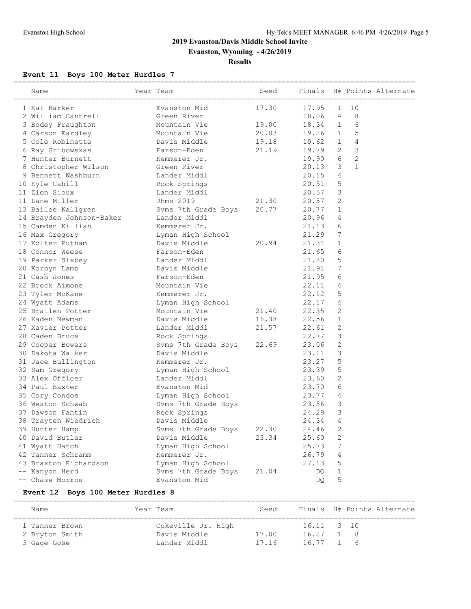**Evanston, Wyoming - 4/26/2019**

**Results**

# **Event 11 Boys 100 Meter Hurdles 7**

| ==========================<br>Name | Year Team           | Seed  | Finals |                |                | H# Points Alternate |
|------------------------------------|---------------------|-------|--------|----------------|----------------|---------------------|
| 1 Kai Barker                       | Evanston Mid        | 17.30 | 17.95  | 1              | 10             |                     |
| 2 William Cantrell                 | Green River         |       | 18.06  | 4              | 8              |                     |
| 3 Bodey Fraughton                  | Mountain Vie        | 19.00 | 18.34  | $\mathbf{1}$   | 6              |                     |
| 4 Carson Eardley                   | Mountain Vie        | 20.03 | 19.26  | $\overline{1}$ | 5              |                     |
| 5 Cole Robinette                   | Davis Middle        | 19.18 | 19.62  | $\mathbf{1}$   | 4              |                     |
| 6 Ray Gribowskas                   | Farson-Eden         | 21.19 | 19.79  | 2              | 3              |                     |
| 7 Hunter Burnett                   | Kemmerer Jr.        |       | 19.90  | 6              | $\overline{2}$ |                     |
| 8 Christopher Wilson               | Green River         |       | 20.13  | 3              | $\mathbf{1}$   |                     |
| 9 Bennett Washburn                 | Lander Middl        |       | 20.15  | 4              |                |                     |
| 10 Kyle Cahill                     | Rock Springs        |       | 20.51  | 5              |                |                     |
| 11 Zion Sioux                      | Lander Middl        |       | 20.57  | 3              |                |                     |
| 11 Lane Miller                     | Jhms 2019           | 21.30 | 20.57  | 2              |                |                     |
| 13 Bailee Kallgren                 | Svms 7th Grade Boys | 20.77 | 20.77  | $\mathbf{1}$   |                |                     |
| 14 Brayden Johnson-Baker           | Lander Middl        |       | 20.96  | 4              |                |                     |
| 15 Camden Killian                  | Kemmerer Jr.        |       | 21.13  | 6              |                |                     |
| 16 Max Gregory                     | Lyman High School   |       | 21.29  | 7              |                |                     |
| 17 Kolter Putnam                   | Davis Middle        | 20.94 | 21.31  | 1              |                |                     |
| 18 Connor Weese                    | Farson-Eden         |       | 21.65  | 6              |                |                     |
| 19 Parker Sixbey                   | Lander Middl        |       | 21.80  | 5              |                |                     |
| 20 Korbyn Lamb                     | Davis Middle        |       | 21.91  | 7              |                |                     |
| 21 Cash Jones                      | Farson-Eden         |       | 21.95  | 6              |                |                     |
| 22 Brock Aimone                    | Mountain Vie        |       | 22.11  | 4              |                |                     |
| 23 Tyler McKane                    | Kemmerer Jr.        |       | 22.12  | 5              |                |                     |
| 24 Wyatt Adams                     | Lyman High School   |       | 22.17  | 4              |                |                     |
| 25 Brailen Potter                  | Mountain Vie        | 21.40 | 22.35  | 2              |                |                     |
| 26 Kaden Newman                    | Davis Middle        | 16.38 | 22.56  | $\mathbf{1}$   |                |                     |
| 27 Xavier Potter                   | Lander Middl        | 21.57 | 22.61  | 2              |                |                     |
| 28 Caden Bruce                     | Rock Springs        |       | 22.77  | 3              |                |                     |
| 29 Cooper Bowers                   | Svms 7th Grade Boys | 22.69 | 23.06  | 2              |                |                     |
| 30 Dakota Walker                   | Davis Middle        |       | 23.11  | 3              |                |                     |
| 31 Jace Bullington                 | Kemmerer Jr.        |       | 23.27  | 5              |                |                     |
| 32 Sam Gregory                     | Lyman High School   |       | 23.39  | 5              |                |                     |
| 33 Alex Officer                    | Lander Middl        |       | 23.60  | 2              |                |                     |
| 34 Paul Baxter                     | Evanston Mid        |       | 23.70  | 6              |                |                     |
| 35 Cory Condos                     | Lyman High School   |       | 23.77  | 4              |                |                     |
| 36 Weston Schwab                   | Svms 7th Grade Boys |       | 23.86  | 3              |                |                     |
| 37 Dawson Fantin                   | Rock Springs        |       | 24.29  | 3              |                |                     |
| 38 Trayten Wiedrich                | Davis Middle        |       | 24.34  | $\overline{4}$ |                |                     |
| 39 Hunter Hamp                     | Svms 7th Grade Boys | 22.30 | 24.46  | 2              |                |                     |
| 40 David Butler                    | Davis Middle        | 23.34 | 25.60  | 2              |                |                     |
| 41 Wyatt Hatch                     | Lyman High School   |       | 25.73  | 7              |                |                     |
| 42 Tanner Schramm                  | Kemmerer Jr.        |       | 26.79  | 4              |                |                     |
| 43 Braxton Richardson              | Lyman High School   |       | 27.13  | 5              |                |                     |
| -- Kanyon Herd                     | Svms 7th Grade Boys | 21.04 | DQ     | 1              |                |                     |
| -- Chase Morrow                    | Evanston Mid        |       | DQ     | 5              |                |                     |
|                                    |                     |       |        |                |                |                     |

# **Event 12 Boys 100 Meter Hurdles 8**

| Name           | Year Team          | Seed  |            | Finals H# Points Alternate |  |
|----------------|--------------------|-------|------------|----------------------------|--|
| 1 Tanner Brown | Cokeville Jr. High |       | 16.11 3 10 |                            |  |
| 2 Bryton Smith | Davis Middle       | 17.00 | 16.27 1 8  |                            |  |
| 3 Gage Gose    | Lander Middl       | 17.16 | 16.77 1 6  |                            |  |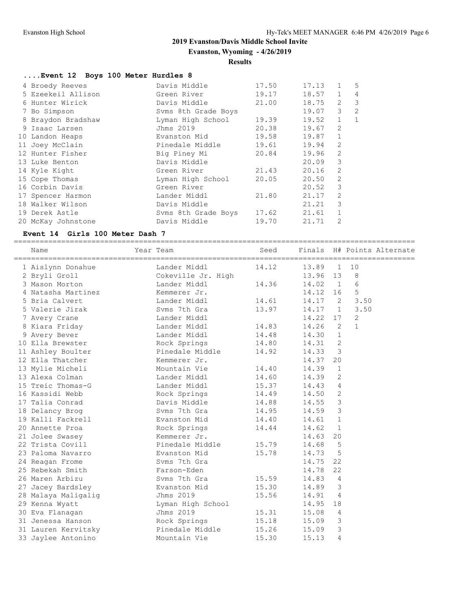**Evanston, Wyoming - 4/26/2019**

#### **Results**

# **....Event 12 Boys 100 Meter Hurdles 8**

| 4 Broedy Reeves    | Davis Middle        | 17.50 | 17.13 | 1              | 5              |
|--------------------|---------------------|-------|-------|----------------|----------------|
| 5 Ezeekeil Allison | Green River         | 19.17 | 18.57 | $\mathbf{1}$   | 4              |
| 6 Hunter Wirick    | Davis Middle        | 21.00 | 18.75 | 2              | $\mathcal{S}$  |
| 7 Bo Simpson       | Syms 8th Grade Boys |       | 19.07 | 3              | $\overline{2}$ |
| 8 Braydon Bradshaw | Lyman High School   | 19.39 | 19.52 | $\mathbf{1}$   | $\mathbf{1}$   |
| 9 Isaac Larsen     | Jhms 2019           | 20.38 | 19.67 | 2              |                |
| 10 Landon Heaps    | Evanston Mid        | 19.58 | 19.87 | $\mathbf{1}$   |                |
| 11 Joey McClain    | Pinedale Middle     | 19.61 | 19.94 | 2              |                |
| 12 Hunter Fisher   | Big Piney Mi        | 20.84 | 19.96 | 2              |                |
| 13 Luke Benton     | Davis Middle        |       | 20.09 | 3              |                |
| 14 Kyle Kight      | Green River         | 21.43 | 20.16 | $\mathfrak{D}$ |                |
| 15 Cope Thomas     | Lyman High School   | 20.05 | 20.50 | 2              |                |
| 16 Corbin Davis    | Green River         |       | 20.52 | 3              |                |
| 17 Spencer Harmon  | Lander Middl        | 21.80 | 21.17 | 2              |                |
| 18 Walker Wilson   | Davis Middle        |       | 21.21 | 3              |                |
| 19 Derek Astle     | Syms 8th Grade Boys | 17.62 | 21.61 | $\mathbf{1}$   |                |
| 20 McKay Johnstone | Davis Middle        | 19.70 | 21.71 | $\overline{2}$ |                |

#### **Event 14 Girls 100 Meter Dash 7**

============================================================================================= Name Year Team Seed Finals H# Points Alternate

| Name<br>========================== | 'ream<br>============================== | seea  | rınaıs    |                          |              | H# POINTS Alternate<br>======================= |
|------------------------------------|-----------------------------------------|-------|-----------|--------------------------|--------------|------------------------------------------------|
| 1 Aislynn Donahue                  | Lander Middl                            | 14.12 | 13.89     | $\mathbf{1}$             | 10           |                                                |
| 2 Bryli Groll                      | Cokeville Jr. High                      |       | 13.96 13  |                          | 8            |                                                |
| 3 Mason Morton                     | Lander Middl                            | 14.36 | 14.02     | $\overline{1}$           | 6            |                                                |
| 4 Natasha Martinez                 | Kemmerer Jr.                            |       | 14.12     | 16                       | 5            |                                                |
| 5 Bria Calvert                     | Lander Middl                            | 14.61 | 14.17     | $\overline{2}$           | 3.50         |                                                |
| 5 Valerie Jirak                    | Syms 7th Gra                            | 13.97 | $14.17$ 1 |                          | 3.50         |                                                |
| 7 Avery Crane                      | Lander Middl                            |       | 14.22 17  |                          | 2            |                                                |
| 8 Kiara Friday                     | Lander Middl                            | 14.83 | 14.26 2   |                          | $\mathbf{1}$ |                                                |
| 9 Avery Bever                      | Lander Middl                            | 14.48 | 14.30 1   |                          |              |                                                |
| 10 Ella Brewster                   | Rock Springs                            | 14.80 | 14.31     | 2                        |              |                                                |
| 11 Ashley Boulter                  | Pinedale Middle                         | 14.92 | 14.33     | $\overline{\phantom{a}}$ |              |                                                |
| 12 Ella Thatcher                   | Kemmerer Jr.                            |       | 14.37     | 20                       |              |                                                |
| 13 Mylie Micheli                   | Mountain Vie                            | 14.40 | 14.39     | $\mathbf{1}$             |              |                                                |
| 13 Alexa Colman                    | Lander Middl                            | 14.60 | 14.39     | 2                        |              |                                                |
| 15 Treic Thomas-G                  | Lander Middl                            | 15.37 | 14.43     | $\overline{4}$           |              |                                                |
| 16 Kassidi Webb                    | Rock Springs                            | 14.49 | 14.50     | 2                        |              |                                                |
| 17 Talia Conrad                    | Davis Middle                            | 14.88 | 14.55     | $\overline{3}$           |              |                                                |
| 18 Delancy Brog                    | Syms 7th Gra                            | 14.95 | 14.59 3   |                          |              |                                                |
| 19 Kalli Fackrell                  | Evanston Mid                            | 14.40 | $14.61$ 1 |                          |              |                                                |
| 20 Annette Proa                    | Rock Springs                            | 14.44 | 14.62     | $\sqrt{1}$               |              |                                                |
| 21 Jolee Swasey                    | Kemmerer Jr.                            |       | 14.63     | 20                       |              |                                                |
| 22 Trista Covill                   | Pinedale Middle                         | 15.79 | 14.68     | $5^{\circ}$              |              |                                                |
| 23 Paloma Navarro                  | Evanston Mid                            | 15.78 | 14.73     | 5                        |              |                                                |
| 24 Reagan Frome                    | Syms 7th Gra                            |       | 14.75     | 22                       |              |                                                |
| 25 Rebekah Smith                   | Farson-Eden                             |       | 14.78     | 22                       |              |                                                |
| 26 Maren Arbizu                    | Syms 7th Gra                            | 15.59 | 14.83     | $\overline{4}$           |              |                                                |
| 27 Jacey Bardsley                  | Evanston Mid                            | 15.30 | 14.89     | $\overline{3}$           |              |                                                |
| 28 Malaya Maligalig                | Jhms 2019                               | 15.56 | 14.91     | $\overline{4}$           |              |                                                |
| 29 Kenna Wyatt                     | Lyman High School                       |       | 14.95     | 18                       |              |                                                |
| 30 Eva Flanagan                    | Jhms 2019                               | 15.31 | 15.08     | $\overline{4}$           |              |                                                |
| 31 Jenessa Hanson                  | Rock Springs                            | 15.18 | 15.09     | $\overline{\mathbf{3}}$  |              |                                                |
| 31 Lauren Kervitsky                | Pinedale Middle                         | 15.26 | 15.09     | $\overline{3}$           |              |                                                |
| 33 Jaylee Antonino                 | Mountain Vie                            | 15.30 | 15.13     | 4                        |              |                                                |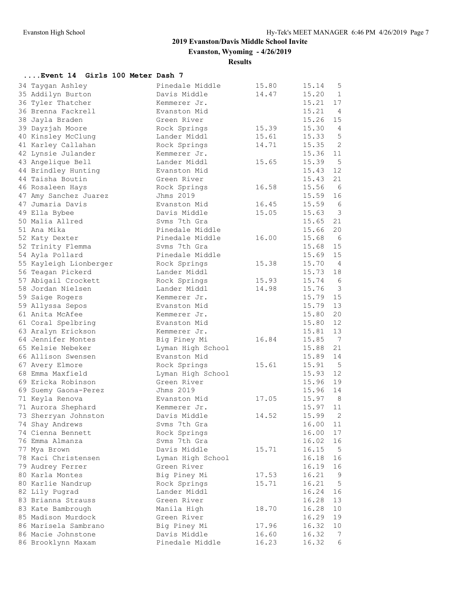**Evanston, Wyoming - 4/26/2019**

# **Results**

# **....Event 14 Girls 100 Meter Dash 7**

| 15.20<br>35 Addilyn Burton<br>Davis Middle<br>14.47<br>$\mathbf{1}$<br>15.21<br>17<br>36 Tyler Thatcher<br>Kemmerer Jr.<br>15.21<br>$\overline{4}$<br>36 Brenna Fackrell<br>Evanston Mid<br>15.26<br>Green River<br>15<br>38 Jayla Braden<br>15.30<br>15.39<br>$\overline{4}$<br>39 Dayzjah Moore<br>Rock Springs<br>5<br>15.61<br>15.33<br>40 Kinsley McClung<br>Lander Middl<br>2<br>15.35<br>41 Karley Callahan<br>Rock Springs<br>14.71<br>42 Lynsie Julander<br>15.36<br>Kemmerer Jr.<br>11<br>5<br>Lander Middl<br>15.39<br>43 Angelique Bell<br>15.65<br>15.43<br>12<br>44 Brindley Hunting<br>Evanston Mid<br>15.43<br>21<br>44 Taisha Boutin<br>Green River<br>6<br>15.56<br>46 Rosaleen Hays<br>Rock Springs<br>16.58<br>15.59<br>Jhms 2019<br>16<br>47 Amy Sanchez Juarez<br>47 Jumaria Davis<br>16.45<br>15.59<br>6<br>Evanston Mid<br>Davis Middle<br>15.63<br>$\overline{\mathbf{3}}$<br>49 Ella Bybee<br>15.05<br>50 Malia Allred<br>Syms 7th Gra<br>15.65<br>21<br>20<br>51 Ana Mika<br>Pinedale Middle<br>15.66<br>15.68<br>- 6<br>52 Katy Dexter<br>Pinedale Middle<br>16.00<br>15.68<br>15<br>52 Trinity Flemma<br>Syms 7th Gra<br>15<br>54 Ayla Pollard<br>Pinedale Middle<br>15.69<br>15.70<br>$\overline{4}$<br>55 Kayleigh Lionberger<br>Rock Springs<br>15.38<br>56 Teagan Pickerd<br>Lander Middl<br>15.73<br>18<br>15.93<br>15.74<br>- 6<br>57 Abigail Crockett<br>Rock Springs<br>$\overline{\mathbf{3}}$<br>15.76<br>58 Jordan Nielsen<br>Lander Middl<br>14.98<br>15.79<br>15<br>59 Saige Rogers<br>Kemmerer Jr.<br>13<br>15.79<br>59 Allyssa Sepos<br>Evanston Mid<br>20<br>61 Anita McAfee<br>15.80<br>Kemmerer Jr.<br>12<br>Evanston Mid<br>15.80<br>61 Coral Spelbring<br>13<br>15.81<br>63 Aralyn Erickson<br>Kemmerer Jr.<br>64 Jennifer Montes<br>15.85<br>$\overline{7}$<br>Big Piney Mi<br>16.84<br>21<br>65 Kelsie Nebeker<br>Lyman High School<br>15.88<br>15.89<br>14<br>66 Allison Swensen<br>Evanston Mid<br>15.91<br>$5^{\circ}$<br>67 Avery Elmore<br>Rock Springs<br>15.61<br>12<br>68 Emma Maxfield<br>15.93<br>Lyman High School<br>69 Ericka Robinson<br>15.96<br>19<br>Green River<br>Jhms 2019<br>15.96<br>14<br>69 Suemy Gaona-Perez<br>15.97<br>8<br>17.05<br>71 Keyla Renova<br>Evanston Mid<br>15.97<br>11<br>71 Aurora Shephard<br>Kemmerer Jr.<br>2<br>Davis Middle<br>15.99<br>73 Sherryan Johnston<br>14.52<br>74 Shay Andrews<br>16.00<br>11<br>Syms 7th Gra<br>16.00<br>74 Cienna Bennett<br>Rock Springs<br>17<br>Svms 7th Gra<br>16.02<br>76 Emma Almanza<br>16<br>Davis Middle<br>16.15<br>15.71<br>5<br>77 Mya Brown<br>78 Kaci Christensen<br>16.18<br>16<br>Lyman High School<br>Green River<br>79 Audrey Ferrer<br>16.19<br>16<br>80 Karla Montes<br>Big Piney Mi<br>17.53<br>16.21<br>9<br>80 Karlie Nandrup<br>16.21<br>5<br>Rock Springs<br>15.71<br>Lander Middl<br>16.24<br>82 Lily Pugrad<br>16<br>83 Brianna Strauss<br>Green River<br>16.28<br>13<br>Manila High<br>16.28<br>10<br>83 Kate Bambrough<br>18.70<br>85 Madison Murdock<br>Green River<br>16.29<br>19<br>86 Marisela Sambrano<br>Big Piney Mi<br>17.96<br>10<br>16.32<br>86 Macie Johnstone<br>Davis Middle<br>16.32<br>16.60<br>7<br>Pinedale Middle<br>16.32<br>86 Brooklynn Maxam<br>16.23<br>6 | 34 Taygan Ashley | Pinedale Middle | 15.80 | 15.14 | 5 |
|--------------------------------------------------------------------------------------------------------------------------------------------------------------------------------------------------------------------------------------------------------------------------------------------------------------------------------------------------------------------------------------------------------------------------------------------------------------------------------------------------------------------------------------------------------------------------------------------------------------------------------------------------------------------------------------------------------------------------------------------------------------------------------------------------------------------------------------------------------------------------------------------------------------------------------------------------------------------------------------------------------------------------------------------------------------------------------------------------------------------------------------------------------------------------------------------------------------------------------------------------------------------------------------------------------------------------------------------------------------------------------------------------------------------------------------------------------------------------------------------------------------------------------------------------------------------------------------------------------------------------------------------------------------------------------------------------------------------------------------------------------------------------------------------------------------------------------------------------------------------------------------------------------------------------------------------------------------------------------------------------------------------------------------------------------------------------------------------------------------------------------------------------------------------------------------------------------------------------------------------------------------------------------------------------------------------------------------------------------------------------------------------------------------------------------------------------------------------------------------------------------------------------------------------------------------------------------------------------------------------------------------------------------------------------------------------------------------------------------------------------------------------------------------------------------------------------------------------------------------------------------------------------------------------------------------------------------------------------------------------------------------------------------------------------------------------------------------------------------------------------------------------------------------------------------------------------------------------------------------------|------------------|-----------------|-------|-------|---|
|                                                                                                                                                                                                                                                                                                                                                                                                                                                                                                                                                                                                                                                                                                                                                                                                                                                                                                                                                                                                                                                                                                                                                                                                                                                                                                                                                                                                                                                                                                                                                                                                                                                                                                                                                                                                                                                                                                                                                                                                                                                                                                                                                                                                                                                                                                                                                                                                                                                                                                                                                                                                                                                                                                                                                                                                                                                                                                                                                                                                                                                                                                                                                                                                                                            |                  |                 |       |       |   |
|                                                                                                                                                                                                                                                                                                                                                                                                                                                                                                                                                                                                                                                                                                                                                                                                                                                                                                                                                                                                                                                                                                                                                                                                                                                                                                                                                                                                                                                                                                                                                                                                                                                                                                                                                                                                                                                                                                                                                                                                                                                                                                                                                                                                                                                                                                                                                                                                                                                                                                                                                                                                                                                                                                                                                                                                                                                                                                                                                                                                                                                                                                                                                                                                                                            |                  |                 |       |       |   |
|                                                                                                                                                                                                                                                                                                                                                                                                                                                                                                                                                                                                                                                                                                                                                                                                                                                                                                                                                                                                                                                                                                                                                                                                                                                                                                                                                                                                                                                                                                                                                                                                                                                                                                                                                                                                                                                                                                                                                                                                                                                                                                                                                                                                                                                                                                                                                                                                                                                                                                                                                                                                                                                                                                                                                                                                                                                                                                                                                                                                                                                                                                                                                                                                                                            |                  |                 |       |       |   |
|                                                                                                                                                                                                                                                                                                                                                                                                                                                                                                                                                                                                                                                                                                                                                                                                                                                                                                                                                                                                                                                                                                                                                                                                                                                                                                                                                                                                                                                                                                                                                                                                                                                                                                                                                                                                                                                                                                                                                                                                                                                                                                                                                                                                                                                                                                                                                                                                                                                                                                                                                                                                                                                                                                                                                                                                                                                                                                                                                                                                                                                                                                                                                                                                                                            |                  |                 |       |       |   |
|                                                                                                                                                                                                                                                                                                                                                                                                                                                                                                                                                                                                                                                                                                                                                                                                                                                                                                                                                                                                                                                                                                                                                                                                                                                                                                                                                                                                                                                                                                                                                                                                                                                                                                                                                                                                                                                                                                                                                                                                                                                                                                                                                                                                                                                                                                                                                                                                                                                                                                                                                                                                                                                                                                                                                                                                                                                                                                                                                                                                                                                                                                                                                                                                                                            |                  |                 |       |       |   |
|                                                                                                                                                                                                                                                                                                                                                                                                                                                                                                                                                                                                                                                                                                                                                                                                                                                                                                                                                                                                                                                                                                                                                                                                                                                                                                                                                                                                                                                                                                                                                                                                                                                                                                                                                                                                                                                                                                                                                                                                                                                                                                                                                                                                                                                                                                                                                                                                                                                                                                                                                                                                                                                                                                                                                                                                                                                                                                                                                                                                                                                                                                                                                                                                                                            |                  |                 |       |       |   |
|                                                                                                                                                                                                                                                                                                                                                                                                                                                                                                                                                                                                                                                                                                                                                                                                                                                                                                                                                                                                                                                                                                                                                                                                                                                                                                                                                                                                                                                                                                                                                                                                                                                                                                                                                                                                                                                                                                                                                                                                                                                                                                                                                                                                                                                                                                                                                                                                                                                                                                                                                                                                                                                                                                                                                                                                                                                                                                                                                                                                                                                                                                                                                                                                                                            |                  |                 |       |       |   |
|                                                                                                                                                                                                                                                                                                                                                                                                                                                                                                                                                                                                                                                                                                                                                                                                                                                                                                                                                                                                                                                                                                                                                                                                                                                                                                                                                                                                                                                                                                                                                                                                                                                                                                                                                                                                                                                                                                                                                                                                                                                                                                                                                                                                                                                                                                                                                                                                                                                                                                                                                                                                                                                                                                                                                                                                                                                                                                                                                                                                                                                                                                                                                                                                                                            |                  |                 |       |       |   |
|                                                                                                                                                                                                                                                                                                                                                                                                                                                                                                                                                                                                                                                                                                                                                                                                                                                                                                                                                                                                                                                                                                                                                                                                                                                                                                                                                                                                                                                                                                                                                                                                                                                                                                                                                                                                                                                                                                                                                                                                                                                                                                                                                                                                                                                                                                                                                                                                                                                                                                                                                                                                                                                                                                                                                                                                                                                                                                                                                                                                                                                                                                                                                                                                                                            |                  |                 |       |       |   |
|                                                                                                                                                                                                                                                                                                                                                                                                                                                                                                                                                                                                                                                                                                                                                                                                                                                                                                                                                                                                                                                                                                                                                                                                                                                                                                                                                                                                                                                                                                                                                                                                                                                                                                                                                                                                                                                                                                                                                                                                                                                                                                                                                                                                                                                                                                                                                                                                                                                                                                                                                                                                                                                                                                                                                                                                                                                                                                                                                                                                                                                                                                                                                                                                                                            |                  |                 |       |       |   |
|                                                                                                                                                                                                                                                                                                                                                                                                                                                                                                                                                                                                                                                                                                                                                                                                                                                                                                                                                                                                                                                                                                                                                                                                                                                                                                                                                                                                                                                                                                                                                                                                                                                                                                                                                                                                                                                                                                                                                                                                                                                                                                                                                                                                                                                                                                                                                                                                                                                                                                                                                                                                                                                                                                                                                                                                                                                                                                                                                                                                                                                                                                                                                                                                                                            |                  |                 |       |       |   |
|                                                                                                                                                                                                                                                                                                                                                                                                                                                                                                                                                                                                                                                                                                                                                                                                                                                                                                                                                                                                                                                                                                                                                                                                                                                                                                                                                                                                                                                                                                                                                                                                                                                                                                                                                                                                                                                                                                                                                                                                                                                                                                                                                                                                                                                                                                                                                                                                                                                                                                                                                                                                                                                                                                                                                                                                                                                                                                                                                                                                                                                                                                                                                                                                                                            |                  |                 |       |       |   |
|                                                                                                                                                                                                                                                                                                                                                                                                                                                                                                                                                                                                                                                                                                                                                                                                                                                                                                                                                                                                                                                                                                                                                                                                                                                                                                                                                                                                                                                                                                                                                                                                                                                                                                                                                                                                                                                                                                                                                                                                                                                                                                                                                                                                                                                                                                                                                                                                                                                                                                                                                                                                                                                                                                                                                                                                                                                                                                                                                                                                                                                                                                                                                                                                                                            |                  |                 |       |       |   |
|                                                                                                                                                                                                                                                                                                                                                                                                                                                                                                                                                                                                                                                                                                                                                                                                                                                                                                                                                                                                                                                                                                                                                                                                                                                                                                                                                                                                                                                                                                                                                                                                                                                                                                                                                                                                                                                                                                                                                                                                                                                                                                                                                                                                                                                                                                                                                                                                                                                                                                                                                                                                                                                                                                                                                                                                                                                                                                                                                                                                                                                                                                                                                                                                                                            |                  |                 |       |       |   |
|                                                                                                                                                                                                                                                                                                                                                                                                                                                                                                                                                                                                                                                                                                                                                                                                                                                                                                                                                                                                                                                                                                                                                                                                                                                                                                                                                                                                                                                                                                                                                                                                                                                                                                                                                                                                                                                                                                                                                                                                                                                                                                                                                                                                                                                                                                                                                                                                                                                                                                                                                                                                                                                                                                                                                                                                                                                                                                                                                                                                                                                                                                                                                                                                                                            |                  |                 |       |       |   |
|                                                                                                                                                                                                                                                                                                                                                                                                                                                                                                                                                                                                                                                                                                                                                                                                                                                                                                                                                                                                                                                                                                                                                                                                                                                                                                                                                                                                                                                                                                                                                                                                                                                                                                                                                                                                                                                                                                                                                                                                                                                                                                                                                                                                                                                                                                                                                                                                                                                                                                                                                                                                                                                                                                                                                                                                                                                                                                                                                                                                                                                                                                                                                                                                                                            |                  |                 |       |       |   |
|                                                                                                                                                                                                                                                                                                                                                                                                                                                                                                                                                                                                                                                                                                                                                                                                                                                                                                                                                                                                                                                                                                                                                                                                                                                                                                                                                                                                                                                                                                                                                                                                                                                                                                                                                                                                                                                                                                                                                                                                                                                                                                                                                                                                                                                                                                                                                                                                                                                                                                                                                                                                                                                                                                                                                                                                                                                                                                                                                                                                                                                                                                                                                                                                                                            |                  |                 |       |       |   |
|                                                                                                                                                                                                                                                                                                                                                                                                                                                                                                                                                                                                                                                                                                                                                                                                                                                                                                                                                                                                                                                                                                                                                                                                                                                                                                                                                                                                                                                                                                                                                                                                                                                                                                                                                                                                                                                                                                                                                                                                                                                                                                                                                                                                                                                                                                                                                                                                                                                                                                                                                                                                                                                                                                                                                                                                                                                                                                                                                                                                                                                                                                                                                                                                                                            |                  |                 |       |       |   |
|                                                                                                                                                                                                                                                                                                                                                                                                                                                                                                                                                                                                                                                                                                                                                                                                                                                                                                                                                                                                                                                                                                                                                                                                                                                                                                                                                                                                                                                                                                                                                                                                                                                                                                                                                                                                                                                                                                                                                                                                                                                                                                                                                                                                                                                                                                                                                                                                                                                                                                                                                                                                                                                                                                                                                                                                                                                                                                                                                                                                                                                                                                                                                                                                                                            |                  |                 |       |       |   |
|                                                                                                                                                                                                                                                                                                                                                                                                                                                                                                                                                                                                                                                                                                                                                                                                                                                                                                                                                                                                                                                                                                                                                                                                                                                                                                                                                                                                                                                                                                                                                                                                                                                                                                                                                                                                                                                                                                                                                                                                                                                                                                                                                                                                                                                                                                                                                                                                                                                                                                                                                                                                                                                                                                                                                                                                                                                                                                                                                                                                                                                                                                                                                                                                                                            |                  |                 |       |       |   |
|                                                                                                                                                                                                                                                                                                                                                                                                                                                                                                                                                                                                                                                                                                                                                                                                                                                                                                                                                                                                                                                                                                                                                                                                                                                                                                                                                                                                                                                                                                                                                                                                                                                                                                                                                                                                                                                                                                                                                                                                                                                                                                                                                                                                                                                                                                                                                                                                                                                                                                                                                                                                                                                                                                                                                                                                                                                                                                                                                                                                                                                                                                                                                                                                                                            |                  |                 |       |       |   |
|                                                                                                                                                                                                                                                                                                                                                                                                                                                                                                                                                                                                                                                                                                                                                                                                                                                                                                                                                                                                                                                                                                                                                                                                                                                                                                                                                                                                                                                                                                                                                                                                                                                                                                                                                                                                                                                                                                                                                                                                                                                                                                                                                                                                                                                                                                                                                                                                                                                                                                                                                                                                                                                                                                                                                                                                                                                                                                                                                                                                                                                                                                                                                                                                                                            |                  |                 |       |       |   |
|                                                                                                                                                                                                                                                                                                                                                                                                                                                                                                                                                                                                                                                                                                                                                                                                                                                                                                                                                                                                                                                                                                                                                                                                                                                                                                                                                                                                                                                                                                                                                                                                                                                                                                                                                                                                                                                                                                                                                                                                                                                                                                                                                                                                                                                                                                                                                                                                                                                                                                                                                                                                                                                                                                                                                                                                                                                                                                                                                                                                                                                                                                                                                                                                                                            |                  |                 |       |       |   |
|                                                                                                                                                                                                                                                                                                                                                                                                                                                                                                                                                                                                                                                                                                                                                                                                                                                                                                                                                                                                                                                                                                                                                                                                                                                                                                                                                                                                                                                                                                                                                                                                                                                                                                                                                                                                                                                                                                                                                                                                                                                                                                                                                                                                                                                                                                                                                                                                                                                                                                                                                                                                                                                                                                                                                                                                                                                                                                                                                                                                                                                                                                                                                                                                                                            |                  |                 |       |       |   |
|                                                                                                                                                                                                                                                                                                                                                                                                                                                                                                                                                                                                                                                                                                                                                                                                                                                                                                                                                                                                                                                                                                                                                                                                                                                                                                                                                                                                                                                                                                                                                                                                                                                                                                                                                                                                                                                                                                                                                                                                                                                                                                                                                                                                                                                                                                                                                                                                                                                                                                                                                                                                                                                                                                                                                                                                                                                                                                                                                                                                                                                                                                                                                                                                                                            |                  |                 |       |       |   |
|                                                                                                                                                                                                                                                                                                                                                                                                                                                                                                                                                                                                                                                                                                                                                                                                                                                                                                                                                                                                                                                                                                                                                                                                                                                                                                                                                                                                                                                                                                                                                                                                                                                                                                                                                                                                                                                                                                                                                                                                                                                                                                                                                                                                                                                                                                                                                                                                                                                                                                                                                                                                                                                                                                                                                                                                                                                                                                                                                                                                                                                                                                                                                                                                                                            |                  |                 |       |       |   |
|                                                                                                                                                                                                                                                                                                                                                                                                                                                                                                                                                                                                                                                                                                                                                                                                                                                                                                                                                                                                                                                                                                                                                                                                                                                                                                                                                                                                                                                                                                                                                                                                                                                                                                                                                                                                                                                                                                                                                                                                                                                                                                                                                                                                                                                                                                                                                                                                                                                                                                                                                                                                                                                                                                                                                                                                                                                                                                                                                                                                                                                                                                                                                                                                                                            |                  |                 |       |       |   |
|                                                                                                                                                                                                                                                                                                                                                                                                                                                                                                                                                                                                                                                                                                                                                                                                                                                                                                                                                                                                                                                                                                                                                                                                                                                                                                                                                                                                                                                                                                                                                                                                                                                                                                                                                                                                                                                                                                                                                                                                                                                                                                                                                                                                                                                                                                                                                                                                                                                                                                                                                                                                                                                                                                                                                                                                                                                                                                                                                                                                                                                                                                                                                                                                                                            |                  |                 |       |       |   |
|                                                                                                                                                                                                                                                                                                                                                                                                                                                                                                                                                                                                                                                                                                                                                                                                                                                                                                                                                                                                                                                                                                                                                                                                                                                                                                                                                                                                                                                                                                                                                                                                                                                                                                                                                                                                                                                                                                                                                                                                                                                                                                                                                                                                                                                                                                                                                                                                                                                                                                                                                                                                                                                                                                                                                                                                                                                                                                                                                                                                                                                                                                                                                                                                                                            |                  |                 |       |       |   |
|                                                                                                                                                                                                                                                                                                                                                                                                                                                                                                                                                                                                                                                                                                                                                                                                                                                                                                                                                                                                                                                                                                                                                                                                                                                                                                                                                                                                                                                                                                                                                                                                                                                                                                                                                                                                                                                                                                                                                                                                                                                                                                                                                                                                                                                                                                                                                                                                                                                                                                                                                                                                                                                                                                                                                                                                                                                                                                                                                                                                                                                                                                                                                                                                                                            |                  |                 |       |       |   |
|                                                                                                                                                                                                                                                                                                                                                                                                                                                                                                                                                                                                                                                                                                                                                                                                                                                                                                                                                                                                                                                                                                                                                                                                                                                                                                                                                                                                                                                                                                                                                                                                                                                                                                                                                                                                                                                                                                                                                                                                                                                                                                                                                                                                                                                                                                                                                                                                                                                                                                                                                                                                                                                                                                                                                                                                                                                                                                                                                                                                                                                                                                                                                                                                                                            |                  |                 |       |       |   |
|                                                                                                                                                                                                                                                                                                                                                                                                                                                                                                                                                                                                                                                                                                                                                                                                                                                                                                                                                                                                                                                                                                                                                                                                                                                                                                                                                                                                                                                                                                                                                                                                                                                                                                                                                                                                                                                                                                                                                                                                                                                                                                                                                                                                                                                                                                                                                                                                                                                                                                                                                                                                                                                                                                                                                                                                                                                                                                                                                                                                                                                                                                                                                                                                                                            |                  |                 |       |       |   |
|                                                                                                                                                                                                                                                                                                                                                                                                                                                                                                                                                                                                                                                                                                                                                                                                                                                                                                                                                                                                                                                                                                                                                                                                                                                                                                                                                                                                                                                                                                                                                                                                                                                                                                                                                                                                                                                                                                                                                                                                                                                                                                                                                                                                                                                                                                                                                                                                                                                                                                                                                                                                                                                                                                                                                                                                                                                                                                                                                                                                                                                                                                                                                                                                                                            |                  |                 |       |       |   |
|                                                                                                                                                                                                                                                                                                                                                                                                                                                                                                                                                                                                                                                                                                                                                                                                                                                                                                                                                                                                                                                                                                                                                                                                                                                                                                                                                                                                                                                                                                                                                                                                                                                                                                                                                                                                                                                                                                                                                                                                                                                                                                                                                                                                                                                                                                                                                                                                                                                                                                                                                                                                                                                                                                                                                                                                                                                                                                                                                                                                                                                                                                                                                                                                                                            |                  |                 |       |       |   |
|                                                                                                                                                                                                                                                                                                                                                                                                                                                                                                                                                                                                                                                                                                                                                                                                                                                                                                                                                                                                                                                                                                                                                                                                                                                                                                                                                                                                                                                                                                                                                                                                                                                                                                                                                                                                                                                                                                                                                                                                                                                                                                                                                                                                                                                                                                                                                                                                                                                                                                                                                                                                                                                                                                                                                                                                                                                                                                                                                                                                                                                                                                                                                                                                                                            |                  |                 |       |       |   |
|                                                                                                                                                                                                                                                                                                                                                                                                                                                                                                                                                                                                                                                                                                                                                                                                                                                                                                                                                                                                                                                                                                                                                                                                                                                                                                                                                                                                                                                                                                                                                                                                                                                                                                                                                                                                                                                                                                                                                                                                                                                                                                                                                                                                                                                                                                                                                                                                                                                                                                                                                                                                                                                                                                                                                                                                                                                                                                                                                                                                                                                                                                                                                                                                                                            |                  |                 |       |       |   |
|                                                                                                                                                                                                                                                                                                                                                                                                                                                                                                                                                                                                                                                                                                                                                                                                                                                                                                                                                                                                                                                                                                                                                                                                                                                                                                                                                                                                                                                                                                                                                                                                                                                                                                                                                                                                                                                                                                                                                                                                                                                                                                                                                                                                                                                                                                                                                                                                                                                                                                                                                                                                                                                                                                                                                                                                                                                                                                                                                                                                                                                                                                                                                                                                                                            |                  |                 |       |       |   |
|                                                                                                                                                                                                                                                                                                                                                                                                                                                                                                                                                                                                                                                                                                                                                                                                                                                                                                                                                                                                                                                                                                                                                                                                                                                                                                                                                                                                                                                                                                                                                                                                                                                                                                                                                                                                                                                                                                                                                                                                                                                                                                                                                                                                                                                                                                                                                                                                                                                                                                                                                                                                                                                                                                                                                                                                                                                                                                                                                                                                                                                                                                                                                                                                                                            |                  |                 |       |       |   |
|                                                                                                                                                                                                                                                                                                                                                                                                                                                                                                                                                                                                                                                                                                                                                                                                                                                                                                                                                                                                                                                                                                                                                                                                                                                                                                                                                                                                                                                                                                                                                                                                                                                                                                                                                                                                                                                                                                                                                                                                                                                                                                                                                                                                                                                                                                                                                                                                                                                                                                                                                                                                                                                                                                                                                                                                                                                                                                                                                                                                                                                                                                                                                                                                                                            |                  |                 |       |       |   |
|                                                                                                                                                                                                                                                                                                                                                                                                                                                                                                                                                                                                                                                                                                                                                                                                                                                                                                                                                                                                                                                                                                                                                                                                                                                                                                                                                                                                                                                                                                                                                                                                                                                                                                                                                                                                                                                                                                                                                                                                                                                                                                                                                                                                                                                                                                                                                                                                                                                                                                                                                                                                                                                                                                                                                                                                                                                                                                                                                                                                                                                                                                                                                                                                                                            |                  |                 |       |       |   |
|                                                                                                                                                                                                                                                                                                                                                                                                                                                                                                                                                                                                                                                                                                                                                                                                                                                                                                                                                                                                                                                                                                                                                                                                                                                                                                                                                                                                                                                                                                                                                                                                                                                                                                                                                                                                                                                                                                                                                                                                                                                                                                                                                                                                                                                                                                                                                                                                                                                                                                                                                                                                                                                                                                                                                                                                                                                                                                                                                                                                                                                                                                                                                                                                                                            |                  |                 |       |       |   |
|                                                                                                                                                                                                                                                                                                                                                                                                                                                                                                                                                                                                                                                                                                                                                                                                                                                                                                                                                                                                                                                                                                                                                                                                                                                                                                                                                                                                                                                                                                                                                                                                                                                                                                                                                                                                                                                                                                                                                                                                                                                                                                                                                                                                                                                                                                                                                                                                                                                                                                                                                                                                                                                                                                                                                                                                                                                                                                                                                                                                                                                                                                                                                                                                                                            |                  |                 |       |       |   |
|                                                                                                                                                                                                                                                                                                                                                                                                                                                                                                                                                                                                                                                                                                                                                                                                                                                                                                                                                                                                                                                                                                                                                                                                                                                                                                                                                                                                                                                                                                                                                                                                                                                                                                                                                                                                                                                                                                                                                                                                                                                                                                                                                                                                                                                                                                                                                                                                                                                                                                                                                                                                                                                                                                                                                                                                                                                                                                                                                                                                                                                                                                                                                                                                                                            |                  |                 |       |       |   |
|                                                                                                                                                                                                                                                                                                                                                                                                                                                                                                                                                                                                                                                                                                                                                                                                                                                                                                                                                                                                                                                                                                                                                                                                                                                                                                                                                                                                                                                                                                                                                                                                                                                                                                                                                                                                                                                                                                                                                                                                                                                                                                                                                                                                                                                                                                                                                                                                                                                                                                                                                                                                                                                                                                                                                                                                                                                                                                                                                                                                                                                                                                                                                                                                                                            |                  |                 |       |       |   |
|                                                                                                                                                                                                                                                                                                                                                                                                                                                                                                                                                                                                                                                                                                                                                                                                                                                                                                                                                                                                                                                                                                                                                                                                                                                                                                                                                                                                                                                                                                                                                                                                                                                                                                                                                                                                                                                                                                                                                                                                                                                                                                                                                                                                                                                                                                                                                                                                                                                                                                                                                                                                                                                                                                                                                                                                                                                                                                                                                                                                                                                                                                                                                                                                                                            |                  |                 |       |       |   |
|                                                                                                                                                                                                                                                                                                                                                                                                                                                                                                                                                                                                                                                                                                                                                                                                                                                                                                                                                                                                                                                                                                                                                                                                                                                                                                                                                                                                                                                                                                                                                                                                                                                                                                                                                                                                                                                                                                                                                                                                                                                                                                                                                                                                                                                                                                                                                                                                                                                                                                                                                                                                                                                                                                                                                                                                                                                                                                                                                                                                                                                                                                                                                                                                                                            |                  |                 |       |       |   |
|                                                                                                                                                                                                                                                                                                                                                                                                                                                                                                                                                                                                                                                                                                                                                                                                                                                                                                                                                                                                                                                                                                                                                                                                                                                                                                                                                                                                                                                                                                                                                                                                                                                                                                                                                                                                                                                                                                                                                                                                                                                                                                                                                                                                                                                                                                                                                                                                                                                                                                                                                                                                                                                                                                                                                                                                                                                                                                                                                                                                                                                                                                                                                                                                                                            |                  |                 |       |       |   |
|                                                                                                                                                                                                                                                                                                                                                                                                                                                                                                                                                                                                                                                                                                                                                                                                                                                                                                                                                                                                                                                                                                                                                                                                                                                                                                                                                                                                                                                                                                                                                                                                                                                                                                                                                                                                                                                                                                                                                                                                                                                                                                                                                                                                                                                                                                                                                                                                                                                                                                                                                                                                                                                                                                                                                                                                                                                                                                                                                                                                                                                                                                                                                                                                                                            |                  |                 |       |       |   |
|                                                                                                                                                                                                                                                                                                                                                                                                                                                                                                                                                                                                                                                                                                                                                                                                                                                                                                                                                                                                                                                                                                                                                                                                                                                                                                                                                                                                                                                                                                                                                                                                                                                                                                                                                                                                                                                                                                                                                                                                                                                                                                                                                                                                                                                                                                                                                                                                                                                                                                                                                                                                                                                                                                                                                                                                                                                                                                                                                                                                                                                                                                                                                                                                                                            |                  |                 |       |       |   |
|                                                                                                                                                                                                                                                                                                                                                                                                                                                                                                                                                                                                                                                                                                                                                                                                                                                                                                                                                                                                                                                                                                                                                                                                                                                                                                                                                                                                                                                                                                                                                                                                                                                                                                                                                                                                                                                                                                                                                                                                                                                                                                                                                                                                                                                                                                                                                                                                                                                                                                                                                                                                                                                                                                                                                                                                                                                                                                                                                                                                                                                                                                                                                                                                                                            |                  |                 |       |       |   |
|                                                                                                                                                                                                                                                                                                                                                                                                                                                                                                                                                                                                                                                                                                                                                                                                                                                                                                                                                                                                                                                                                                                                                                                                                                                                                                                                                                                                                                                                                                                                                                                                                                                                                                                                                                                                                                                                                                                                                                                                                                                                                                                                                                                                                                                                                                                                                                                                                                                                                                                                                                                                                                                                                                                                                                                                                                                                                                                                                                                                                                                                                                                                                                                                                                            |                  |                 |       |       |   |
|                                                                                                                                                                                                                                                                                                                                                                                                                                                                                                                                                                                                                                                                                                                                                                                                                                                                                                                                                                                                                                                                                                                                                                                                                                                                                                                                                                                                                                                                                                                                                                                                                                                                                                                                                                                                                                                                                                                                                                                                                                                                                                                                                                                                                                                                                                                                                                                                                                                                                                                                                                                                                                                                                                                                                                                                                                                                                                                                                                                                                                                                                                                                                                                                                                            |                  |                 |       |       |   |
|                                                                                                                                                                                                                                                                                                                                                                                                                                                                                                                                                                                                                                                                                                                                                                                                                                                                                                                                                                                                                                                                                                                                                                                                                                                                                                                                                                                                                                                                                                                                                                                                                                                                                                                                                                                                                                                                                                                                                                                                                                                                                                                                                                                                                                                                                                                                                                                                                                                                                                                                                                                                                                                                                                                                                                                                                                                                                                                                                                                                                                                                                                                                                                                                                                            |                  |                 |       |       |   |
|                                                                                                                                                                                                                                                                                                                                                                                                                                                                                                                                                                                                                                                                                                                                                                                                                                                                                                                                                                                                                                                                                                                                                                                                                                                                                                                                                                                                                                                                                                                                                                                                                                                                                                                                                                                                                                                                                                                                                                                                                                                                                                                                                                                                                                                                                                                                                                                                                                                                                                                                                                                                                                                                                                                                                                                                                                                                                                                                                                                                                                                                                                                                                                                                                                            |                  |                 |       |       |   |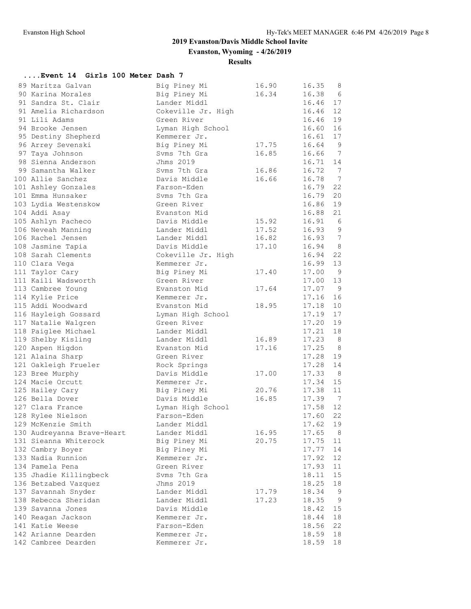**Evanston, Wyoming - 4/26/2019**

# **Results**

# **....Event 14 Girls 100 Meter Dash 7**

| 89 Maritza Galvan          | Big Piney Mi       | 16.90 | 16.35    | 8               |
|----------------------------|--------------------|-------|----------|-----------------|
| 90 Karina Morales          | Big Piney Mi       | 16.34 | 16.38    | 6               |
| 91 Sandra St. Clair        | Lander Middl       |       | 16.46    | 17              |
| 91 Amelia Richardson       | Cokeville Jr. High |       | 16.46    | 12              |
| 91 Lili Adams              | Green River        |       | 16.46    | 19              |
| 94 Brooke Jensen           | Lyman High School  |       | 16.60    | 16              |
| 95 Destiny Shepherd        | Kemmerer Jr.       |       | 16.61    | 17              |
| 96 Arrey Sevenski          | Big Piney Mi       | 17.75 | 16.64    | 9               |
| 97 Taya Johnson            | Syms 7th Gra       | 16.85 | 16.66    | 7               |
| 98 Sienna Anderson         | Jhms 2019          |       | 16.71    | 14              |
| 99 Samantha Walker         | Syms 7th Gra       | 16.86 | 16.72    | $\overline{7}$  |
| 100 Allie Sanchez          | Davis Middle       | 16.66 | 16.78    | $\overline{7}$  |
| 101 Ashley Gonzales        | Farson-Eden        |       | 16.79    | 22              |
| 101 Emma Hunsaker          | Syms 7th Gra       |       | 16.79    | 20              |
| 103 Lydia Westenskow       | Green River        |       | 16.86    | 19              |
| 104 Addi Asay              | Evanston Mid       |       | 16.88    | 21              |
| 105 Ashlyn Pacheco         | Davis Middle       | 15.92 | 16.91    | $6\overline{6}$ |
| 106 Neveah Manning         | Lander Middl       | 17.52 | 16.93    | - 9             |
| 106 Rachel Jensen          | Lander Middl       | 16.82 | 16.93    | $\overline{7}$  |
| 108 Jasmine Tapia          | Davis Middle       | 17.10 | 16.94    | 8 <sup>8</sup>  |
| 108 Sarah Clements         | Cokeville Jr. High |       | 16.94    | 22              |
| 110 Clara Vega             | Kemmerer Jr.       |       | 16.99    | 13              |
| 111 Taylor Cary            | Big Piney Mi       | 17.40 | 17.00    | $\overline{9}$  |
| 111 Kaili Wadsworth        | Green River        |       | 17.00    | 13              |
| 113 Cambree Young          | Evanston Mid       | 17.64 | 17.07    | 9               |
| 114 Kylie Price            | Kemmerer Jr.       |       | 17.16    | 16              |
| 115 Addi Woodward          | Evanston Mid       | 18.95 | 17.18    | 10              |
| 116 Hayleigh Gossard       | Lyman High School  |       | 17.19    | 17              |
| 117 Natalie Walgren        | Green River        |       | 17.20    | 19              |
| 118 Paiglee Michael        | Lander Middl       |       | 17.21    | 18              |
| 119 Shelby Kisling         | Lander Middl       | 16.89 | 17.23    | 8               |
| 120 Aspen Higdon           | Evanston Mid       | 17.16 | 17.25    | 8               |
| 121 Alaina Sharp           | Green River        |       | 17.28    | 19              |
| 121 Oakleigh Frueler       | Rock Springs       |       | 17.28    | 14              |
| 123 Bree Murphy            | Davis Middle       | 17.00 | 17.33    | 8 <sup>8</sup>  |
| 124 Macie Orcutt           | Kemmerer Jr.       |       | 17.34    | 15              |
| 125 Hailey Cary            | Big Piney Mi       | 20.76 | 17.38    | 11              |
| 126 Bella Dover            | Davis Middle       | 16.85 | 17.39    | $\overline{7}$  |
| 127 Clara France           | Lyman High School  |       | 17.58    | 12              |
| 128 Rylee Nielson          | Farson-Eden        |       | 17.60    | 22              |
| 129 McKenzie Smith         | Lander Middl       |       | 17.62 19 |                 |
| 130 Audreyanna Brave-Heart | Lander Middl       | 16.95 | 17.65    | $_{\rm 8}$      |
| 131 Sieanna Whiterock      | Big Piney Mi       | 20.75 | 17.75    | 11              |
| 132 Cambry Boyer           | Big Piney Mi       |       | 17.77    | 14              |
| 133 Nadia Runnion          | Kemmerer Jr.       |       | 17.92    | 12              |
| 134 Pamela Pena            | Green River        |       | 17.93    | 11              |
| 135 Jhadie Killingbeck     | Svms 7th Gra       |       | 18.11    | 15              |
| 136 Betzabed Vazquez       | Jhms 2019          |       | 18.25    | 18              |
| 137 Savannah Snyder        | Lander Middl       | 17.79 | 18.34    | - 9             |
| 138 Rebecca Sheridan       | Lander Middl       | 17.23 | 18.35    | $\overline{9}$  |
| 139 Savanna Jones          | Davis Middle       |       | 18.42    | 15              |
| 140 Reagan Jackson         | Kemmerer Jr.       |       | 18.44    | 18              |
| 141 Katie Weese            | Farson-Eden        |       | 18.56    | 22              |
| 142 Arianne Dearden        | Kemmerer Jr.       |       | 18.59    | 18              |
| 142 Cambree Dearden        | Kemmerer Jr.       |       | 18.59    | 18              |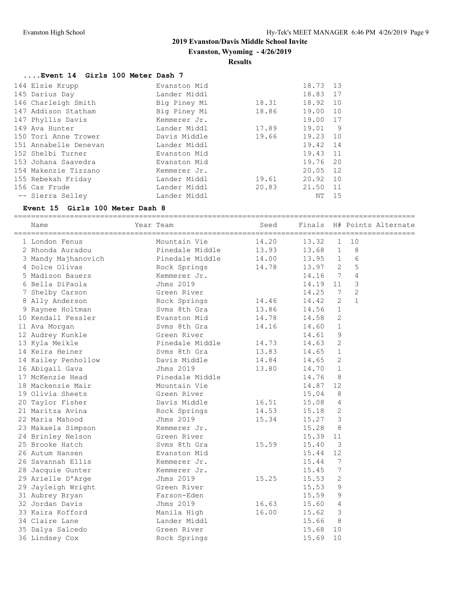**Evanston, Wyoming - 4/26/2019**

#### **Results**

# **....Event 14 Girls 100 Meter Dash 7**

| 144 Elsie Krupp       | Evanston Mid |       | 18.73    | 13   |
|-----------------------|--------------|-------|----------|------|
| 145 Darius Day        | Lander Middl |       | 18.83 17 |      |
| 146 Charleigh Smith   | Big Piney Mi | 18.31 | 18.92    | 10   |
| 147 Addison Statham   | Big Piney Mi | 18.86 | 19.00    | 10   |
| 147 Phyllis Davis     | Kemmerer Jr. |       | 19.00 17 |      |
| 149 Ava Hunter        | Lander Middl | 17.89 | 19.01    | - 9  |
| 150 Tori Anne Trower  | Davis Middle | 19.66 | 19.23    | 10   |
| 151 Annabelle Denevan | Lander Middl |       | 19.42    | 14   |
| 152 Shelbi Turner     | Evanston Mid |       | 19.43    | 11   |
| 153 Johana Saavedra   | Evanston Mid |       | 19.76    | 20   |
| 154 Makenzie Tizzano  | Kemmerer Jr. |       | 20.05 12 |      |
| 155 Rebekah Friday    | Lander Middl | 19.61 | 20.92 10 |      |
| 156 Cas Frude         | Lander Middl | 20.83 | 21.50    | - 11 |
| -- Sierra Selley      | Lander Middl |       | ΝT       | 15   |

#### **Event 15 Girls 100 Meter Dash 8**

=============================================================================================

| Name                | Year Team       | Seed  | Finals |                |                | H# Points Alternate |
|---------------------|-----------------|-------|--------|----------------|----------------|---------------------|
| 1 London Fenus      | Mountain Vie    | 14.20 | 13.32  | $\mathbf{1}$   | 10             |                     |
| 2 Rhonda Auradou    | Pinedale Middle | 13.93 | 13.68  | $\mathbf{1}$   | 8              |                     |
| 3 Mandy Majhanovich | Pinedale Middle | 14.00 | 13.95  | $\mathbf{1}$   | 6              |                     |
| 4 Dolce Olivas      | Rock Springs    | 14.78 | 13.97  | 2              | 5              |                     |
| 5 Madison Bauers    | Kemmerer Jr.    |       | 14.16  | $\overline{7}$ | $\overline{4}$ |                     |
| 6 Bella DiPaola     | Jhms 2019       |       | 14.19  | 11             | 3              |                     |
| 7 Shelby Carson     | Green River     |       | 14.25  | 7              | $\mathbf{2}$   |                     |
| 8 Ally Anderson     | Rock Springs    | 14.46 | 14.42  | $\mathbf{2}$   | $\mathbf{1}$   |                     |
| 9 Raynee Holtman    | Svms 8th Gra    | 13.86 | 14.56  | $\mathbf{1}$   |                |                     |
| 10 Kendall Fessler  | Evanston Mid    | 14.78 | 14.58  | 2              |                |                     |
| 11 Ava Morgan       | Syms 8th Gra    | 14.16 | 14.60  | $\mathbf{1}$   |                |                     |
| 12 Audrey Kunkle    | Green River     |       | 14.61  | 9              |                |                     |
| 13 Kyla Meikle      | Pinedale Middle | 14.73 | 14.63  | $\mathbf{2}$   |                |                     |
| 14 Keira Heiner     | Syms 8th Gra    | 13.83 | 14.65  | 1              |                |                     |
| 14 Kailey Penhollow | Davis Middle    | 14.84 | 14.65  | 2              |                |                     |
| 16 Abigail Gava     | Jhms 2019       | 13.80 | 14.70  | $\mathbf 1$    |                |                     |
| 17 McKenzie Head    | Pinedale Middle |       | 14.76  | 8              |                |                     |
| 18 Mackenzie Mair   | Mountain Vie    |       | 14.87  | 12             |                |                     |
| 19 Olivia Sheets    | Green River     |       | 15.04  | 8              |                |                     |
| 20 Taylor Fisher    | Davis Middle    | 16.51 | 15.08  | 4              |                |                     |
| 21 Maritza Avina    | Rock Springs    | 14.53 | 15.18  | 2              |                |                     |
| 22 Maria Mahood     | Jhms 2019       | 15.34 | 15.27  | 3              |                |                     |
| 23 Makaela Simpson  | Kemmerer Jr.    |       | 15.28  | 8              |                |                     |
| 24 Brinley Nelson   | Green River     |       | 15.39  | 11             |                |                     |
| 25 Brooke Hatch     | Syms 8th Gra    | 15.59 | 15.40  | 3              |                |                     |
| 26 Autum Hansen     | Evanston Mid    |       | 15.44  | 12             |                |                     |
| 26 Savannah Ellis   | Kemmerer Jr.    |       | 15.44  | 7              |                |                     |
| 28 Jacquie Gunter   | Kemmerer Jr.    |       | 15.45  | 7              |                |                     |
| 29 Arielle D'Arge   | Jhms 2019       | 15.25 | 15.53  | 2              |                |                     |
| 29 Jayleigh Wright  | Green River     |       | 15.53  | 9              |                |                     |
| 31 Aubrey Bryan     | Farson-Eden     |       | 15.59  | 9              |                |                     |
| 32 Jordan Davis     | Jhms 2019       | 16.63 | 15.60  | 4              |                |                     |
| 33 Kaira Kofford    | Manila High     | 16.00 | 15.62  | 3              |                |                     |
| 34 Claire Lane      | Lander Middl    |       | 15.66  | 8              |                |                     |
| 35 Dalya Salcedo    | Green River     |       | 15.68  | 10             |                |                     |
| 36 Lindsey Cox      | Rock Springs    |       | 15.69  | 10             |                |                     |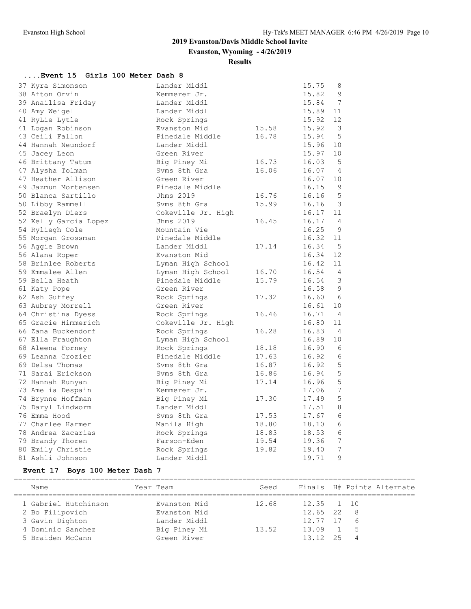**Evanston, Wyoming - 4/26/2019**

**Results**

# **....Event 15 Girls 100 Meter Dash 8**

| 37 Kyra Simonson      | Lander Middl       |       | 15.75 | 8               |
|-----------------------|--------------------|-------|-------|-----------------|
| 38 Afton Orvin        | Kemmerer Jr.       |       | 15.82 | 9               |
| 39 Anailisa Friday    | Lander Middl       |       | 15.84 | $7\phantom{.0}$ |
| 40 Amy Weigel         | Lander Middl       |       | 15.89 | 11              |
| 41 RyLie Lytle        | Rock Springs       |       | 15.92 | 12              |
| 41 Logan Robinson     | Evanston Mid       | 15.58 | 15.92 | 3               |
| 43 Ceili Fallon       | Pinedale Middle    | 16.78 | 15.94 | 5               |
| 44 Hannah Neundorf    | Lander Middl       |       | 15.96 | 10              |
| 45 Jacey Leon         | Green River        |       | 15.97 | 10              |
| 46 Brittany Tatum     | Big Piney Mi       | 16.73 | 16.03 | -5              |
| 47 Alysha Tolman      | Syms 8th Gra       | 16.06 | 16.07 | 4               |
| 47 Heather Allison    | Green River        |       | 16.07 | 10              |
| 49 Jazmun Mortensen   | Pinedale Middle    |       | 16.15 | 9               |
| 50 Blanca Sartillo    | Jhms 2019          | 16.76 | 16.16 | 5               |
| 50 Libby Rammell      | Syms 8th Gra       | 15.99 | 16.16 | 3               |
| 52 Braelyn Diers      | Cokeville Jr. High |       | 16.17 | 11              |
| 52 Kelly Garcia Lopez | Jhms 2019          | 16.45 | 16.17 | 4               |
| 54 Ryliegh Cole       | Mountain Vie       |       | 16.25 | 9               |
| 55 Morgan Grossman    | Pinedale Middle    |       | 16.32 | 11              |
| 56 Aggie Brown        | Lander Middl       | 17.14 | 16.34 | 5               |
| 56 Alana Roper        | Evanston Mid       |       | 16.34 | 12              |
| 58 Brinlee Roberts    | Lyman High School  |       | 16.42 | 11              |
| 59 Emmalee Allen      | Lyman High School  | 16.70 | 16.54 | $\overline{4}$  |
| 59 Bella Heath        | Pinedale Middle    | 15.79 | 16.54 | 3               |
| 61 Katy Pope          | Green River        |       | 16.58 | 9               |
| 62 Ash Guffey         | Rock Springs       | 17.32 | 16.60 | - 6             |
| 63 Aubrey Morrell     | Green River        |       | 16.61 | 10              |
| 64 Christina Dyess    | Rock Springs       | 16.46 | 16.71 | -4              |
| 65 Gracie Himmerich   | Cokeville Jr. High |       | 16.80 | 11              |
| 66 Zana Buckendorf    | Rock Springs       | 16.28 | 16.83 | 4               |
| 67 Ella Fraughton     | Lyman High School  |       | 16.89 | 10              |
| 68 Aleena Forney      | Rock Springs       | 18.18 | 16.90 | 6               |
| 69 Leanna Crozier     | Pinedale Middle    | 17.63 | 16.92 | 6               |
| 69 Delsa Thomas       | Syms 8th Gra       | 16.87 | 16.92 | 5               |
| 71 Sarai Erickson     | Syms 8th Gra       | 16.86 | 16.94 | 5               |
| 72 Hannah Runyan      | Big Piney Mi       | 17.14 | 16.96 | 5               |
| 73 Amelia Despain     | Kemmerer Jr.       |       | 17.06 | 7               |
| 74 Brynne Hoffman     | Big Piney Mi       | 17.30 | 17.49 | 5               |
| 75 Daryl Lindworm     | Lander Middl       |       | 17.51 | 8               |
| 76 Emma Hood          | Syms 8th Gra       | 17.53 | 17.67 | 6               |
| 77 Charlee Harmer     | Manila High        | 18.80 | 18.10 | 6               |
| 78 Andrea Zacarias    | Rock Springs       | 18.83 | 18.53 | 6               |
| 79 Brandy Thoren      | Farson-Eden        | 19.54 | 19.36 | 7               |
| 80 Emily Christie     | Rock Springs       | 19.82 | 19.40 | 7               |
| 81 Ashli Johnson      | Lander Middl       |       | 19.71 | 9               |

# **Event 17 Boys 100 Meter Dash 7**

| Name                 | Year Team |              | Seed  |                |      | Finals H# Points Alternate |
|----------------------|-----------|--------------|-------|----------------|------|----------------------------|
| 1 Gabriel Hutchinson |           | Evanston Mid | 12.68 | 12.35 1 10     |      |                            |
| 2 Bo Filipovich      |           | Evanston Mid |       | $12.65$ 22 8   |      |                            |
| 3 Gavin Dighton      |           | Lander Middl |       | $12.77$ $17$ 6 |      |                            |
| 4 Dominic Sanchez    |           | Big Piney Mi | 13.52 | $13.09$ 1 5    |      |                            |
| 5 Braiden McCann     |           | Green River  |       | 13.12          | - 25 |                            |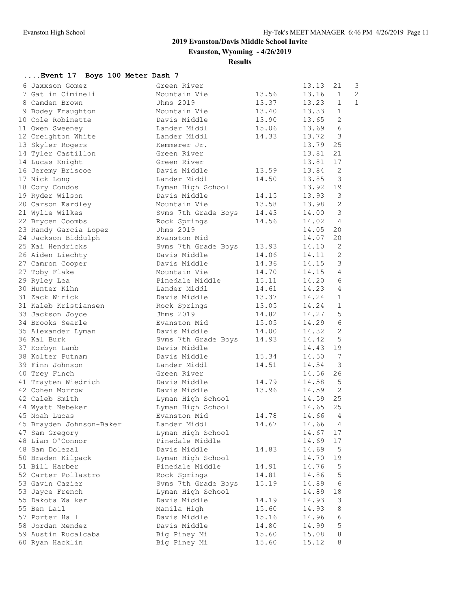**....Event 17 Boys 100 Meter Dash 7**

# **2019 Evanston/Davis Middle School Invite**

**Evanston, Wyoming - 4/26/2019**

**Results**

| 6 Jaxxson Gomez          | Green River         |       | 13.13 | 21                       | 3              |
|--------------------------|---------------------|-------|-------|--------------------------|----------------|
| 7 Gatlin Cimineli        | Mountain Vie        | 13.56 | 13.16 | $\mathbf{1}$             | $\overline{c}$ |
| 8 Camden Brown           | Jhms 2019           | 13.37 | 13.23 | $\mathbf{1}$             | $\mathbf{1}$   |
| 9 Bodey Fraughton        | Mountain Vie        | 13.40 | 13.33 | $\mathbf{1}$             |                |
| 10 Cole Robinette        | Davis Middle        | 13.90 | 13.65 | $\overline{2}$           |                |
| 11 Owen Sweeney          | Lander Middl        | 15.06 | 13.69 | 6                        |                |
| 12 Creighton White       | Lander Middl        | 14.33 | 13.72 | $\mathbf{3}$             |                |
| 13 Skyler Rogers         | Kemmerer Jr.        |       | 13.79 | 25                       |                |
| 14 Tyler Castillon       | Green River         |       | 13.81 | 21                       |                |
| 14 Lucas Knight          | Green River         |       | 13.81 | 17                       |                |
|                          |                     |       |       |                          |                |
| 16 Jeremy Briscoe        | Davis Middle        | 13.59 | 13.84 | $\overline{\phantom{0}}$ |                |
| 17 Nick Long             | Lander Middl        | 14.50 | 13.85 | $\overline{3}$           |                |
| 18 Cory Condos           | Lyman High School   |       | 13.92 | 19                       |                |
| 19 Ryder Wilson          | Davis Middle        | 14.15 | 13.93 | $\mathcal{S}$            |                |
| 20 Carson Eardley        | Mountain Vie        | 13.58 | 13.98 | 2                        |                |
| 21 Wylie Wilkes          | Svms 7th Grade Boys | 14.43 | 14.00 | $\overline{3}$           |                |
| 22 Brycen Coombs         | Rock Springs        | 14.56 | 14.02 | 4                        |                |
| 23 Randy Garcia Lopez    | Jhms 2019           |       | 14.05 | 20                       |                |
| 24 Jackson Biddulph      | Evanston Mid        |       | 14.07 | 20                       |                |
| 25 Kai Hendricks         | Svms 7th Grade Boys | 13.93 | 14.10 | 2                        |                |
| 26 Aiden Liechty         | Davis Middle        | 14.06 | 14.11 | 2                        |                |
| 27 Camron Cooper         | Davis Middle        | 14.36 | 14.15 | $\mathcal{S}$            |                |
| 27 Toby Flake            | Mountain Vie        | 14.70 | 14.15 | $\overline{4}$           |                |
| 29 Ryley Lea             | Pinedale Middle     | 15.11 | 14.20 | 6                        |                |
| 30 Hunter Kihn           | Lander Middl        | 14.61 | 14.23 | $\overline{4}$           |                |
| 31 Zack Wirick           | Davis Middle        | 13.37 | 14.24 | $\mathbf{1}$             |                |
| 31 Kaleb Kristiansen     | Rock Springs        | 13.05 | 14.24 | $\mathbf{1}$             |                |
| 33 Jackson Joyce         | Jhms 2019           | 14.82 | 14.27 | 5                        |                |
| 34 Brooks Searle         | Evanston Mid        | 15.05 | 14.29 | $\sqrt{6}$               |                |
| 35 Alexander Lyman       | Davis Middle        | 14.00 | 14.32 | 2                        |                |
| 36 Kal Burk              | Svms 7th Grade Boys | 14.93 | 14.42 | 5                        |                |
| 37 Korbyn Lamb           | Davis Middle        |       | 14.43 | 19                       |                |
| 38 Kolter Putnam         | Davis Middle        | 15.34 | 14.50 | 7                        |                |
| 39 Finn Johnson          | Lander Middl        | 14.51 | 14.54 | 3                        |                |
| 40 Trey Finch            | Green River         |       | 14.56 | 26                       |                |
| 41 Trayten Wiedrich      | Davis Middle        | 14.79 | 14.58 | 5                        |                |
| 42 Cohen Morrow          | Davis Middle        | 13.96 | 14.59 | 2                        |                |
| 42 Caleb Smith           | Lyman High School   |       | 14.59 | 25                       |                |
| 44 Wyatt Nebeker         | Lyman High School   |       | 14.65 | 25                       |                |
| 45 Noah Lucas            | Evanston Mid        | 14.78 | 14.66 | $\overline{4}$           |                |
| 45 Brayden Johnson-Baker | Lander Middl        | 14.67 | 14.66 | 4                        |                |
| 47 Sam Gregory           | Lyman High School   |       | 14.67 | 17                       |                |
| 48 Liam O'Connor         | Pinedale Middle     |       | 14.69 | 17                       |                |
| 48 Sam Dolezal           | Davis Middle        | 14.83 | 14.69 | $\overline{5}$           |                |
| 50 Braden Kilpack        | Lyman High School   |       | 14.70 | 19                       |                |
| 51 Bill Harber           | Pinedale Middle     | 14.91 | 14.76 | 5                        |                |
| 52 Carter Pollastro      | Rock Springs        | 14.81 | 14.86 | 5                        |                |
| 53 Gavin Cazier          | Svms 7th Grade Boys | 15.19 | 14.89 | 6                        |                |
| 53 Jayce French          | Lyman High School   |       | 14.89 | 18                       |                |
| 55 Dakota Walker         | Davis Middle        | 14.19 | 14.93 | 3                        |                |
| 55 Ben Lail              | Manila High         | 15.60 | 14.93 | 8                        |                |
| 57 Porter Hall           | Davis Middle        | 15.16 | 14.96 | 6                        |                |
| 58 Jordan Mendez         | Davis Middle        | 14.80 | 14.99 | 5                        |                |
| 59 Austin Rucalcaba      | Big Piney Mi        | 15.60 | 15.08 | 8                        |                |
|                          |                     |       |       |                          |                |

60 Ryan Hacklin Big Piney Mi 15.60 15.12 8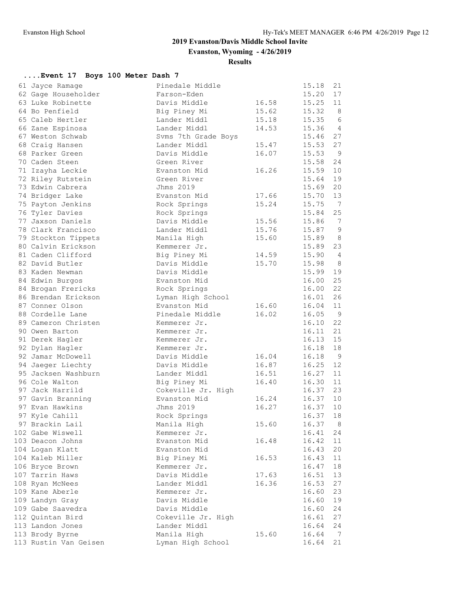**Evanston, Wyoming - 4/26/2019**

**Results**

# **....Event 17 Boys 100 Meter Dash 7**

| 61 Jayce Ramage       | Pinedale Middle                 |       | 15.18 | 21                   |
|-----------------------|---------------------------------|-------|-------|----------------------|
| 62 Gage Householder   | Farson-Eden                     |       | 15.20 | 17                   |
| 63 Luke Robinette     | Davis Middle                    | 16.58 | 15.25 | 11                   |
| 64 Bo Penfield        | Big Piney Mi                    | 15.62 | 15.32 | 8                    |
| 65 Caleb Hertler      | Lander Middl                    | 15.18 | 15.35 | 6                    |
| 66 Zane Espinosa      | Lander Middl                    | 14.53 | 15.36 | $\overline{4}$       |
| 67 Weston Schwab      | Svms 7th Grade Boys             |       | 15.46 | 27                   |
| 68 Craig Hansen       | Lander Middl                    | 15.47 | 15.53 | 27                   |
| 68 Parker Green       | Davis Middle                    | 16.07 | 15.53 | $\overline{9}$       |
| 70 Caden Steen        | Green River                     |       | 15.58 | 24                   |
| 71 Izayha Leckie      | Evanston Mid                    | 16.26 | 15.59 | 10                   |
| 72 Riley Rutstein     | Green River                     |       | 15.64 | 19                   |
| 73 Edwin Cabrera      | Jhms 2019                       |       | 15.69 | 20                   |
| 74 Bridger Lake       | Evanston Mid                    | 17.66 | 15.70 | 13                   |
| 75 Payton Jenkins     | Rock Springs                    | 15.24 | 15.75 | $\overline{7}$       |
| 76 Tyler Davies       | Rock Springs                    |       | 15.84 | 25                   |
| 77 Jaxson Daniels     | Davis Middle                    | 15.56 | 15.86 | $\overline{7}$       |
| 78 Clark Francisco    | Lander Middl                    | 15.76 | 15.87 | 9                    |
| 79 Stockton Tippets   | Manila High                     | 15.60 | 15.89 | 8                    |
| 80 Calvin Erickson    | Kemmerer Jr.                    |       | 15.89 | 23                   |
| 81 Caden Clifford     | Big Piney Mi                    | 14.59 | 15.90 | $\overline{4}$       |
| 82 David Butler       | Davis Middle                    | 15.70 | 15.98 | 8 <sup>8</sup>       |
| 83 Kaden Newman       | Davis Middle                    |       | 15.99 | 19                   |
| 84 Edwin Burgos       | Evanston Mid                    |       | 16.00 | 25                   |
| 84 Brogan Frericks    | Rock Springs                    |       | 16.00 | 22                   |
| 86 Brendan Erickson   |                                 |       | 16.01 | 26                   |
|                       | Lyman High School               | 16.60 |       | 11                   |
| 87 Conner Olson       | Evanston Mid<br>Pinedale Middle |       | 16.04 | - 9                  |
| 88 Cordelle Lane      |                                 | 16.02 | 16.05 | 22                   |
| 89 Cameron Christen   | Kemmerer Jr.                    |       | 16.10 |                      |
| 90 Owen Barton        | Kemmerer Jr.                    |       | 16.11 | 21<br>15             |
| 91 Derek Hagler       | Kemmerer Jr.                    |       | 16.13 |                      |
| 92 Dylan Hagler       | Kemmerer Jr.                    |       | 16.18 | 18                   |
| 92 Jamar McDowell     | Davis Middle                    | 16.04 | 16.18 | $\overline{9}$<br>12 |
| 94 Jaeger Liechty     | Davis Middle                    | 16.87 | 16.25 |                      |
| 95 Jacksen Washburn   | Lander Middl                    | 16.51 | 16.27 | 11                   |
| 96 Cole Walton        | Big Piney Mi                    | 16.40 | 16.30 | 11                   |
| 97 Jack Harrild       | Cokeville Jr. High              |       | 16.37 | 23                   |
| 97 Gavin Branning     | Evanston Mid                    | 16.24 | 16.37 | 10                   |
| 97 Evan Hawkins       | Jhms 2019                       | 16.27 | 16.37 | 10                   |
| 97 Kyle Cahill        | Rock Springs                    |       | 16.37 | 18                   |
| 97 Brackin Lail       | Manila High                     | 15.60 | 16.37 | 8                    |
| 102 Gabe Wiswell      | Kemmerer Jr.                    |       | 16.41 | 24                   |
| 103 Deacon Johns      | Evanston Mid                    | 16.48 | 16.42 | 11                   |
| 104 Logan Klatt       | Evanston Mid                    |       | 16.43 | 20                   |
| 104 Kaleb Miller      | Big Piney Mi                    | 16.53 | 16.43 | 11                   |
| 106 Bryce Brown       | Kemmerer Jr.                    |       | 16.47 | 18                   |
| 107 Tarrin Haws       | Davis Middle                    | 17.63 | 16.51 | 13                   |
| 108 Ryan McNees       | Lander Middl                    | 16.36 | 16.53 | 27                   |
| 109 Kane Aberle       | Kemmerer Jr.                    |       | 16.60 | 23                   |
| 109 Landyn Gray       | Davis Middle                    |       | 16.60 | 19                   |
| 109 Gabe Saavedra     | Davis Middle                    |       | 16.60 | 24                   |
| 112 Quintan Bird      | Cokeville Jr. High              |       | 16.61 | 27                   |
| 113 Landon Jones      | Lander Middl                    |       | 16.64 | 24                   |
| 113 Brody Byrne       | Manila High                     | 15.60 | 16.64 | $\overline{7}$       |
| 113 Rustin Van Geisen | Lyman High School               |       | 16.64 | 21                   |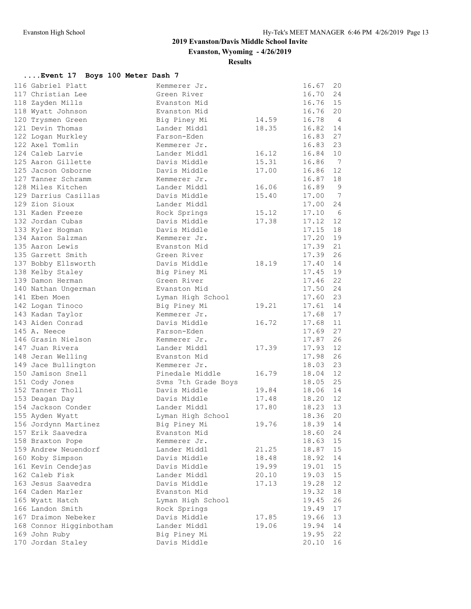**Evanston, Wyoming - 4/26/2019**

#### **Results**

# **....Event 17 Boys 100 Meter Dash 7**

| 116 Gabriel Platt       | Kemmerer Jr.                 |                | 16.67          | 20             |
|-------------------------|------------------------------|----------------|----------------|----------------|
| 117 Christian Lee       | Green River                  |                | 16.70          | 24             |
| 118 Zayden Mills        | Evanston Mid                 |                | 16.76          | 15             |
| 118 Wyatt Johnson       | Evanston Mid                 |                | 16.76          | 20             |
| 120 Trysmen Green       | Big Piney Mi                 | 14.59          | 16.78          | $\overline{4}$ |
| 121 Devin Thomas        | Lander Middl                 | 18.35          | 16.82          | 14             |
| 122 Logan Murkley       | Farson-Eden                  |                | 16.83          | 27             |
| 122 Axel Tomlin         | Kemmerer Jr.                 |                | 16.83          | 23             |
| 124 Caleb Larvie        | Lander Middl                 | 16.12          | 16.84          | 10             |
| 125 Aaron Gillette      | Davis Middle                 | 15.31          | 16.86          | $\overline{7}$ |
| 125 Jacson Osborne      | Davis Middle                 | 17.00          | 16.86          | 12             |
| 127 Tanner Schramm      | Kemmerer Jr.                 |                | 16.87          | 18             |
| 128 Miles Kitchen       | Lander Middl                 | 16.06          | 16.89          | $\overline{9}$ |
| 129 Darrius Casillas    | Davis Middle                 | 15.40          | 17.00          | $\overline{7}$ |
| 129 Zion Sioux          | Lander Middl                 |                | 17.00          | 24             |
| 131 Kaden Freeze        | Rock Springs                 | 15.12          | 17.10          | 6              |
| 132 Jordan Cubas        | Davis Middle                 | 17.38          | 17.12          | 12             |
| 133 Kyler Hogman        | Davis Middle                 |                | 17.15          | 18             |
| 134 Aaron Salzman       | Kemmerer Jr.                 |                | 17.20          | 19             |
| 135 Aaron Lewis         | Evanston Mid                 |                | 17.39          | 21             |
| 135 Garrett Smith       | Green River                  |                | 17.39          | 26             |
| 137 Bobby Ellsworth     | Davis Middle                 | 18.19          | 17.40          | 14             |
| 138 Kelby Staley        | Big Piney Mi                 |                | 17.45          | 19             |
| 139 Damon Herman        | Green River                  |                | 17.46          | 22             |
| 140 Nathan Ungerman     | Evanston Mid                 |                | 17.50          | 24             |
| 141 Eben Moen           | Lyman High School            |                | 17.60          | 23             |
| 142 Logan Tinoco        | Big Piney Mi                 | 19.21          | 17.61          | 14             |
| 143 Kadan Taylor        | Kemmerer Jr.                 |                | 17.68          | 17             |
| 143 Aiden Conrad        | Davis Middle                 | 16.72          | 17.68          | 11             |
| 145 A. Neece            | Farson-Eden                  |                | 17.69          | 27             |
| 146 Grasin Nielson      | Kemmerer Jr.                 |                | 17.87          | 26             |
| 147 Juan Rivera         | Lander Middl                 | 17.39          | 17.93          | 12             |
| 148 Jeran Welling       | Evanston Mid                 |                | 17.98          | 26             |
| 149 Jace Bullington     | Kemmerer Jr.                 |                | 18.03          | 23             |
| 150 Jamison Snell       | Pinedale Middle              | 16.79          | 18.04          | 12             |
| 151 Cody Jones          | Svms 7th Grade Boys          |                | 18.05          | 25             |
| 152 Tanner Tholl        | Davis Middle                 | 19.84          | 18.06          | 14             |
| 153 Deagan Day          | Davis Middle                 | 17.48          | 18.20          | 12             |
| 154 Jackson Conder      | Lander Middl                 | 17.80          | 18.23          | 13             |
| 155 Ayden Wyatt         | Lyman High School            |                | 18.36          | 20             |
| 156 Jordynn Martinez    | Big Piney Mi                 | 19.76          | 18.39          | 14             |
| 157 Erik Saavedra       | Evanston Mid                 |                | 18.60          | 24             |
| 158 Braxton Pope        | Kemmerer Jr.                 |                | 18.63          | 15             |
| 159 Andrew Neuendorf    | Lander Middl                 | 21.25          | 18.87          | 15             |
| 160 Koby Simpson        | Davis Middle                 | 18.48          | 18.92          | 14             |
| 161 Kevin Cendejas      | Davis Middle                 | 19.99          | 19.01          | 15             |
| 162 Caleb Fisk          | Lander Middl                 |                |                | 15             |
| 163 Jesus Saavedra      | Davis Middle                 | 20.10<br>17.13 | 19.03<br>19.28 | 12             |
| 164 Caden Marler        | Evanston Mid                 |                | 19.32          |                |
| 165 Wyatt Hatch         | Lyman High School            |                | 19.45          | 18             |
| 166 Landon Smith        |                              |                | 19.49          | 26<br>17       |
| 167 Draimon Nebeker     | Rock Springs<br>Davis Middle | 17.85          |                |                |
|                         |                              |                | 19.66          | 13             |
| 168 Connor Higginbotham | Lander Middl                 | 19.06          | 19.94<br>19.95 | 14<br>22       |
| 169 John Ruby           | Big Piney Mi                 |                |                |                |
| 170 Jordan Staley       | Davis Middle                 |                | 20.10          | 16             |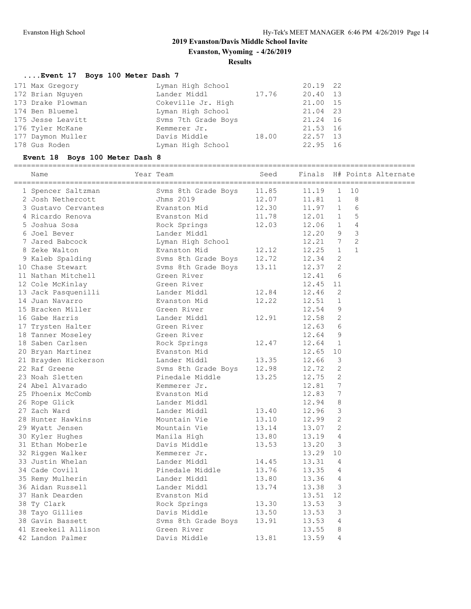**Evanston, Wyoming - 4/26/2019**

#### **Results**

#### **....Event 17 Boys 100 Meter Dash 7**

| 171 Max Gregory   | Lyman High School   |       | 20.19 22 |  |
|-------------------|---------------------|-------|----------|--|
| 172 Brian Nguyen  | Lander Middl        | 17.76 | 20.40 13 |  |
| 173 Drake Plowman | Cokeville Jr. High  |       | 21.00 15 |  |
| 174 Ben Bluemel   | Lyman High School   |       | 21.04 23 |  |
| 175 Jesse Leavitt | Syms 7th Grade Boys |       | 21.24 16 |  |
| 176 Tyler McKane  | Kemmerer Jr.        |       | 21.53 16 |  |
| 177 Daymon Muller | Davis Middle        | 18.00 | 22.57 13 |  |
| 178 Gus Roden     | Lyman High School   |       | 22.95 16 |  |

178 Gus Roden Lyman High School 22.95 16 **Event 18 Boys 100 Meter Dash 8** ============================================================================================= Name Year Team Seed Finals H# Points Alternate ============================================================================================= 1 Spencer Saltzman Svms 8th Grade Boys 11.85 11.19 1 10 2 Josh Nethercott Jhms 2019 12.07 11.81 1 8 3 Gustavo Cervantes Evanston Mid 12.30 11.97 1 6 4 Ricardo Renova Evanston Mid 11.78 12.01 1 5 5 Joshua Sosa Rock Springs 12.03 12.06 1 4 6 Joel Bever Lander Middl 12.20 9 3 7 Jared Babcock Lyman High School 12.21 7 2 8 Zeke Walton Evanston Mid 12.12 12.25 1 1 9 Kaleb Spalding The Soms 8th Grade Boys 12.72 12.34 2 10 Chase Stewart Svms 8th Grade Boys 13.11 12.37 2 11 Nathan Mitchell **Green River** 12.41 6 12 Cole McKinlay Green River 12.45 11 13 Jack Pasquenilli Lander Middl 12.84 12.46 2 14 Juan Navarro Evanston Mid 12.22 12.51 1 15 Bracken Miller Green River 12.54 9 16 Gabe Harris Lander Middl 12.91 12.58 2 17 Trysten Halter Green River 12.63 6 18 Tanner Moseley Green River 12.64 9 18 Saben Carlsen 12.47 12.64 1 20 Bryan Martinez Evanston Mid 12.65 10 21 Brayden Hickerson Lander Middl 13.35 12.66 3 22 Raf Greene Svms 8th Grade Boys 12.98 12.72 2 23 Noah Sletten Pinedale Middle 13.25 12.75 2 24 Abel Alvarado Kemmerer Jr. 12.81 7 25 Phoenix McComb Evanston Mid 12.83 7 26 Rope Glick Lander Middl 12.94 8 27 Zach Ward Lander Middl 13.40 12.96 3 28 Hunter Hawkins Mountain Vie 13.10 12.99 2 29 Wyatt Jensen Mountain Vie 13.14 13.07 2 30 Kyler Hughes Manila High 13.80 13.19 4 31 Ethan Moberle Davis Middle 13.53 13.20 3 32 Riggen Walker Kemmerer Jr. 13.29 10 33 Justin Whelan Lander Middl 14.45 13.31 4 34 Cade Covill **Pinedale Middle** 13.76 13.35 4 35 Remy Mulherin Lander Middl 13.80 13.36 4 36 Aidan Russell Lander Middl 13.74 13.38 3 37 Hank Dearden Evanston Mid 13.51 12 38 Ty Clark Rock Springs 13.30 13.53 3 38 Tayo Gillies Davis Middle 13.50 13.53 3 38 Gavin Bassett Svms 8th Grade Boys 13.91 13.53 4 41 Ezeekeil Allison Green River 13.55 8

42 Landon Palmer Davis Middle 13.81 13.59 4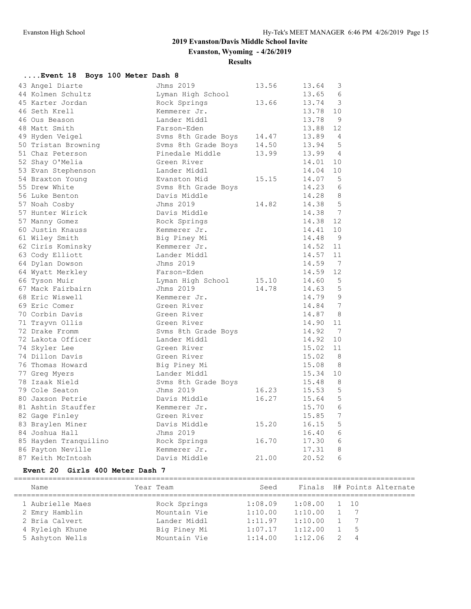**Evanston, Wyoming - 4/26/2019**

**Results**

| Event 18 Boys 100 Meter Dash 8 |                     |       |                          |
|--------------------------------|---------------------|-------|--------------------------|
| 43 Angel Diarte                | Jhms 2019           | 13.56 | 3<br>13.64               |
| 44 Kolmen Schultz              | Lyman High School   |       | 13.65<br>6               |
| 45 Karter Jordan               | Rock Springs        | 13.66 | 3<br>13.74               |
| 46 Seth Krell                  | Kemmerer Jr.        |       | 13.78<br>10              |
| 46 Ous Beason                  | Lander Middl        |       | 13.78<br>9               |
| 48 Matt Smith                  | Farson-Eden         |       | 12<br>13.88              |
| 49 Hyden Veigel                | Svms 8th Grade Boys | 14.47 | 13.89<br>4               |
| 50 Tristan Browning            | Syms 8th Grade Boys | 14.50 | 5<br>13.94               |
| 51 Chaz Peterson               | Pinedale Middle     | 13.99 | 13.99<br>$\overline{4}$  |
| 52 Shay O'Melia                | Green River         |       | 14.01<br>10              |
| 53 Evan Stephenson             | Lander Middl        |       | 14.04<br>10              |
| 54 Braxton Young               | Evanston Mid        | 15.15 | 5<br>14.07               |
| 55 Drew White                  | Syms 8th Grade Boys |       | 14.23<br>6               |
| 56 Luke Benton                 | Davis Middle        |       | 8<br>14.28               |
| 57 Noah Cosby                  | Jhms 2019           | 14.82 | 14.38<br>5               |
| 57 Hunter Wirick               | Davis Middle        |       | $7\phantom{.0}$<br>14.38 |
| 57 Manny Gomez                 | Rock Springs        |       | 14.38<br>12              |
| 60 Justin Knauss               | Kemmerer Jr.        |       | 14.41<br>10              |
| 61 Wiley Smith                 | Big Piney Mi        |       | 14.48<br>9               |
| 62 Ciris Kominsky              | Kemmerer Jr.        |       | 14.52<br>11              |
| 63 Cody Elliott                | Lander Middl        |       | 14.57<br>11              |
| 64 Dylan Dowson                | Jhms 2019           |       | 7<br>14.59               |
| 64 Wyatt Merkley               | Farson-Eden         |       | 12<br>14.59              |
| 66 Tyson Muir                  | Lyman High School   | 15.10 | 5<br>14.60               |
| 67 Mack Fairbairn              | Jhms 2019           | 14.78 | 5<br>14.63               |
| 68 Eric Wiswell                | Kemmerer Jr.        |       | 14.79<br>9               |
| 69 Eric Comer                  | Green River         |       | 7<br>14.84               |
| 70 Corbin Davis                | Green River         |       | 14.87<br>8               |
| 71 Trayvn Ollis                | Green River         |       | 14.90<br>11              |
| 72 Drake Fromm                 | Svms 8th Grade Boys |       | 14.92<br>7               |
| 72 Lakota Officer              | Lander Middl        |       | 14.92<br>10              |
| 74 Skyler Lee                  | Green River         |       | 15.02<br>11              |
| 74 Dillon Davis                | Green River         |       | 8<br>15.02               |
| 76 Thomas Howard               | Big Piney Mi        |       | 15.08<br>8               |
| 77 Greg Myers                  | Lander Middl        |       | 15.34<br>10              |
| 78 Izaak Nield                 | Syms 8th Grade Boys |       | 8<br>15.48               |
| 79 Cole Seaton                 | Jhms 2019           | 16.23 | 15.53<br>5               |
| 80 Jaxson Petrie               | Davis Middle        | 16.27 | 5<br>15.64               |
| 81 Ashtin Stauffer             | Kemmerer Jr.        |       | 15.70<br>6               |
| 82 Gage Finley                 | Green River         |       | $\sqrt{ }$<br>15.85      |
| 83 Braylen Miner               | Davis Middle        | 15.20 | 16.15<br>5               |
| 84 Joshua Hall                 | Jhms 2019           |       | 6<br>16.40               |
| 85 Hayden Tranquilino          | Rock Springs        | 16.70 | 6<br>17.30               |
| 86 Payton Neville              | Kemmerer Jr.        |       | 17.31<br>8               |
| 87 Keith McIntosh              | Davis Middle        | 21.00 | 6<br>20.52               |

#### **Event 20 Girls 400 Meter Dash 7**

| Year Team<br>Name | Seed                    |                | Finals H# Points Alternate |
|-------------------|-------------------------|----------------|----------------------------|
| 1 Aubrielle Maes  | Rock Springs<br>1:08.09 | $1:08.00$ 1 10 |                            |
| 2 Emry Hamblin    | Mountain Vie<br>1:10.00 | 1:10.00        | $7\phantom{0}$             |
| 2 Bria Calvert    | Lander Middl<br>1:11.97 | 1:10.00        | $\overline{7}$             |
| 4 Ryleigh Khune   | 1:07.17<br>Big Piney Mi | 1:12.00        | 1 5                        |
| 5 Ashyton Wells   | 1:14.00<br>Mountain Vie | 1:12.06        | $\overline{4}$             |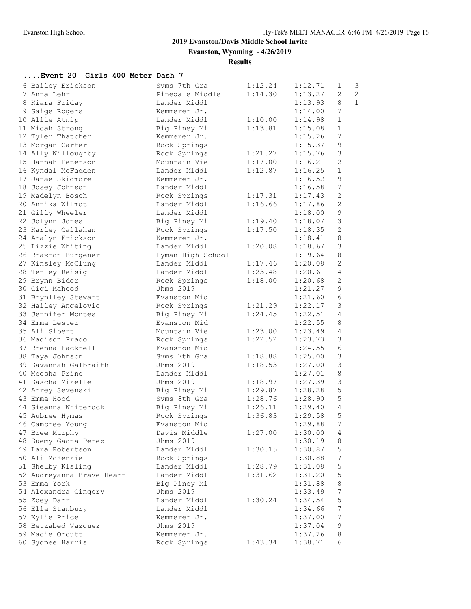**Evanston, Wyoming - 4/26/2019**

#### **Results**

#### **....Event 20 Girls 400 Meter Dash 7**

|                                  | Syms 7th Gra      | 1:12.24                | 1:12.71 | $\mathbf{1}$     | 3              |
|----------------------------------|-------------------|------------------------|---------|------------------|----------------|
| 6 Bailey Erickson<br>7 Anna Lehr | Pinedale Middle   | 1:14.30                | 1:13.27 | $\overline{2}$   | $\overline{c}$ |
| 8 Kiara Friday                   | Lander Middl      |                        | 1:13.93 | 8                | $\mathbf{1}$   |
|                                  | Kemmerer Jr.      |                        | 1:14.00 | 7                |                |
| 9 Saige Rogers                   | Lander Middl      |                        |         | $\mathbf{1}$     |                |
| 10 Allie Atnip                   |                   | 1:10.00                | 1:14.98 |                  |                |
| 11 Micah Strong                  | Big Piney Mi      | 1:13.81                | 1:15.08 | $\mathbf{1}$     |                |
| 12 Tyler Thatcher                | Kemmerer Jr.      |                        | 1:15.26 | $7\phantom{.0}$  |                |
| 13 Morgan Carter                 | Rock Springs      |                        | 1:15.37 | $\mathsf 9$      |                |
| 14 Ally Willoughby               | Rock Springs      | 1:21.27                | 1:15.76 | $\mathfrak{Z}$   |                |
| 15 Hannah Peterson               | Mountain Vie      | 1:17.00                | 1:16.21 | 2                |                |
| 16 Kyndal McFadden               | Lander Middl      | 1:12.87                | 1:16.25 | $\mathbf{1}$     |                |
| 17 Janae Skidmore                | Kemmerer Jr.      |                        | 1:16.52 | $\mathsf 9$      |                |
| 18 Josey Johnson                 | Lander Middl      |                        | 1:16.58 | $7\phantom{.0}$  |                |
| 19 Madelyn Bosch                 | Rock Springs      | 1:17.31                | 1:17.43 | $\mathbf{2}$     |                |
| 20 Annika Wilmot                 | Lander Middl      | 1:16.66                | 1:17.86 | 2                |                |
| 21 Gilly Wheeler                 | Lander Middl      |                        | 1:18.00 | $\mathsf 9$      |                |
| 22 Jolynn Jones                  | Big Piney Mi      | 1:19.40                | 1:18.07 | $\mathsf 3$      |                |
| 23 Karley Callahan               | Rock Springs      | 1:17.50                | 1:18.35 | $\sqrt{2}$       |                |
| 24 Aralyn Erickson               | Kemmerer Jr.      |                        | 1:18.41 | $\,8\,$          |                |
| 25 Lizzie Whiting                | Lander Middl      | 1:20.08                | 1:18.67 | $\mathfrak{Z}$   |                |
| 26 Braxton Burgener              | Lyman High School |                        | 1:19.64 | 8                |                |
| 27 Kinsley McClung               | Lander Middl      | 1:17.46                | 1:20.08 | 2                |                |
| 28 Tenley Reisig                 | Lander Middl      | 1:23.48                | 1:20.61 | 4                |                |
| 29 Brynn Bider                   | Rock Springs      | 1:18.00                | 1:20.68 | 2                |                |
| 30 Gigi Mahood                   | Jhms 2019         |                        | 1:21.27 | $\mathcal{G}$    |                |
| 31 Brynlley Stewart              | Evanston Mid      |                        | 1:21.60 | $\sqrt{6}$       |                |
| 32 Hailey Angelovic              | Rock Springs      | 1:21.29                | 1:22.17 | $\mathcal{S}$    |                |
| 33 Jennifer Montes               | Big Piney Mi      | 1:24.45                | 1:22.51 | 4                |                |
| 34 Emma Lester                   | Evanston Mid      |                        | 1:22.55 | 8                |                |
| 35 Ali Sibert                    | Mountain Vie      | 1:23.00                | 1:23.49 | $\overline{4}$   |                |
| 36 Madison Prado                 | Rock Springs      | 1:22.52                | 1:23.73 | $\mathfrak{Z}$   |                |
| 37 Brenna Fackrell               | Evanston Mid      |                        | 1:24.55 | $\epsilon$       |                |
| 38 Taya Johnson                  | Syms 7th Gra      | 1:18.88                | 1:25.00 | $\mathsf 3$      |                |
| 39 Savannah Galbraith            | Jhms 2019         | 1:18.53                | 1:27.00 | 3                |                |
| 40 Meesha Prine                  | Lander Middl      |                        | 1:27.01 | 8                |                |
| 41 Sascha Mizelle                | Jhms 2019         | 1:18.97                | 1:27.39 | $\mathfrak{Z}$   |                |
| 42 Arrey Sevenski                | Big Piney Mi      |                        | 1:28.28 | $\mathbf 5$      |                |
| 43 Emma Hood                     | Svms 8th Gra      | $1:29.87$<br>$1:28.76$ | 1:28.90 | 5                |                |
| 44 Sieanna Whiterock             | Big Piney Mi      | 1:26.11                | 1:29.40 | $\overline{4}$   |                |
| 45 Aubree Hymas                  | Rock Springs      | 1:36.83                | 1:29.58 | 5                |                |
| 46 Cambree Young                 | Evanston Mid      |                        | 1:29.88 | 7                |                |
| 47 Bree Murphy                   | Davis Middle      | 1:27.00                | 1:30.00 | 4                |                |
| 48 Suemy Gaona-Perez             | Jhms 2019         |                        | 1:30.19 | 8                |                |
| 49 Lara Robertson                | Lander Middl      | 1:30.15                | 1:30.87 | $\mathsf S$      |                |
| 50 Ali McKenzie                  |                   |                        |         | 7                |                |
|                                  | Rock Springs      |                        | 1:30.88 |                  |                |
| 51 Shelby Kisling                | Lander Middl      | 1:28.79                | 1:31.08 | 5                |                |
| 52 Audreyanna Brave-Heart        | Lander Middl      | 1:31.62                | 1:31.20 | 5                |                |
| 53 Emma York                     | Big Piney Mi      |                        | 1:31.88 | $\,8\,$          |                |
| 54 Alexandra Gingery             | Jhms 2019         |                        | 1:33.49 | $\boldsymbol{7}$ |                |
| 55 Zoey Darr                     | Lander Middl      | 1:30.24                | 1:34.54 | 5                |                |
| 56 Ella Stanbury                 | Lander Middl      |                        | 1:34.66 | $\boldsymbol{7}$ |                |
| 57 Kylie Price                   | Kemmerer Jr.      |                        | 1:37.00 | 7                |                |
| 58 Betzabed Vazquez              | Jhms 2019         |                        | 1:37.04 | 9                |                |
| 59 Macie Orcutt                  | Kemmerer Jr.      |                        | 1:37.26 | 8                |                |
| 60 Sydnee Harris                 | Rock Springs      | 1:43.34                | 1:38.71 | 6                |                |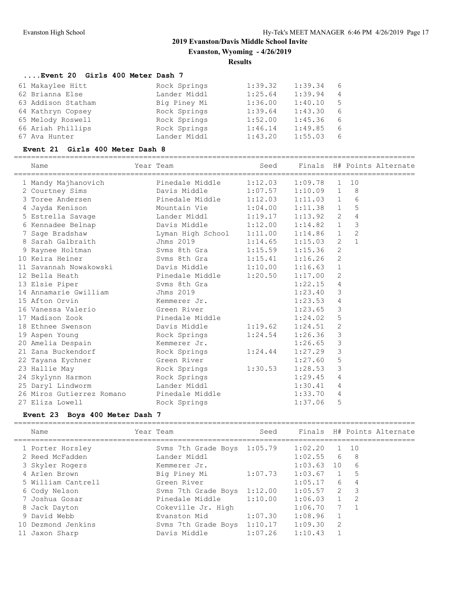**Evanston, Wyoming - 4/26/2019**

#### **Results**

# **....Event 20 Girls 400 Meter Dash 7**

| 61 Makaylee Hitt   | Rock Springs | 1:39.32 | 1:39.34 | 6              |
|--------------------|--------------|---------|---------|----------------|
| 62 Brianna Else    | Lander Middl | 1:25.64 | 1:39.94 | $\overline{4}$ |
| 63 Addison Statham | Big Piney Mi | 1:36.00 | 1:40.10 | - 5            |
| 64 Kathryn Copsey  | Rock Springs | 1:39.64 | 1:43.30 | 6              |
| 65 Melody Roswell  | Rock Springs | 1:52.00 | 1:45.36 | 6              |
| 66 Ariah Phillips  | Rock Springs | 1:46.14 | 1:49.85 | 6              |
| 67 Ava Hunter      | Lander Middl | 1:43.20 | 1:55.03 | 6              |
|                    |              |         |         |                |

#### **Event 21 Girls 400 Meter Dash 8**

|  | Name                                           | Year Team                           | Seed    |             |                | Finals H# Points Alternate |  |
|--|------------------------------------------------|-------------------------------------|---------|-------------|----------------|----------------------------|--|
|  | 1 Mandy Majhanovich                            | Pinedale Middle 1:12.03 1:09.78     |         |             | $\mathbf{1}$   | 10                         |  |
|  | 2 Courtney Sims Davis Middle 1:07.57 1:10.09 1 |                                     |         |             |                | 8                          |  |
|  | 3 Toree Andersen                               | Pinedale Middle 1:12.03 1:11.03 1   |         |             |                | 6                          |  |
|  | 4 Jayda Kenison                                | Mountain Vie $1:04.00$ 1:11.38 1    |         |             |                | 5                          |  |
|  | 5 Estrella Savage The Lander Middl 1:19.17     |                                     |         | 1:13.92     | 2              | 4                          |  |
|  | 6 Kennadee Belnap <b>bavis</b> Middle 1:12.00  |                                     |         | 1:14.82 1   |                | 3                          |  |
|  | 7 Sage Bradshaw                                | Lyman High School 1:11.00 1:14.86 1 |         |             |                | $\overline{c}$             |  |
|  | 8 Sarah Galbraith                              | Jhms 2019 1:14.65                   |         | 1:15.03     | 2              | $\mathbf{1}$               |  |
|  | 9 Raynee Holtman                               | Svms 8th Gra                        | 1:15.59 | 1:15.36     | $\overline{2}$ |                            |  |
|  | 10 Keira Heiner                                | Svms 8th Gra 1:15.41                |         | $1:16.26$ 2 |                |                            |  |
|  | 11 Savannah Nowakowski bavis Middle 1:10.00    |                                     |         | 1:16.63     | $\mathbf{1}$   |                            |  |
|  | 12 Bella Heath                                 | Pinedale Middle 1:20.50             |         | 1:17.00     | 2              |                            |  |
|  | 13 Elsie Piper                                 | Syms 8th Gra                        |         | 1:22.15     | $\overline{4}$ |                            |  |
|  | 14 Annamarie Gwilliam Jhms 2019                |                                     |         | 1:23.40     | 3              |                            |  |
|  | 15 Afton Orvin                                 | Kemmerer Jr.                        |         | 1:23.53     | 4              |                            |  |
|  | 16 Vanessa Valerio                             | Green River                         |         | 1:23.65     | $\mathcal{E}$  |                            |  |
|  | 17 Madison Zook                                | Pinedale Middle                     |         | 1:24.02     | 5              |                            |  |
|  | 18 Ethnee Swenson                              | Davis Middle 1:19.62                |         | 1:24.51     | 2              |                            |  |
|  | 19 Aspen Young                                 | Rock Springs                        | 1:24.54 | 1:26.36     | $\mathcal{E}$  |                            |  |
|  | 20 Amelia Despain                              | Kemmerer Jr.                        |         | 1:26.65     | 3              |                            |  |
|  | 21 Zana Buckendorf                             | Rock Springs                        | 1:24.44 | 1:27.29     | 3              |                            |  |
|  | 22 Tayana Eychner                              | Green River                         |         | 1:27.60     | 5              |                            |  |
|  | 23 Hallie May                                  | Rock Springs                        | 1:30.53 | 1:28.53     | 3              |                            |  |
|  | 24 Skylynn Harmon                              | Rock Springs                        |         | 1:29.45     | 4              |                            |  |
|  | 25 Daryl Lindworm                              | Lander Middl                        |         | 1:30.41     | 4              |                            |  |
|  | 26 Miros Gutierrez Romano Pinedale Middle      |                                     |         | 1:33.70     | 4              |                            |  |
|  | 27 Eliza Lowell                                | Rock Springs                        |         | 1:37.06     | 5              |                            |  |
|  |                                                |                                     |         |             |                |                            |  |

#### **Event 23 Boys 400 Meter Dash 7**

| Name               | Year Team                   | Seed    |         |                 |      | Finals H# Points Alternate |
|--------------------|-----------------------------|---------|---------|-----------------|------|----------------------------|
| 1 Porter Horsley   | Svms 7th Grade Boys 1:05.79 |         | 1:02.20 |                 | 1 10 |                            |
| 2 Reed McFadden    | Lander Middl                |         | 1:02.55 | 6               | - 8  |                            |
| 3 Skyler Rogers    | Kemmerer Jr.                |         | 1:03.63 | 10              | 6    |                            |
| 4 Arlen Brown      | Big Piney Mi                | 1:07.73 | 1:03.67 | 1               | 5    |                            |
| 5 William Cantrell | Green River                 |         | 1:05.17 | 6               | 4    |                            |
| 6 Cody Nelson      | Syms 7th Grade Boys         | 1:12.00 | 1:05.57 | $\overline{2}$  | -3   |                            |
| 7 Joshua Gosar     | Pinedale Middle             | 1:10.00 | 1:06.03 |                 | -2   |                            |
| 8 Jack Dayton      | Cokeville Jr. High          |         | 1:06.70 | $7\overline{ }$ |      |                            |
| 9 David Webb       | Evanston Mid                | 1:07.30 | 1:08.96 |                 |      |                            |
| 10 Dezmond Jenkins | Syms 7th Grade Boys         | 1:10.17 | 1:09.30 | -2              |      |                            |
| 11 Jaxon Sharp     | Davis Middle                | 1:07.26 | 1:10.43 |                 |      |                            |
|                    |                             |         |         |                 |      |                            |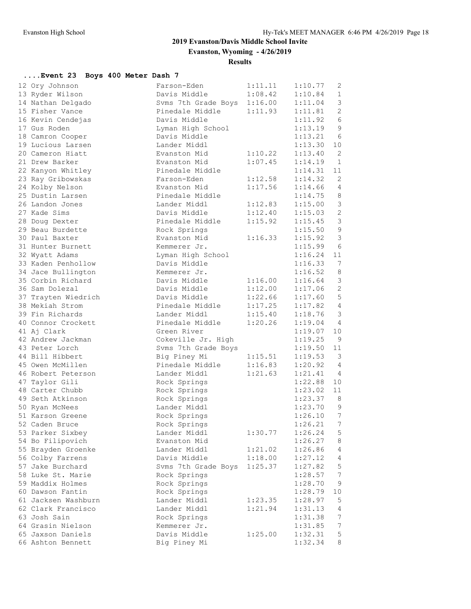**Evanston, Wyoming - 4/26/2019**

**Results**

# **....Event 23 Boys 400 Meter Dash 7**

| 12 Ory Johnson      | Farson-Eden                 | 1:11.11 | 1:10.77 | 2                |
|---------------------|-----------------------------|---------|---------|------------------|
| 13 Ryder Wilson     | Davis Middle 1:08.42        |         | 1:10.84 | $\mathbf{1}$     |
| 14 Nathan Delgado   | Svms 7th Grade Boys 1:16.00 |         | 1:11.04 | 3                |
| 15 Fisher Vance     | Pinedale Middle 1:11.93     |         | 1:11.81 | 2                |
| 16 Kevin Cendejas   | Davis Middle                |         | 1:11.92 | $6\,$            |
| 17 Gus Roden        | Lyman High School           |         | 1:13.19 | $\mathsf 9$      |
| 18 Camron Cooper    | Davis Middle                |         | 1:13.21 | 6                |
| 19 Lucious Larsen   | Lander Middl                |         | 1:13.30 | 10               |
| 20 Cameron Hiatt    | Evanston Mid                | 1:10.22 | 1:13.40 | $\overline{2}$   |
| 21 Drew Barker      | Evanston Mid                | 1:07.45 | 1:14.19 | $\overline{1}$   |
| 22 Kanyon Whitley   | Pinedale Middle             |         | 1:14.31 | 11               |
| 23 Ray Gribowskas   | Farson-Eden                 | 1:12.58 | 1:14.32 | 2                |
| 24 Kolby Nelson     | Evanston Mid                | 1:17.56 | 1:14.66 | 4                |
| 25 Dustin Larsen    | Pinedale Middle             |         | 1:14.75 | 8                |
| 26 Landon Jones     | Lander Middl                | 1:12.83 | 1:15.00 | $\mathfrak{Z}$   |
| 27 Kade Sims        | Davis Middle                | 1:12.40 | 1:15.03 | $\sqrt{2}$       |
| 28 Doug Dexter      | Pinedale Middle             | 1:15.92 | 1:15.45 | $\mathfrak{Z}$   |
| 29 Beau Burdette    | Rock Springs                |         | 1:15.50 | $\overline{9}$   |
| 30 Paul Baxter      | Evanston Mid                | 1:16.33 | 1:15.92 | $\mathcal{S}$    |
| 31 Hunter Burnett   | Kemmerer Jr.                |         | 1:15.99 | $6\overline{6}$  |
| 32 Wyatt Adams      | Lyman High School           |         | 1:16.24 | 11               |
| 33 Kaden Penhollow  | Davis Middle                |         | 1:16.33 | 7                |
| 34 Jace Bullington  | Kemmerer Jr.                |         | 1:16.52 | 8                |
| 35 Corbin Richard   | Davis Middle                | 1:16.00 | 1:16.64 | $\mathfrak{Z}$   |
| 36 Sam Dolezal      | Davis Middle                | 1:12.00 | 1:17.06 | $\sqrt{2}$       |
| 37 Trayten Wiedrich | Davis Middle                | 1:22.66 | 1:17.60 | 5                |
| 38 Mekiah Strom     | Pinedale Middle 1:17.25     |         | 1:17.82 | $\overline{4}$   |
| 39 Fin Richards     | Lander Middl                | 1:15.40 | 1:18.76 | $\mathcal{S}$    |
| 40 Connor Crockett  | Pinedale Middle             | 1:20.26 | 1:19.04 | $\overline{4}$   |
| 41 Aj Clark         | Green River                 |         | 1:19.07 | 10               |
| 42 Andrew Jackman   | Cokeville Jr. High          |         | 1:19.25 | 9                |
| 43 Peter Lorch      | Svms 7th Grade Boys         |         | 1:19.50 | 11               |
| 44 Bill Hibbert     | Big Piney Mi                | 1:15.51 | 1:19.53 | $\overline{3}$   |
| 45 Owen McMillen    | Pinedale Middle 1:16.83     |         | 1:20.92 | 4                |
| 46 Robert Peterson  | Lander Middl                | 1:21.63 | 1:21.41 | $\overline{4}$   |
| 47 Taylor Gili      | Rock Springs                |         | 1:22.88 | 10               |
| 48 Carter Chubb     | Rock Springs                |         | 1:23.02 | 11               |
| 49 Seth Atkinson    | Rock Springs                |         | 1:23.37 | 8                |
| 50 Ryan McNees      | Lander Middl                |         | 1:23.70 | 9                |
| 51 Karson Greene    | Rock Springs                |         | 1:26.10 | $7\phantom{.0}$  |
| 52 Caden Bruce      | Rock Springs                |         | 1:26.21 | $\overline{7}$   |
| 53 Parker Sixbey    | Lander Middl                | 1:30.77 | 1:26.24 | 5                |
| 54 Bo Filipovich    | Evanston Mid                |         | 1:26.27 | $\,8\,$          |
| 55 Brayden Groenke  | Lander Middl                | 1:21.02 | 1:26.86 | 4                |
| 56 Colby Farrens    | Davis Middle                | 1:18.00 | 1:27.12 | 4                |
| 57 Jake Burchard    | Svms 7th Grade Boys         | 1:25.37 | 1:27.82 | $\mathsf S$      |
| 58 Luke St. Marie   | Rock Springs                |         | 1:28.57 | $\boldsymbol{7}$ |
| 59 Maddix Holmes    | Rock Springs                |         | 1:28.70 | $\mathsf 9$      |
| 60 Dawson Fantin    | Rock Springs                |         | 1:28.79 | 10               |
| 61 Jacksen Washburn | Lander Middl                | 1:23.35 | 1:28.97 | $\mathsf S$      |
| 62 Clark Francisco  | Lander Middl                | 1:21.94 | 1:31.13 | 4                |
| 63 Josh Sain        | Rock Springs                |         | 1:31.38 | $\boldsymbol{7}$ |
| 64 Grasin Nielson   | Kemmerer Jr.                |         | 1:31.85 | $\boldsymbol{7}$ |
| 65 Jaxson Daniels   | Davis Middle                | 1:25.00 | 1:32.31 | 5                |
| 66 Ashton Bennett   | Big Piney Mi                |         | 1:32.34 | 8                |
|                     |                             |         |         |                  |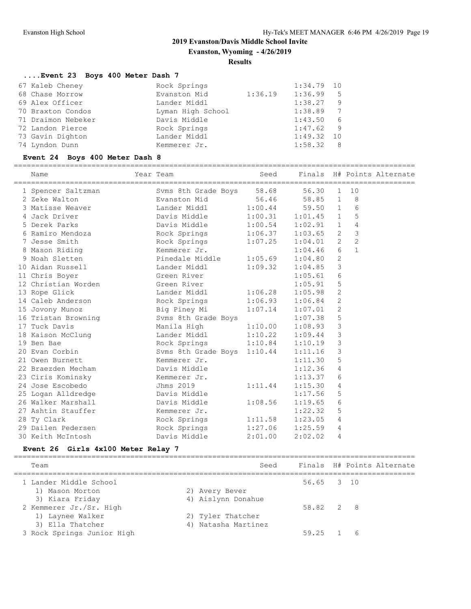**Evanston, Wyoming - 4/26/2019**

#### **Results**

# **....Event 23 Boys 400 Meter Dash 7**

| 67 Kaleb Cheney    | Rock Springs      |         | $1:34.79$ 10 |    |
|--------------------|-------------------|---------|--------------|----|
| 68 Chase Morrow    | Evanston Mid      | 1:36.19 | 1:36.99      | .5 |
| 69 Alex Officer    | Lander Middl      |         | 1:38.27      | 9  |
| 70 Braxton Condos  | Lyman High School |         | 1:38.89      | 7  |
| 71 Draimon Nebeker | Davis Middle      |         | 1:43.50      | 6  |
| 72 Landon Pierce   | Rock Springs      |         | 1:47.62      | -9 |
| 73 Gavin Dighton   | Lander Middl      |         | 1:49.32      | 10 |
| 74 Lyndon Dunn     | Kemmerer Jr.      |         | 1:58.32      | -8 |

#### **Event 24 Boys 400 Meter Dash 8**

| Name                | Year Team                   | Seed    | Finals      |                |                | H# Points Alternate |
|---------------------|-----------------------------|---------|-------------|----------------|----------------|---------------------|
| 1 Spencer Saltzman  | Svms 8th Grade Boys         | 58.68   | 56.30       | 1              | 10             |                     |
| 2 Zeke Walton       | Evanston Mid                | 56.46   | 58.85 1     |                | 8              |                     |
| 3 Matisse Weaver    | Lander Middl                | 1:00.44 | 59.50 1     |                | 6              |                     |
| 4 Jack Driver       | Davis Middle                | 1:00.31 | $1:01.45$ 1 |                | 5              |                     |
| 5 Derek Parks       | Davis Middle                | 1:00.54 | 1:02.91 1   |                | 4              |                     |
| 6 Ramiro Mendoza    | Rock Springs                | 1:06.37 | 1:03.65 2   |                | 3              |                     |
| 7 Jesse Smith       | Rock Springs                | 1:07.25 | 1:04.01     | $\overline{2}$ | $\overline{c}$ |                     |
| 8 Mason Riding      | Kemmerer Jr.                |         | 1:04.46     | 6              | $\mathbf{1}$   |                     |
| 9 Noah Sletten      | Pinedale Middle             | 1:05.69 | 1:04.80     | 2              |                |                     |
| 10 Aidan Russell    | Lander Middl                | 1:09.32 | 1:04.85     | 3              |                |                     |
| 11 Chris Boyer      | Green River                 |         | 1:05.61     | 6              |                |                     |
| 12 Christian Worden | Green River                 |         | 1:05.91 5   |                |                |                     |
| 13 Rope Glick       | Lander Middl                | 1:06.28 | 1:05.98     | 2              |                |                     |
| 14 Caleb Anderson   | Rock Springs                | 1:06.93 | 1:06.84     | 2              |                |                     |
| 15 Jovony Munoz     | Big Piney Mi                | 1:07.14 | 1:07.01     | 2              |                |                     |
| 16 Tristan Browning | Svms 8th Grade Boys         |         | $1:07.38$ 5 |                |                |                     |
| 17 Tuck Davis       | Manila High                 | 1:10.00 | 1:08.93 3   |                |                |                     |
| 18 Kaison McClung   | Lander Middl                | 1:10.22 | $1:09.44$ 3 |                |                |                     |
| 19 Ben Bae          | Rock Springs                | 1:10.84 | 1:10.19     | 3              |                |                     |
| 20 Evan Corbin      | Svms 8th Grade Boys 1:10.44 |         | 1:11.16     | 3              |                |                     |
| 21 Owen Burnett     | Kemmerer Jr.                |         | 1:11.30     | 5              |                |                     |
| 22 Braezden Mecham  | Davis Middle                |         | 1:12.36     | $\overline{4}$ |                |                     |
| 23 Ciris Kominsky   | Kemmerer Jr.                |         | 1:13.37     | 6              |                |                     |
| 24 Jose Escobedo    | Jhms 2019                   | 1:11.44 | 1:15.30     | $\overline{4}$ |                |                     |
| 25 Logan Alldredge  | Davis Middle                |         | 1:17.56     | 5              |                |                     |
| 26 Walker Marshall  | Davis Middle                | 1:08.56 | 1:19.65     | 6              |                |                     |
| 27 Ashtin Stauffer  | Kemmerer Jr.                |         | 1:22.32     | 5              |                |                     |
| 28 Ty Clark         | Rock Springs                | 1:11.58 | 1:23.05     | $\overline{4}$ |                |                     |
| 29 Dailen Pedersen  | Rock Springs                | 1:27.06 | 1:25.59     | 4              |                |                     |
| 30 Keith McIntosh   | Davis Middle                | 2:01.00 | 2:02.02     | 4              |                |                     |

=============================================================================================

#### **Event 26 Girls 4x100 Meter Relay 7**

| Team                       | Seed                |            | Finals H# Points Alternate |
|----------------------------|---------------------|------------|----------------------------|
| 1 Lander Middle School     |                     | 56.65 3 10 |                            |
| 1) Mason Morton            | 2) Avery Bever      |            |                            |
| 3) Kiara Friday            | 4) Aislynn Donahue  |            |                            |
| 2 Kemmerer Jr./Sr. High    |                     | 58.82 2 8  |                            |
| 1) Laynee Walker           | 2) Tyler Thatcher   |            |                            |
| 3) Ella Thatcher           | 4) Natasha Martinez |            |                            |
| 3 Rock Springs Junior High |                     | 59.25      |                            |
|                            |                     |            |                            |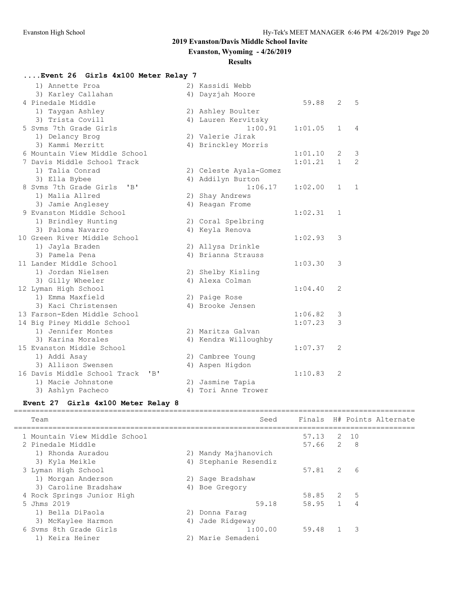**Evanston, Wyoming - 4/26/2019**

#### **Results**

| Event 26 Girls 4x100 Meter Relay 7  |                        |         |                |                |
|-------------------------------------|------------------------|---------|----------------|----------------|
| 1) Annette Proa                     | 2) Kassidi Webb        |         |                |                |
| 3) Karley Callahan                  | 4) Dayzjah Moore       |         |                |                |
| 4 Pinedale Middle                   |                        | 59.88   | 2              | 5              |
| 1) Taygan Ashley                    | 2) Ashley Boulter      |         |                |                |
| 3) Trista Covill                    | 4) Lauren Kervitsky    |         |                |                |
| 5 Syms 7th Grade Girls              | 1:00.91                | 1:01.05 | $\mathbf{1}$   | 4              |
| 1) Delancy Brog                     | 2) Valerie Jirak       |         |                |                |
| 3) Kammi Merritt                    | 4) Brinckley Morris    |         |                |                |
| 6 Mountain View Middle School       |                        | 1:01.10 | 2              | $\mathcal{E}$  |
| 7 Davis Middle School Track         |                        | 1:01.21 | $\mathbf{1}$   | $\overline{2}$ |
| 1) Talia Conrad                     | 2) Celeste Ayala-Gomez |         |                |                |
| 3) Ella Bybee                       | 4) Addilyn Burton      |         |                |                |
| 8 Syms 7th Grade Girls<br>$'$ $B'$  | 1:06.17                | 1:02.00 | $\mathbf{1}$   | 1              |
| 1) Malia Allred                     | 2) Shay Andrews        |         |                |                |
| 3) Jamie Anglesey                   | 4) Reagan Frome        |         |                |                |
| 9 Evanston Middle School            |                        | 1:02.31 | $\mathbf{1}$   |                |
| 1) Brindley Hunting                 | 2) Coral Spelbring     |         |                |                |
| 3) Paloma Navarro                   | 4) Keyla Renova        |         |                |                |
| 10 Green River Middle School        |                        | 1:02.93 | 3              |                |
| 1) Jayla Braden                     | 2) Allysa Drinkle      |         |                |                |
| 3) Pamela Pena                      | 4) Brianna Strauss     |         |                |                |
| 11 Lander Middle School             |                        | 1:03.30 | 3              |                |
| 1) Jordan Nielsen                   | 2) Shelby Kisling      |         |                |                |
| 3) Gilly Wheeler                    | 4) Alexa Colman        |         |                |                |
| 12 Lyman High School                |                        | 1:04.40 | $\overline{2}$ |                |
| 1) Emma Maxfield                    | 2) Paige Rose          |         |                |                |
| 3) Kaci Christensen                 | 4) Brooke Jensen       |         |                |                |
| 13 Farson-Eden Middle School        |                        | 1:06.82 | 3              |                |
| 14 Big Piney Middle School          |                        | 1:07.23 | 3              |                |
| 1) Jennifer Montes                  | 2) Maritza Galvan      |         |                |                |
| 3) Karina Morales                   | 4) Kendra Willoughby   |         |                |                |
| 15 Evanston Middle School           |                        | 1:07.37 | 2              |                |
| 1) Addi Asay<br>3) Allison Swensen  | 2) Cambree Young       |         |                |                |
| 16 Davis Middle School Track<br>"B" | 4) Aspen Higdon        |         | $\overline{2}$ |                |
| 1) Macie Johnstone                  | 2) Jasmine Tapia       | 1:10.83 |                |                |
|                                     | 4) Tori Anne Trower    |         |                |                |
| 3) Ashlyn Pacheco                   |                        |         |                |                |

# **Event 27 Girls 4x100 Meter Relay 8**

| Team                          |    | Seed                  |           |                | Finals H# Points Alternate |
|-------------------------------|----|-----------------------|-----------|----------------|----------------------------|
| 1 Mountain View Middle School |    |                       | 57.13     | 2 10           |                            |
| 2 Pinedale Middle             |    |                       | 57.66 2 8 |                |                            |
| 1) Rhonda Auradou             |    | 2) Mandy Majhanovich  |           |                |                            |
| 3) Kyla Meikle                |    | 4) Stephanie Resendiz |           |                |                            |
| 3 Lyman High School           |    |                       | 57.81 2 6 |                |                            |
| 1) Morgan Anderson            |    | 2) Sage Bradshaw      |           |                |                            |
| 3) Caroline Bradshaw          |    | 4) Boe Gregory        |           |                |                            |
| 4 Rock Springs Junior High    |    |                       | 58.85 2   | .5             |                            |
| 5 Jhms 2019                   |    | 59.18                 | 58.95 1   | $\overline{4}$ |                            |
| 1) Bella DiPaola              |    | 2) Donna Faraq        |           |                |                            |
| 3) McKaylee Harmon            | 4) | Jade Ridgeway         |           |                |                            |
| 6 Syms 8th Grade Girls        |    | 1:00.00               | 59.48     | -3             |                            |
| 1) Keira Heiner               |    | 2) Marie Semadeni     |           |                |                            |
|                               |    |                       |           |                |                            |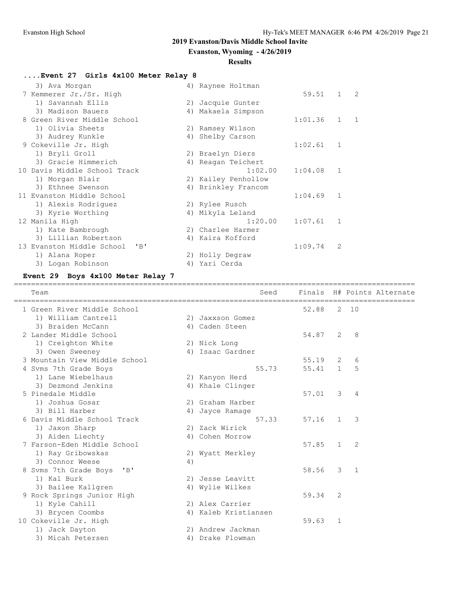**Evanston, Wyoming - 4/26/2019**

#### **Results**

# **....Event 27 Girls 4x100 Meter Relay 8**

| 3) Ava Morgan                         | 4) Raynee Holtman   |         |              |                |
|---------------------------------------|---------------------|---------|--------------|----------------|
| 7 Kemmerer Jr./Sr. High               |                     | 59.51   | $\mathbf{1}$ | $\overline{2}$ |
| 1) Savannah Ellis                     | 2) Jacquie Gunter   |         |              |                |
| 3) Madison Bauers                     | 4) Makaela Simpson  |         |              |                |
| 8 Green River Middle School           |                     | 1:01.36 | $\mathbf{1}$ | $\overline{1}$ |
| 1) Olivia Sheets                      | 2) Ramsey Wilson    |         |              |                |
| 3) Audrey Kunkle                      | 4) Shelby Carson    |         |              |                |
| 9 Cokeville Jr. High                  |                     | 1:02.61 | 1            |                |
| 1) Bryli Groll                        | 2) Braelyn Diers    |         |              |                |
| 3) Gracie Himmerich                   | 4) Reagan Teichert  |         |              |                |
| 10 Davis Middle School Track          | 1:02.00             | 1:04.08 | $\mathbf{1}$ |                |
| 1) Morgan Blair                       | 2) Kailey Penhollow |         |              |                |
| 3) Ethnee Swenson                     | 4) Brinkley Francom |         |              |                |
| 11 Evanston Middle School             |                     | 1:04.69 | 1            |                |
| 1) Alexis Rodriquez                   | 2) Rylee Rusch      |         |              |                |
| 3) Kyrie Worthing                     | 4) Mikyla Leland    |         |              |                |
| 12 Manila High                        | 1:20.00             | 1:07.61 | $\mathbf{1}$ |                |
| 1) Kate Bambrough                     | 2) Charlee Harmer   |         |              |                |
| 3) Lillian Robertson                  | 4) Kaira Kofford    |         |              |                |
| 13 Evanston Middle School<br>$'$ $B'$ |                     | 1:09.74 | 2            |                |
| 1) Alana Roper                        | 2) Holly Degraw     |         |              |                |
| 3) Logan Robinson                     | 4) Yari Cerda       |         |              |                |

# **Event 29 Boys 4x100 Meter Relay 7**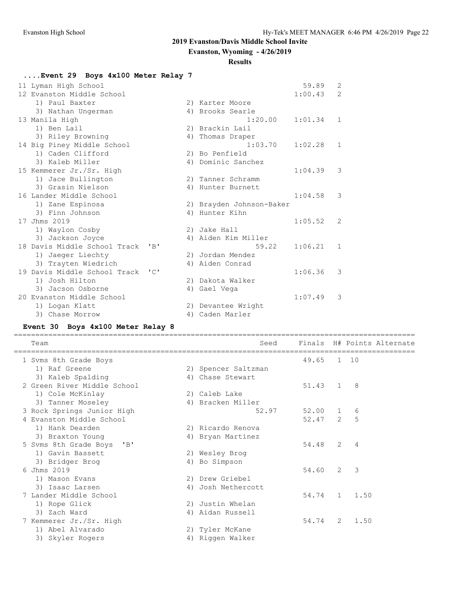**Evanston, Wyoming - 4/26/2019**

#### **Results**

# **....Event 29 Boys 4x100 Meter Relay 7**

| 11 Lyman High School         |                              |                          | 59.89   | 2             |
|------------------------------|------------------------------|--------------------------|---------|---------------|
| 12 Evanston Middle School    |                              |                          | 1:00.43 | $\mathcal{L}$ |
| 1) Paul Baxter               |                              | 2) Karter Moore          |         |               |
| 3) Nathan Ungerman           |                              | 4) Brooks Searle         |         |               |
| 13 Manila High               |                              | 1:20.00                  | 1:01.34 | $\mathbf{1}$  |
| 1) Ben Lail                  |                              | 2) Brackin Lail          |         |               |
| 3) Riley Browning            |                              | 4) Thomas Draper         |         |               |
| 14 Big Piney Middle School   |                              | 1:03.70                  | 1:02.28 | $\mathbf{1}$  |
| 1) Caden Clifford            |                              | 2) Bo Penfield           |         |               |
| 3) Kaleb Miller              |                              | 4) Dominic Sanchez       |         |               |
| 15 Kemmerer Jr./Sr. High     |                              |                          | 1:04.39 | 3             |
| 1) Jace Bullington           |                              | 2) Tanner Schramm        |         |               |
| 3) Grasin Nielson            |                              | 4) Hunter Burnett        |         |               |
| 16 Lander Middle School      |                              |                          | 1:04.58 | 3             |
| 1) Zane Espinosa             |                              | 2) Brayden Johnson-Baker |         |               |
| 3) Finn Johnson              |                              | 4) Hunter Kihn           |         |               |
| 17 Jhms 2019                 |                              |                          | 1:05.52 | 2             |
| 1) Waylon Cosby              |                              | 2) Jake Hall             |         |               |
| 3) Jackson Joyce             |                              | 4) Aiden Kim Miller      |         |               |
| 18 Davis Middle School Track | $'$ R $'$                    | 59.22                    | 1:06.21 | 1             |
| 1) Jaeger Liechty            |                              | 2) Jordan Mendez         |         |               |
| 3) Trayten Wiedrich          |                              | 4) Aiden Conrad          |         |               |
| 19 Davis Middle School Track | $\mathsf{L} \cap \mathsf{L}$ |                          | 1:06.36 | 3             |
| 1) Josh Hilton               |                              | 2) Dakota Walker         |         |               |
| 3) Jacson Osborne            |                              | 4) Gael Vega             |         |               |
| 20 Evanston Middle School    |                              |                          | 1:07.49 | 3             |
| 1) Logan Klatt               |                              | 2) Devantee Wright       |         |               |
| 3) Chase Morrow              |                              | 4) Caden Marler          |         |               |

#### **Event 30 Boys 4x100 Meter Relay 8**

| Team                                                                  | Seed                |            |                |                | Finals H# Points Alternate |
|-----------------------------------------------------------------------|---------------------|------------|----------------|----------------|----------------------------|
| 1 Svms 8th Grade Boys                                                 |                     | 49.65 1 10 |                |                |                            |
| 1) Raf Greene                                                         | 2) Spencer Saltzman |            |                |                |                            |
| 3) Kaleb Spalding                                                     | 4) Chase Stewart    |            |                |                |                            |
| 2 Green River Middle School                                           |                     | 51.43 1    |                | $\mathcal{B}$  |                            |
| 1) Cole McKinlay                                                      | 2) Caleb Lake       |            |                |                |                            |
| 3) Tanner Moseley                                                     | 4) Bracken Miller   |            |                |                |                            |
| 3 Rock Springs Junior High                                            | 52.97               | 52.00 1    |                | 6              |                            |
| 4 Evanston Middle School                                              |                     | $52.47$ 2  |                | 5              |                            |
| 1) Hank Dearden                                                       | 2) Ricardo Renova   |            |                |                |                            |
| 3) Braxton Young                                                      | 4) Bryan Martinez   |            |                |                |                            |
| 5 Syms 8th Grade Boys<br>$^{\prime}$ B <sup><math>\prime</math></sup> |                     | 54.48      | 2              | $\overline{4}$ |                            |
| 1) Gavin Bassett                                                      | 2) Wesley Brog      |            |                |                |                            |
| 3) Bridger Brog                                                       | 4) Bo Simpson       |            |                |                |                            |
| 6 Jhms 2019                                                           |                     | 54.60      | $\mathcal{L}$  | $\mathcal{B}$  |                            |
| 1) Mason Evans                                                        | 2) Drew Griebel     |            |                |                |                            |
| 3) Isaac Larsen                                                       | 4) Josh Nethercott  |            |                |                |                            |
| 7 Lander Middle School                                                |                     | 54.74      | $\overline{1}$ | 1.50           |                            |
| 1) Rope Glick                                                         | 2) Justin Whelan    |            |                |                |                            |
| 3) Zach Ward                                                          | 4) Aidan Russell    |            |                |                |                            |
| 7 Kemmerer Jr./Sr. High                                               |                     | 54.74      | 2              | 1.50           |                            |
| 1) Abel Alvarado                                                      | 2) Tyler McKane     |            |                |                |                            |
| 3) Skyler Rogers                                                      | 4) Riggen Walker    |            |                |                |                            |
|                                                                       |                     |            |                |                |                            |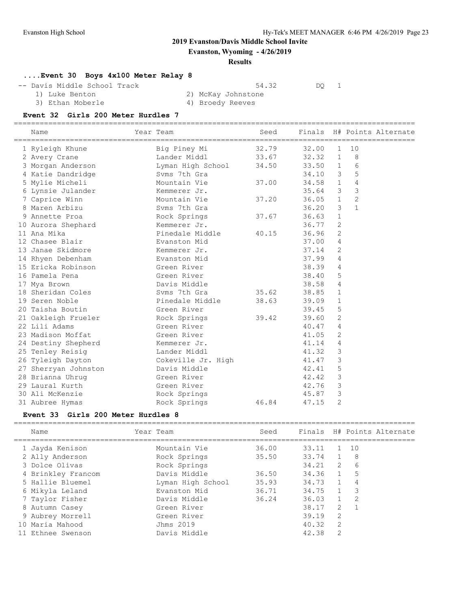**Evanston, Wyoming - 4/26/2019**

#### **Results**

# **....Event 30 Boys 4x100 Meter Relay 8**

-- Davis Middle School Track 54.32 DQ 1<br>1) Luke Benton 2) McKay Johnstone

3) Ethan Moberle

2) McKay Johnstone<br>4) Broedy Reeves

#### **Event 32 Girls 200 Meter Hurdles 7**

| Name                 | Year Team             | Seed  |           |                         |                | Finals H# Points Alternate |
|----------------------|-----------------------|-------|-----------|-------------------------|----------------|----------------------------|
| 1 Ryleigh Khune      | Big Piney Mi          | 32.79 | 32.00     | 1                       | 10             |                            |
| 2 Avery Crane        | Lander Middl          | 33.67 | 32.32 1   |                         | -8             |                            |
|                      |                       |       | 33.50 1   |                         | 6              |                            |
| 4 Katie Dandridge    | Svms 7th Gra          |       | $34.10$ 3 |                         | 5              |                            |
| 5 Mylie Micheli      | Mountain Vie          | 37.00 | 34.58 1   |                         | $\overline{4}$ |                            |
| 6 Lynsie Julander    | Kemmerer Jr.          |       | $35.64$ 3 |                         | 3              |                            |
| 7 Caprice Winn       | Mountain Vie          | 37.20 | $36.05$ 1 |                         | $\overline{2}$ |                            |
| 8 Maren Arbizu       | Svms 7th Gra          |       | 36.20     | 3                       | $\mathbf{1}$   |                            |
| 9 Annette Proa       | Rock Springs          | 37.67 | $36.63$ 1 |                         |                |                            |
| 10 Aurora Shephard   | Kemmerer Jr.          |       | $36.77$ 2 |                         |                |                            |
| 11 Ana Mika          | Pinedale Middle       | 40.15 | 36.96     | $\overline{2}$          |                |                            |
| 12 Chasee Blair      | Evanston Mid          |       | 37.00     | 4                       |                |                            |
| 13 Janae Skidmore    | Kemmerer Jr.          |       | 37.14     | 2                       |                |                            |
| 14 Rhyen Debenham    | Evanston Mid          |       | 37.99     | 4                       |                |                            |
| 15 Ericka Robinson   | Green River           |       | 38.39     | 4                       |                |                            |
| 16 Pamela Pena       | Green River           |       | 38.40     | 5                       |                |                            |
| 17 Mya Brown         | Davis Middle          |       | 38.58     | 4                       |                |                            |
| 18 Sheridan Coles    | Syms 7th Gra          | 35.62 | 38.85     | $\mathbf{1}$            |                |                            |
| 19 Seren Noble       | Pinedale Middle 38.63 |       | 39.09     | $\mathbf{1}$            |                |                            |
| 20 Taisha Boutin     | Green River           |       | 39.45 5   |                         |                |                            |
| 21 Oakleigh Frueler  | Rock Springs          | 39.42 | 39.60     | $\overline{2}$          |                |                            |
| 22 Lili Adams        | Green River           |       | 40.47     | 4                       |                |                            |
| 23 Madison Moffat    | Green River           |       | 41.05     | 2                       |                |                            |
| 24 Destiny Shepherd  | Kemmerer Jr.          |       | 41.14     | 4                       |                |                            |
| 25 Tenley Reisig     | Lander Middl          |       | 41.32     | 3                       |                |                            |
| 26 Tyleigh Dayton    | Cokeville Jr. High    |       | 41.47     | 3                       |                |                            |
| 27 Sherryan Johnston | Davis Middle          |       | 42.41     | 5                       |                |                            |
| 28 Brianna Uhrug     | Green River           |       | 42.42     | $\overline{\mathbf{3}}$ |                |                            |
| 29 Laural Kurth      | Green River           |       | 42.76     | $\mathcal{S}$           |                |                            |
| 30 Ali McKenzie      | Rock Springs          |       | 45.87     | 3                       |                |                            |
| 31 Aubree Hymas      | Rock Springs          | 46.84 | 47.15     | $\mathfrak{D}$          |                |                            |

#### **Event 33 Girls 200 Meter Hurdles 8**

| Name               | Year Team         | Seed  |       |                | Finals H# Points Alternate |
|--------------------|-------------------|-------|-------|----------------|----------------------------|
| 1 Jayda Kenison    | Mountain Vie      | 36.00 | 33.11 | $\mathbf{1}$   | 10                         |
| 2 Ally Anderson    | Rock Springs      | 35.50 | 33.74 | 1              | - 8                        |
| 3 Dolce Olivas     | Rock Springs      |       | 34.21 | $\overline{2}$ | 6                          |
| 4 Brinkley Francom | Davis Middle      | 36.50 | 34.36 | $\sqrt{1}$     | 5                          |
| 5 Hallie Bluemel   | Lyman High School | 35.93 | 34.73 | $\sqrt{1}$     | 4                          |
| 6 Mikyla Leland    | Evanston Mid      | 36.71 | 34.75 | 1              | -3                         |
| 7 Taylor Fisher    | Davis Middle      | 36.24 | 36.03 |                | 2                          |
| 8 Autumn Casey     | Green River       |       | 38.17 | -2             | $\overline{1}$             |
| 9 Aubrey Morrell   | Green River       |       | 39.19 | 2              |                            |
| 10 Maria Mahood    | Jhms 2019         |       | 40.32 | - 2            |                            |
| 11 Ethnee Swenson  | Davis Middle      |       | 42.38 | 2              |                            |

=============================================================================================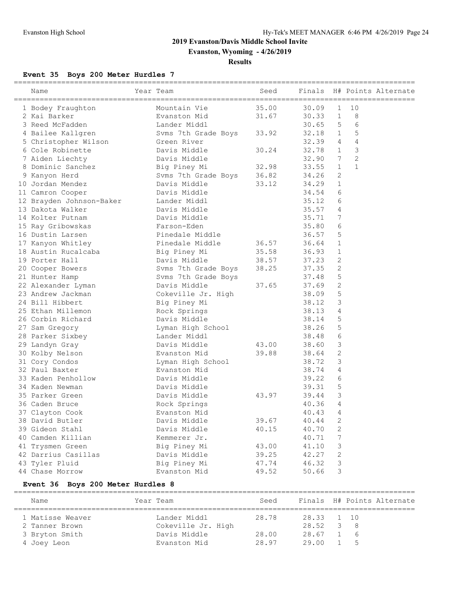**Evanston, Wyoming - 4/26/2019**

#### **Results**

# **Event 35 Boys 200 Meter Hurdles 7**

| Name                     | Year Team                 | Seed  | Finals |                |                | H# Points Alternate |
|--------------------------|---------------------------|-------|--------|----------------|----------------|---------------------|
| 1 Bodey Fraughton        | Mountain Vie              | 35.00 | 30.09  | 1              | 10             |                     |
| 2 Kai Barker             | Evanston Mid              | 31.67 | 30.33  | $\mathbf{1}$   | 8              |                     |
| 3 Reed McFadden          | Lander Middl              |       | 30.65  | 5              | 6              |                     |
| 4 Bailee Kallgren        | Svms 7th Grade Boys 33.92 |       | 32.18  | $\mathbf{1}$   | 5              |                     |
| 5 Christopher Wilson     | Green River               |       | 32.39  | 4              | 4              |                     |
| 6 Cole Robinette         | Davis Middle              | 30.24 | 32.78  | $\mathbf{1}$   | 3              |                     |
| 7 Aiden Liechty          | Davis Middle              |       | 32.90  | 7              | $\overline{2}$ |                     |
| 8 Dominic Sanchez        | Big Piney Mi              | 32.98 | 33.55  | $\mathbf{1}$   | $\mathbf{1}$   |                     |
| 9 Kanyon Herd            | Svms 7th Grade Boys 36.82 |       | 34.26  | 2              |                |                     |
| 10 Jordan Mendez         | Davis Middle              | 33.12 | 34.29  | $\mathbf{1}$   |                |                     |
| 11 Camron Cooper         | Davis Middle              |       | 34.54  | 6              |                |                     |
| 12 Brayden Johnson-Baker | Lander Middl              |       | 35.12  | 6              |                |                     |
| 13 Dakota Walker         | Davis Middle              |       | 35.57  | $\overline{4}$ |                |                     |
| 14 Kolter Putnam         | Davis Middle              |       | 35.71  | 7              |                |                     |
| 15 Ray Gribowskas        | Farson-Eden               |       | 35.80  | 6              |                |                     |
| 16 Dustin Larsen         | Pinedale Middle           |       | 36.57  | 5              |                |                     |
| 17 Kanyon Whitley        | Pinedale Middle           | 36.57 | 36.64  | $\mathbf{1}$   |                |                     |
| 18 Austin Rucalcaba      | Big Piney Mi              | 35.58 | 36.93  | $\mathbf{1}$   |                |                     |
| 19 Porter Hall           | Davis Middle              | 38.57 | 37.23  | 2              |                |                     |
| 20 Cooper Bowers         | Svms 7th Grade Boys 38.25 |       | 37.35  | 2              |                |                     |
| 21 Hunter Hamp           | Svms 7th Grade Boys       |       | 37.48  | 5              |                |                     |
| 22 Alexander Lyman       | Davis Middle              | 37.65 | 37.69  | $\mathbf{2}$   |                |                     |
| 23 Andrew Jackman        | Cokeville Jr. High        |       | 38.09  | 5              |                |                     |
| 24 Bill Hibbert          | Big Piney Mi              |       | 38.12  | 3              |                |                     |
| 25 Ethan Millemon        | Rock Springs              |       | 38.13  | 4              |                |                     |
| 26 Corbin Richard        | Davis Middle              |       | 38.14  | 5              |                |                     |
| 27 Sam Gregory           | Lyman High School         |       | 38.26  | 5              |                |                     |
| 28 Parker Sixbey         | Lander Middl              |       | 38.48  | 6              |                |                     |
| 29 Landyn Gray           | Davis Middle              | 43.00 | 38.60  | 3              |                |                     |
| 30 Kolby Nelson          | Evanston Mid              | 39.88 | 38.64  | 2              |                |                     |
| 31 Cory Condos           | Lyman High School         |       | 38.72  | 3              |                |                     |
| 32 Paul Baxter           | Evanston Mid              |       | 38.74  | $\overline{4}$ |                |                     |
| 33 Kaden Penhollow       | Davis Middle              |       | 39.22  | 6              |                |                     |
| 34 Kaden Newman          | Davis Middle              |       | 39.31  | 5              |                |                     |
| 35 Parker Green          | Davis Middle              | 43.97 | 39.44  | 3              |                |                     |
| 36 Caden Bruce           | Rock Springs              |       | 40.36  | 4              |                |                     |
| 37 Clayton Cook          | Evanston Mid              |       | 40.43  | $\overline{4}$ |                |                     |
| 38 David Butler          | Davis Middle              | 39.67 | 40.44  | 2              |                |                     |
| 39 Gideon Stahl          | Davis Middle              | 40.15 | 40.70  | $\sqrt{2}$     |                |                     |
| 40 Camden Killian        | Kemmerer Jr.              |       | 40.71  | 7              |                |                     |
| 41 Trysmen Green         | Big Piney Mi              | 43.00 | 41.10  | 3              |                |                     |
| 42 Darrius Casillas      | Davis Middle              | 39.25 | 42.27  | 2              |                |                     |
| 43 Tyler Pluid           | Big Piney Mi              | 47.74 | 46.32  | 3              |                |                     |
| 44 Chase Morrow          | Evanston Mid              | 49.52 | 50.66  | 3              |                |                     |

# **Event 36 Boys 200 Meter Hurdles 8**

| Name             | Year Team          | Seed  |                |              | Finals H# Points Alternate |
|------------------|--------------------|-------|----------------|--------------|----------------------------|
| 1 Matisse Weaver | Lander Middl       | 28.78 | 28.33 1 10     |              |                            |
| 2 Tanner Brown   | Cokeville Jr. High |       | $28.52 \t 3 8$ |              |                            |
| 3 Bryton Smith   | Davis Middle       | 28.00 | 28.67 1 6      |              |                            |
| 4 Joey Leon      | Evanston Mid       | 28.97 | 29.00          | $\sqrt{1}$ 5 |                            |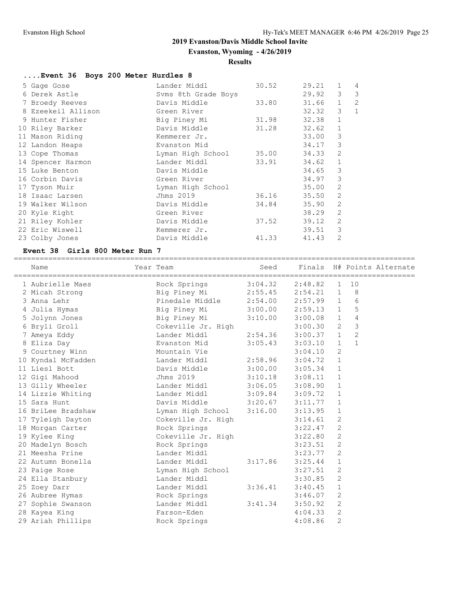**Evanston, Wyoming - 4/26/2019**

# **Results**

| Event 36 Boys 200 Meter Hurdles 8 |                     |       |       |                |              |
|-----------------------------------|---------------------|-------|-------|----------------|--------------|
| 5 Gage Gose                       | Lander Middl        | 30.52 | 29.21 | $\mathbf{1}$   | 4            |
| 6 Derek Astle                     | Syms 8th Grade Boys |       | 29.92 | 3              | 3            |
| 7 Broedy Reeves                   | Davis Middle        | 33.80 | 31.66 | $\mathbf{1}$   | 2            |
| 8 Ezeekeil Allison                | Green River         |       | 32.32 | 3              | $\mathbf{1}$ |
| 9 Hunter Fisher                   | Big Piney Mi        | 31.98 | 32.38 | $\mathbf{1}$   |              |
| 10 Riley Barker                   | Davis Middle        | 31.28 | 32.62 | $\mathbf{1}$   |              |
| 11 Mason Riding                   | Kemmerer Jr.        |       | 33.00 | 3              |              |
| 12 Landon Heaps                   | Evanston Mid        |       | 34.17 | 3              |              |
| 13 Cope Thomas                    | Lyman High School   | 35.00 | 34.33 | 2              |              |
| 14 Spencer Harmon                 | Lander Middl        | 33.91 | 34.62 | $\mathbf{1}$   |              |
| 15 Luke Benton                    | Davis Middle        |       | 34.65 | 3              |              |
| 16 Corbin Davis                   | Green River         |       | 34.97 | 3              |              |
| 17 Tyson Muir                     | Lyman High School   |       | 35.00 | $\overline{2}$ |              |
| 18 Isaac Larsen                   | Jhms 2019           | 36.16 | 35.50 | $\mathfrak{D}$ |              |
| 19 Walker Wilson                  | Davis Middle        | 34.84 | 35.90 | $\overline{2}$ |              |
| 20 Kyle Kight                     | Green River         |       | 38.29 | 2              |              |
| 21 Riley Kohler                   | Davis Middle        | 37.52 | 39.12 | $\mathfrak{D}$ |              |
| 22 Eric Wiswell                   | Kemmerer Jr.        |       | 39.51 | 3              |              |
| 23 Colby Jones                    | Davis Middle        | 41.33 | 41.43 | $\overline{2}$ |              |

#### **Event 38 Girls 800 Meter Run 7**

| Name               | Year Team                         | Seed                |             |                |                | Finals H# Points Alternate |
|--------------------|-----------------------------------|---------------------|-------------|----------------|----------------|----------------------------|
| 1 Aubrielle Maes   | Rock Springs                      | $3:04.32$ $2:48.82$ |             | 1              | 10             |                            |
| 2 Micah Strong     | Big Piney Mi 2:55.45 2:54.21 1    |                     |             |                | 8              |                            |
| 3 Anna Lehr        |                                   |                     |             |                | 6              |                            |
| 4 Julia Hymas      | Big Piney Mi 3:00.00 2:59.13 1    |                     |             |                | 5              |                            |
| 5 Jolynn Jones     | Big Piney Mi 3:10.00              |                     | $3:00.08$ 1 |                | $\overline{4}$ |                            |
| 6 Bryli Groll      | Cokeville Jr. High                |                     | 3:00.30 2   |                | 3              |                            |
| 7 Ameya Eddy       | Lander Middl 2:54.36              |                     | 3:00.37 1   |                | $\overline{c}$ |                            |
| 8 Eliza Day        | Evanston Mid                      | 3:05.43             | 3:03.10     | $\overline{1}$ | $\mathbf{1}$   |                            |
| 9 Courtney Winn    | Mountain Vie                      |                     | 3:04.10     | $\overline{2}$ |                |                            |
| 10 Kyndal McFadden |                                   |                     | $3:04.72$ 1 |                |                |                            |
| 11 Liesl Bott      | Davis Middle 3:00.00 3:05.34      |                     |             | $\mathbf{1}$   |                |                            |
| 12 Gigi Mahood     | Jhms 2019 3:10.18 3:08.11         |                     |             | $\overline{1}$ |                |                            |
| 13 Gilly Wheeler   | Lander Middl 3:06.05 3:08.90      |                     |             | $\overline{1}$ |                |                            |
| 14 Lizzie Whiting  | Lander Middl 3:09.84 3:09.72      |                     |             | $\mathbf{1}$   |                |                            |
| 15 Sara Hunt       | Davis Middle 3:20.67              |                     | 3:11.77     | $\mathbf{1}$   |                |                            |
| 16 BriLee Bradshaw | Lyman High School 3:16.00 3:13.95 |                     |             | $\mathbf{1}$   |                |                            |
| 17 Tyleigh Dayton  | Cokeville Jr. High                |                     | 3:14.61     | 2              |                |                            |
| 18 Morgan Carter   | Rock Springs                      |                     | $3:22.47$ 2 |                |                |                            |
| 19 Kylee King      | Cokeville Jr. High                |                     | 3:22.80     | -2             |                |                            |
| 20 Madelyn Bosch   | Rock Springs                      |                     | 3:23.51     | 2              |                |                            |
| 21 Meesha Prine    | Lander Middl                      |                     | 3:23.77     | 2              |                |                            |
| 22 Autumn Bonella  | Lander Middl                      | 3:17.86             | 3:25.44     | $\mathbf{1}$   |                |                            |
| 23 Paige Rose      | Lyman High School                 |                     | 3:27.51     | 2              |                |                            |
| 24 Ella Stanbury   | Lander Middl                      |                     | 3:30.85 2   |                |                |                            |
| 25 Zoey Darr       | Lander Middl                      | 3:36.41             | 3:40.45     | $\mathbf{1}$   |                |                            |
| 26 Aubree Hymas    | Rock Springs                      |                     | 3:46.07     | 2              |                |                            |
| 27 Sophie Swanson  | Lander Middl                      | 3:41.34             | 3:50.92     | 2              |                |                            |
| 28 Kayea King      | Farson-Eden                       |                     | 4:04.33     | 2              |                |                            |
| 29 Ariah Phillips  | Rock Springs                      |                     | 4:08.86     | 2              |                |                            |
|                    |                                   |                     |             |                |                |                            |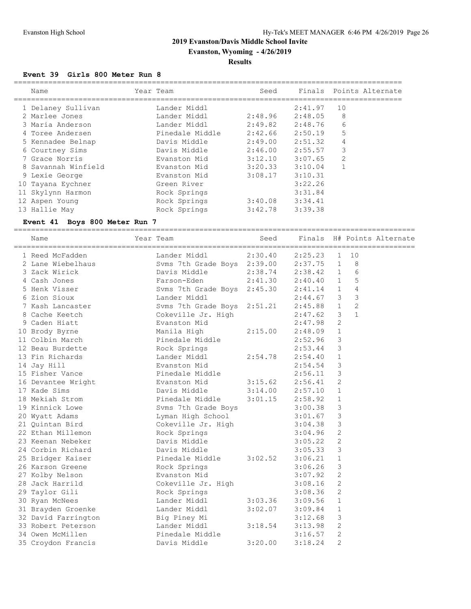**Evanston, Wyoming - 4/26/2019**

#### **Results**

#### **Event 39 Girls 800 Meter Run 8**

| Name                | Year Team       | Seed    |         | Finals Points Alternate |
|---------------------|-----------------|---------|---------|-------------------------|
| 1 Delaney Sullivan  | Lander Middl    |         | 2:41.97 | 10                      |
| 2 Marlee Jones      | Lander Middl    | 2:48.96 | 2:48.05 | 8                       |
| 3 Maria Anderson    | Lander Middl    | 2:49.82 | 2:48.76 | 6                       |
| 4 Toree Andersen    | Pinedale Middle | 2:42.66 | 2:50.19 | 5                       |
| 5 Kennadee Belnap   | Davis Middle    | 2:49.00 | 2:51.32 | 4                       |
| 6 Courtney Sims     | Davis Middle    | 2:46.00 | 2:55.57 | 3                       |
| 7 Grace Norris      | Evanston Mid    | 3:12.10 | 3:07.65 | $\overline{2}$          |
| 8 Savannah Winfield | Evanston Mid    | 3:20.33 | 3:10.04 |                         |
| 9 Lexie George      | Evanston Mid    | 3:08.17 | 3:10.31 |                         |
| 10 Tayana Eychner   | Green River     |         | 3:22.26 |                         |
| 11 Skylynn Harmon   | Rock Springs    |         | 3:31.84 |                         |
| 12 Aspen Young      | Rock Springs    | 3:40.08 | 3:34.41 |                         |
| 13 Hallie May       | Rock Springs    | 3:42.78 | 3:39.38 |                         |

#### **Event 41 Boys 800 Meter Run 7**

=============================================================================================

| Name                                | Year Team                                                                                                                                                                                       | Seed    |             |                         |              | Finals H# Points Alternate |
|-------------------------------------|-------------------------------------------------------------------------------------------------------------------------------------------------------------------------------------------------|---------|-------------|-------------------------|--------------|----------------------------|
| 1 Reed McFadden                     | Lander Middl 2:30.40 2:25.23 1<br>Svms 7th Grade Boys 2:39.00 2:37.75 1<br>Davis Middle 2:38.74 2:38.42 1<br>Farson-Eden 2:41.30 2:40.40 1<br>Svms 7th Grade Boys 2:45.30 2:41.14 1<br>Landball |         |             |                         | 10           |                            |
| 2 Lane Wiebelhaus                   | Lander Middl<br>Syms 7th Grac<br>-                                                                                                                                                              |         |             |                         | $_{\rm 8}$   |                            |
| 3 Zack Wirick                       |                                                                                                                                                                                                 |         | 2:38.42 1   |                         | 6            |                            |
| 4 Cash Jones                        |                                                                                                                                                                                                 |         | 2:40.40 1   |                         | 5            |                            |
| 5 Henk Visser                       |                                                                                                                                                                                                 |         | $2:41.14$ 1 |                         | 4            |                            |
| 6 Zion Sioux                        | Lander Middl                                                                                                                                                                                    |         | 2:44.67 3   |                         | 3            |                            |
| 7 Kash Lancaster                    | Svms 7th Grade Boys 2:51.21                                                                                                                                                                     |         | 2:45.88 1   |                         | 2            |                            |
| 8 Cache Keetch                      | Cokeville Jr. High                                                                                                                                                                              |         | 2:47.62 3   |                         | $\mathbf{1}$ |                            |
| 9 Caden Hiatt                       | Evanston Mid                                                                                                                                                                                    |         | 2:47.98     | 2                       |              |                            |
| 10 Brody Byrne                      | Manila High                                                                                                                                                                                     | 2:15.00 | $2:48.09$ 1 |                         |              |                            |
| 11 Colbin March                     | Pinedale Middle                                                                                                                                                                                 |         | 2:52.96     | $\overline{3}$          |              |                            |
| 12 Beau Burdette                    | Rock Springs                                                                                                                                                                                    |         | 2:53.44     | $\overline{\mathbf{3}}$ |              |                            |
| 13 Fin Richards                     | Lander Middl                                                                                                                                                                                    | 2:54.78 | 2:54.40 1   |                         |              |                            |
| 14 Jay Hill                         | Evanston Mid                                                                                                                                                                                    |         | 2:54.54     | $\overline{\mathbf{3}}$ |              |                            |
| 15 Fisher Vance                     | Pinedale Middle                                                                                                                                                                                 |         | 2:56.11     | $\mathbf{3}$            |              |                            |
| 16 Devantee Wright Mid Evanston Mid |                                                                                                                                                                                                 | 3:15.62 | 2:56.41     | $\overline{2}$          |              |                            |
| 17 Kade Sims                        | Davis Middle                                                                                                                                                                                    | 3:14.00 | 2:57.10 1   |                         |              |                            |
| 18 Mekiah Strom                     | Pinedale Middle 3:01.15 2:58.92                                                                                                                                                                 |         |             | $\overline{1}$          |              |                            |
| 19 Kinnick Lowe                     | Svms 7th Grade Boys 3:00.38                                                                                                                                                                     |         |             | $\overline{3}$          |              |                            |
| 20 Wyatt Adams                      | Lyman High School                                                                                                                                                                               |         | 3:01.67     | $\overline{\mathbf{3}}$ |              |                            |
| 21 Ouintan Bird                     | Cokeville Jr. High 3:04.38                                                                                                                                                                      |         |             | $\overline{\mathbf{3}}$ |              |                            |
| 22 Ethan Millemon                   | Rock Springs                                                                                                                                                                                    |         | 3:04.96     | 2                       |              |                            |
| 23 Keenan Nebeker                   | Davis Middle                                                                                                                                                                                    |         | 3:05.22     | 2                       |              |                            |
| 24 Corbin Richard                   | Davis Middle                                                                                                                                                                                    |         | 3:05.33 3   |                         |              |                            |
| 25 Bridger Kaiser                   | Pinedale Middle 3:02.52                                                                                                                                                                         |         | 3:06.21 1   |                         |              |                            |
| 26 Karson Greene                    | Rock Springs                                                                                                                                                                                    |         | 3:06.26     | $\overline{\mathbf{3}}$ |              |                            |
| 27 Kolby Nelson                     | Evanston Mid                                                                                                                                                                                    |         | 3:07.92     | $\overline{2}$          |              |                            |
| 28 Jack Harrild                     | Cokeville Jr. High                                                                                                                                                                              |         | $3:08.16$ 2 |                         |              |                            |
| 29 Taylor Gili                      | Rock Springs                                                                                                                                                                                    |         | $3:08.36$ 2 |                         |              |                            |
| 30 Ryan McNees                      | Lander Middl 3:03.36                                                                                                                                                                            |         | $3:09.56$ 1 |                         |              |                            |
| 31 Brayden Groenke                  | Lander Middl                                                                                                                                                                                    | 3:02.07 | 3:09.84     | <sup>1</sup>            |              |                            |
| 32 David Farrington                 | Big Piney Mi                                                                                                                                                                                    |         | 3:12.68     | $\overline{\mathbf{3}}$ |              |                            |
| 33 Robert Peterson                  | Lander Middl 3:18.54                                                                                                                                                                            |         | $3:13.98$ 2 |                         |              |                            |
| 34 Owen McMillen                    | Pinedale Middle                                                                                                                                                                                 |         | 3:16.57 2   |                         |              |                            |
| 35 Croydon Francis                  | Davis Middle                                                                                                                                                                                    | 3:20.00 | 3:18.24     | 2                       |              |                            |
|                                     |                                                                                                                                                                                                 |         |             |                         |              |                            |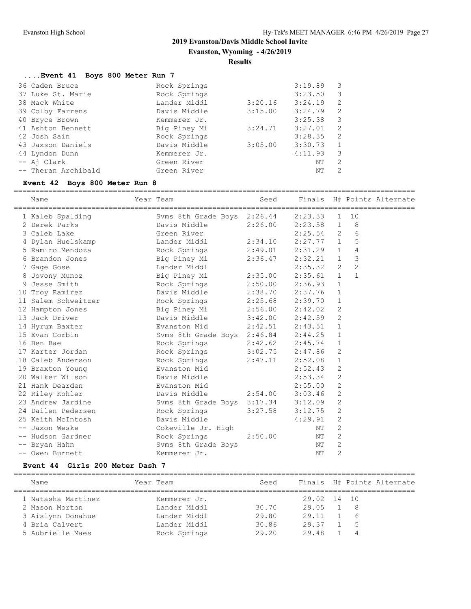**Evanston, Wyoming - 4/26/2019**

#### **Results**

#### **....Event 41 Boys 800 Meter Run 7**

| 36 Caden Bruce      | Rock Springs |         | 3:19.89 | 3                          |
|---------------------|--------------|---------|---------|----------------------------|
| 37 Luke St. Marie   | Rock Springs |         | 3:23.50 | $\overline{\phantom{a}}$   |
| 38 Mack White       | Lander Middl | 3:20.16 | 3:24.19 | $\overline{\phantom{0}}^2$ |
| 39 Colby Farrens    | Davis Middle | 3:15.00 | 3:24.79 | $\overline{2}$             |
| 40 Bryce Brown      | Kemmerer Jr. |         | 3:25.38 | $\overline{\phantom{a}}$   |
| 41 Ashton Bennett   | Big Piney Mi | 3:24.71 | 3:27.01 | $\overline{2}$             |
| 42 Josh Sain        | Rock Springs |         | 3:28.35 | $\overline{2}$             |
| 43 Jaxson Daniels   | Davis Middle | 3:05.00 | 3:30.73 | $\overline{1}$             |
| 44 Lyndon Dunn      | Kemmerer Jr. |         | 4:11.93 | $\overline{\mathbf{3}}$    |
| -- Ai Clark         | Green River  |         | NΤ      | $\overline{\phantom{0}}^2$ |
| -- Theran Archibald | Green River  |         | NΤ      | -2                         |
|                     |              |         |         |                            |

# **Event 42 Boys 800 Meter Run 8**

============================================================================================= Year Team Seed Finals H# Points Alternate

|    | 1 Kaleb Spalding    | Svms 8th Grade Boys 2:26.44 |                     | 2:23.33     | $\mathbf{1}$   | 10             |  |
|----|---------------------|-----------------------------|---------------------|-------------|----------------|----------------|--|
|    | 2 Derek Parks       | Davis Middle                | 2:26.00             | 2:23.58     | 1              | 8              |  |
|    | 3 Caleb Lake        | Green River                 |                     | $2:25.54$ 2 |                | 6              |  |
|    | 4 Dylan Huelskamp   | Lander Middl                | 2:34.10             | $2:27.77$ 1 |                | 5              |  |
|    | 5 Ramiro Mendoza    | Rock Springs                | 2:49.01             | 2:31.29     | $\mathbf{1}$   | 4              |  |
|    | 6 Brandon Jones     | Big Piney Mi                | 2:36.47             | 2:32.21     | $\mathbf{1}$   | 3              |  |
|    | 7 Gage Gose         | Lander Middl                |                     | 2:35.32     | 2              | $\overline{c}$ |  |
|    | 8 Jovony Munoz      | Big Piney Mi                | 2:35.00             | 2:35.61 1   |                | $\mathbf{1}$   |  |
|    | 9 Jesse Smith       | Rock Springs                | 2:50.00             | 2:36.93     | $\mathbf{1}$   |                |  |
|    | 10 Troy Ramirez     | Davis Middle                | 2:38.70             | 2:37.76     | $\mathbf{1}$   |                |  |
|    | 11 Salem Schweitzer | Rock Springs 2:25.68        |                     | 2:39.70     | $\mathbf{1}$   |                |  |
|    | 12 Hampton Jones    | Big Piney Mi                | $2:56.00$ $2:42.02$ |             | 2              |                |  |
|    | 13 Jack Driver      | Davis Middle                | 3:42.00             | 2:42.59     | 2              |                |  |
|    | 14 Hyrum Baxter     | Evanston Mid                | 2:42.51             | 2:43.51     | $\mathbf{1}$   |                |  |
|    | 15 Evan Corbin      | Svms 8th Grade Boys 2:46.84 |                     | 2:44.25     | $\mathbf{1}$   |                |  |
|    | 16 Ben Bae          | Rock Springs                | $2:42.62$ $2:45.74$ |             | 1              |                |  |
| 17 | Karter Jordan       | Rock Springs                | $3:02.75$ $2:47.86$ |             | $\mathbf{2}$   |                |  |
|    | 18 Caleb Anderson   | Rock Springs                | 2:47.11             | 2:52.08     | $\mathbf{1}$   |                |  |
|    | 19 Braxton Young    | Evanston Mid                |                     | 2:52.43     | $\overline{2}$ |                |  |
|    | 20 Walker Wilson    | Davis Middle                |                     | 2:53.34     | 2              |                |  |
|    | 21 Hank Dearden     | Evanston Mid                |                     | 2:55.00     | $\mathbf{2}$   |                |  |
|    | 22 Riley Kohler     | Davis Middle                | 2:54.00             | 3:03.46     | 2              |                |  |
|    | 23 Andrew Jardine   | Svms 8th Grade Boys 3:17.34 |                     | 3:12.09     | $\mathbf{2}$   |                |  |
|    | 24 Dailen Pedersen  | Rock Springs                | 3:27.58             | 3:12.75     | 2              |                |  |
|    | 25 Keith McIntosh   | Davis Middle                |                     | 4:29.91     | $\mathbf{2}$   |                |  |
|    | -- Jaxon Weske      | Cokeville Jr. High          |                     | NΤ          | 2              |                |  |
|    | -- Hudson Gardner   | Rock Springs                | 2:50.00             | NΤ          | 2              |                |  |
|    | -- Bryan Hahn       | Svms 8th Grade Boys         |                     | NΤ          | $\mathfrak{D}$ |                |  |
|    | -- Owen Burnett     | Kemmerer Jr.                |                     | NΤ          | $\overline{2}$ |                |  |

#### **Event 44 Girls 200 Meter Dash 7**

| Finals H# Points Alternate<br>Year Team<br>Seed<br>Name    |  |
|------------------------------------------------------------|--|
|                                                            |  |
| 1 Natasha Martinez<br>29.02 14 10<br>Kemmerer Jr.          |  |
| Lander Middl<br>30.70<br>29.05<br>2 Mason Morton<br>- 8    |  |
| 29.80<br>29.11<br>Lander Middl<br>3 Aislynn Donahue<br>- 6 |  |
| 4 Bria Calvert<br>30.86<br>Lander Middl<br>29.37<br>- 5    |  |
| 29.20<br>Rock Springs<br>5 Aubrielle Maes<br>29.48<br>4    |  |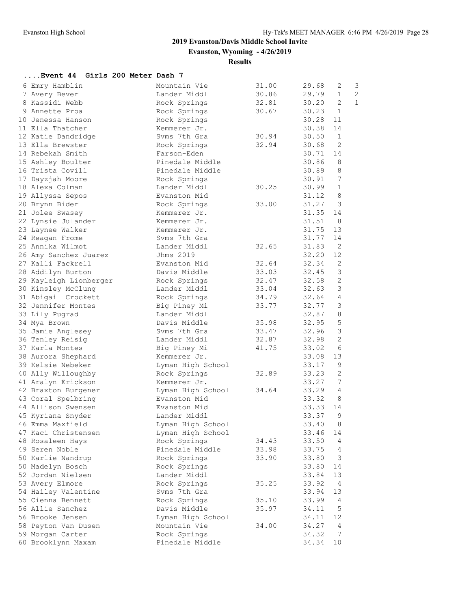**Evanston, Wyoming - 4/26/2019**

**Results**

| Event 44 Girls 200 Meter Dash 7 |                   |       |                         |                |
|---------------------------------|-------------------|-------|-------------------------|----------------|
| 6 Emry Hamblin                  | Mountain Vie      | 31.00 | 29.68<br>2              | 3              |
| 7 Avery Bever                   | Lander Middl      | 30.86 | 29.79<br>$\mathbf{1}$   | $\overline{c}$ |
| 8 Kassidi Webb                  | Rock Springs      | 32.81 | 30.20<br>$\overline{2}$ | $\mathbf{1}$   |
| 9 Annette Proa                  | Rock Springs      | 30.67 | 30.23<br>$\mathbf{1}$   |                |
| 10 Jenessa Hanson               | Rock Springs      |       | 30.28<br>11             |                |
| 11 Ella Thatcher                | Kemmerer Jr.      |       | 30.38<br>14             |                |
| 12 Katie Dandridge              | Svms 7th Gra      | 30.94 | 30.50<br>$\mathbf{1}$   |                |
| 13 Ella Brewster                | Rock Springs      | 32.94 | 2<br>30.68              |                |
| 14 Rebekah Smith                | Farson-Eden       |       | 30.71<br>14             |                |
| 15 Ashley Boulter               | Pinedale Middle   |       | 30.86<br>8              |                |
| 16 Trista Covill                | Pinedale Middle   |       | 30.89<br>8              |                |
| 17 Dayzjah Moore                | Rock Springs      |       | 7<br>30.91              |                |
| 18 Alexa Colman                 | Lander Middl      | 30.25 | 30.99<br>$\mathbf{1}$   |                |
| 19 Allyssa Sepos                | Evanston Mid      |       | 31.12<br>8              |                |
| 20 Brynn Bider                  | Rock Springs      | 33.00 | 31.27<br>3              |                |
| 21 Jolee Swasey                 | Kemmerer Jr.      |       | 31.35<br>14             |                |
| 22 Lynsie Julander              | Kemmerer Jr.      |       | 31.51<br>8              |                |
| 23 Laynee Walker                | Kemmerer Jr.      |       | 31.75<br>13             |                |
| 24 Reagan Frome                 | Svms 7th Gra      |       | 31.77<br>14             |                |
| 25 Annika Wilmot                | Lander Middl      | 32.65 | 31.83<br>2              |                |
| 26 Amy Sanchez Juarez           | Jhms 2019         |       | 32.20<br>12             |                |
| 27 Kalli Fackrell               | Evanston Mid      | 32.64 | 32.34<br>2              |                |
| 28 Addilyn Burton               | Davis Middle      | 33.03 | 3<br>32.45              |                |
| 29 Kayleigh Lionberger          | Rock Springs      | 32.47 | 32.58<br>2              |                |
| 30 Kinsley McClung              | Lander Middl      | 33.04 | 3<br>32.63              |                |
| 31 Abigail Crockett             | Rock Springs      | 34.79 | $\overline{4}$<br>32.64 |                |
| 32 Jennifer Montes              | Big Piney Mi      | 33.77 | 32.77<br>3              |                |
| 33 Lily Pugrad                  | Lander Middl      |       | 8<br>32.87              |                |
| 34 Mya Brown                    | Davis Middle      | 35.98 | 5<br>32.95              |                |
| 35 Jamie Anglesey               | Svms 7th Gra      | 33.47 | 32.96<br>3              |                |
| 36 Tenley Reisig                | Lander Middl      | 32.87 | 2<br>32.98              |                |
| 37 Karla Montes                 | Big Piney Mi      | 41.75 | 6<br>33.02              |                |
| 38 Aurora Shephard              | Kemmerer Jr.      |       | 13<br>33.08             |                |
| 39 Kelsie Nebeker               | Lyman High School |       | 9<br>33.17              |                |
| 40 Ally Willoughby              | Rock Springs      | 32.89 | 33.23<br>2              |                |
| 41 Aralyn Erickson              | Kemmerer Jr.      |       | 33.27<br>7              |                |
| 42 Braxton Burgener             | Lyman High School | 34.64 | 33.29<br>4              |                |
| 43 Coral Spelbring              | Evanston Mid      |       | 33.32<br>8              |                |
| 44 Allison Swensen              | Evanston Mid      |       | 33.33<br>14             |                |
| 45 Kyriana Snyder               | Lander Middl      |       | q<br>33.37              |                |
| 46 Emma Maxfield                | Lyman High School |       | 33.40<br>8              |                |
| 47 Kaci Christensen             | Lyman High School |       | 33.46<br>14             |                |
| 48 Rosaleen Hays                | Rock Springs      | 34.43 | 33.50<br>4              |                |
| 49 Seren Noble                  | Pinedale Middle   | 33.98 | 33.75<br>4              |                |
| 50 Karlie Nandrup               | Rock Springs      | 33.90 | 33.80<br>3              |                |
| 50 Madelyn Bosch                | Rock Springs      |       | 33.80<br>14             |                |
| 52 Jordan Nielsen               | Lander Middl      |       | 13<br>33.84             |                |
| 53 Avery Elmore                 | Rock Springs      | 35.25 | 33.92<br>4              |                |
| 54 Hailey Valentine             | Svms 7th Gra      |       | 33.94<br>13             |                |
| 55 Cienna Bennett               | Rock Springs      | 35.10 | 33.99<br>4              |                |
| 56 Allie Sanchez                | Davis Middle      | 35.97 | 5<br>34.11              |                |
| 56 Brooke Jensen                | Lyman High School |       | 12<br>34.11             |                |
| 58 Peyton Van Dusen             | Mountain Vie      | 34.00 | 34.27<br>4              |                |
| 59 Morgan Carter                | Rock Springs      |       | 34.32<br>7              |                |
| 60 Brooklynn Maxam              | Pinedale Middle   |       | 34.34<br>10             |                |
|                                 |                   |       |                         |                |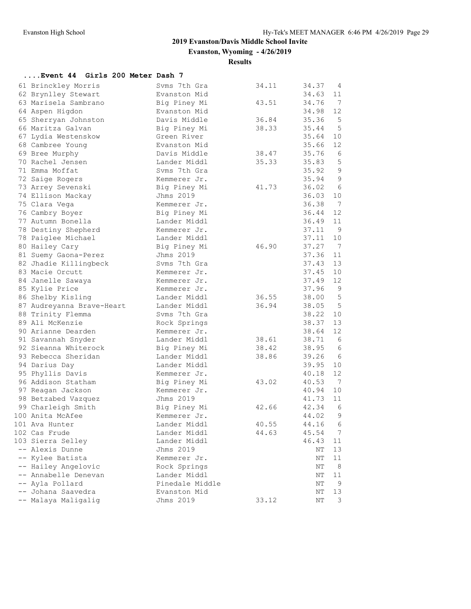**Evanston, Wyoming - 4/26/2019**

**Results**

# **....Event 44 Girls 200 Meter Dash 7**

| 61 Brinckley Morris       | Svms 7th Gra    | 34.11 | 34.37 | 4              |
|---------------------------|-----------------|-------|-------|----------------|
| 62 Brynlley Stewart       | Evanston Mid    |       | 34.63 | 11             |
| 63 Marisela Sambrano      | Big Piney Mi    | 43.51 | 34.76 | 7              |
| 64 Aspen Higdon           | Evanston Mid    |       | 34.98 | 12             |
| 65 Sherryan Johnston      | Davis Middle    | 36.84 | 35.36 | 5              |
| 66 Maritza Galvan         | Big Piney Mi    | 38.33 | 35.44 | 5              |
| 67 Lydia Westenskow       | Green River     |       | 35.64 | 10             |
| 68 Cambree Young          | Evanston Mid    |       | 35.66 | 12             |
| 69 Bree Murphy            | Davis Middle    | 38.47 | 35.76 | 6              |
| 70 Rachel Jensen          | Lander Middl    | 35.33 | 35.83 | 5              |
| 71 Emma Moffat            | Syms 7th Gra    |       | 35.92 | $\mathsf 9$    |
| 72 Saige Rogers           | Kemmerer Jr.    |       | 35.94 | $\mathsf 9$    |
| 73 Arrey Sevenski         | Big Piney Mi    | 41.73 | 36.02 | 6              |
| 74 Ellison Mackay         | Jhms 2019       |       | 36.03 | 10             |
| 75 Clara Vega             | Kemmerer Jr.    |       | 36.38 | - 7            |
| 76 Cambry Boyer           | Big Piney Mi    |       | 36.44 | 12             |
| 77 Autumn Bonella         | Lander Middl    |       | 36.49 | 11             |
| 78 Destiny Shepherd       | Kemmerer Jr.    |       | 37.11 | - 9            |
| 78 Paiglee Michael        | Lander Middl    |       | 37.11 | 10             |
| 80 Hailey Cary            | Big Piney Mi    | 46.90 | 37.27 | $\overline{7}$ |
| 81 Suemy Gaona-Perez      | Jhms 2019       |       | 37.36 | 11             |
| 82 Jhadie Killingbeck     | Svms 7th Gra    |       | 37.43 | 13             |
| 83 Macie Orcutt           | Kemmerer Jr.    |       | 37.45 | 10             |
| 84 Janelle Sawaya         | Kemmerer Jr.    |       | 37.49 | 12             |
| 85 Kylie Price            | Kemmerer Jr.    |       | 37.96 | $\overline{9}$ |
| 86 Shelby Kisling         | Lander Middl    | 36.55 | 38.00 | $-5$           |
| 87 Audreyanna Brave-Heart | Lander Middl    | 36.94 | 38.05 | 5              |
| 88 Trinity Flemma         | Svms 7th Gra    |       | 38.22 | 10             |
| 89 Ali McKenzie           | Rock Springs    |       | 38.37 | 13             |
| 90 Arianne Dearden        | Kemmerer Jr.    |       | 38.64 | 12             |
| 91 Savannah Snyder        | Lander Middl    | 38.61 | 38.71 | 6              |
| 92 Sieanna Whiterock      | Big Piney Mi    | 38.42 | 38.95 | 6              |
| 93 Rebecca Sheridan       | Lander Middl    | 38.86 | 39.26 | 6              |
| 94 Darius Day             | Lander Middl    |       | 39.95 | 10             |
| 95 Phyllis Davis          | Kemmerer Jr.    |       | 40.18 | 12             |
| 96 Addison Statham        | Big Piney Mi    | 43.02 | 40.53 | 7              |
| 97 Reagan Jackson         | Kemmerer Jr.    |       | 40.94 | 10             |
| 98 Betzabed Vazquez       | Jhms 2019       |       | 41.73 | 11             |
| 99 Charleigh Smith        | Big Piney Mi    | 42.66 | 42.34 | 6              |
| 100 Anita McAfee          | Kemmerer Jr.    |       | 44.02 | 9              |
| 101 Ava Hunter            | Lander Middl    | 40.55 | 44.16 | 6              |
| 102 Cas Frude             | Lander Middl    | 44.63 | 45.54 | 7              |
| 103 Sierra Selley         | Lander Middl    |       | 46.43 | 11             |
| -- Alexis Dunne           | Jhms 2019       |       | ΝT    | 13             |
| -- Kylee Batista          | Kemmerer Jr.    |       | NΤ    | 11             |
| -- Hailey Angelovic       | Rock Springs    |       | ΝT    | - 8            |
| -- Annabelle Denevan      | Lander Middl    |       | ΝT    | $11\,$         |
| -- Ayla Pollard           | Pinedale Middle |       | ΝT    | 9              |
| -- Johana Saavedra        | Evanston Mid    |       | ΝT    | 13             |
| -- Malaya Maligalig       | Jhms 2019       | 33.12 | ΝT    | 3              |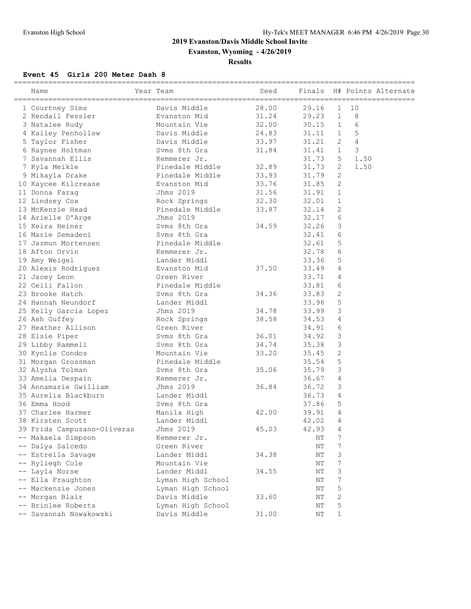**Evanston, Wyoming - 4/26/2019**

**Results**

#### **Event 45 Girls 200 Meter Dash 8**

| ======================<br>Name | Year Team                       | Seed  | Finals |                |      | H# Points Alternate |
|--------------------------------|---------------------------------|-------|--------|----------------|------|---------------------|
| 1 Courtney Sims                | Davis Middle                    | 28.00 | 29.16  | 1              | 10   |                     |
| 2 Kendall Fessler              | Evanston Mid                    | 31.24 | 29.23  | $\mathbf{1}$   | 8    |                     |
| 3 Natalee Rudy                 | Mountain Vie                    | 32.00 | 30.15  | $\mathbf{1}$   | 6    |                     |
| 4 Kailey Penhollow             | Davis Middle                    | 24.83 | 31.11  | $\mathbf{1}$   | 5    |                     |
| 5 Taylor Fisher                | Davis Middle                    | 33.97 | 31.21  | 2              | 4    |                     |
| 6 Raynee Holtman               | Syms 8th Gra                    | 31.84 | 31.41  | $\mathbf{1}$   | 3    |                     |
| 7 Savannah Ellis               | Kemmerer Jr.                    |       | 31.73  | 5              | 1.50 |                     |
| 7 Kyla Meikle                  | Pinedale Middle                 | 32.89 | 31.73  | 2              | 1.50 |                     |
| 9 Mikayla Drake                | Pinedale Middle                 | 33.93 | 31.79  | 2              |      |                     |
| 10 Kaycee Kilcrease            | Evanston Mid                    | 33.76 | 31.85  | 2              |      |                     |
| 11 Donna Farag                 | Jhms 2019                       | 31.56 | 31.91  | $\mathbf{1}$   |      |                     |
| 12 Lindsey Cox                 |                                 | 32.30 | 32.01  | 1              |      |                     |
| 13 McKenzie Head               | Rock Springs<br>Pinedale Middle | 33.87 | 32.14  | 2              |      |                     |
|                                | Jhms 2019                       |       | 32.17  | 6              |      |                     |
| 14 Arielle D'Arge              | Syms 8th Gra                    |       | 32.26  | 3              |      |                     |
| 15 Keira Heiner                |                                 | 34.59 |        |                |      |                     |
| 16 Marie Semadeni              | Syms 8th Gra                    |       | 32.41  | 6              |      |                     |
| 17 Jazmun Mortensen            | Pinedale Middle                 |       | 32.61  | 5              |      |                     |
| 18 Afton Orvin                 | Kemmerer Jr.                    |       | 32.78  | 6              |      |                     |
| 19 Amy Weigel                  | Lander Middl                    |       | 33.36  | 5              |      |                     |
| 20 Alexis Rodriguez            | Evanston Mid                    | 37.50 | 33.49  | 4              |      |                     |
| 21 Jacey Leon                  | Green River                     |       | 33.71  | 4              |      |                     |
| 22 Ceili Fallon                | Pinedale Middle                 |       | 33.81  | 6              |      |                     |
| 23 Brooke Hatch                | Syms 8th Gra                    | 34.36 | 33.83  | 2              |      |                     |
| 24 Hannah Neundorf             | Lander Middl                    |       | 33.96  | 5              |      |                     |
| 25 Kelly Garcia Lopez          | Jhms 2019                       | 34.78 | 33.99  | 3              |      |                     |
| 26 Ash Guffey                  | Rock Springs                    | 38.58 | 34.53  | 4              |      |                     |
| 27 Heather Allison             | Green River                     |       | 34.91  | 6              |      |                     |
| 28 Elsie Piper                 | Syms 8th Gra                    | 36.01 | 34.92  | 3              |      |                     |
| 29 Libby Rammell               | Syms 8th Gra                    | 34.74 | 35.38  | 3              |      |                     |
| 30 Kynlie Condos               | Mountain Vie                    | 33.20 | 35.45  | 2              |      |                     |
| 31 Morgan Grossman             | Pinedale Middle                 |       | 35.54  | 5              |      |                     |
| 32 Alysha Tolman               | Syms 8th Gra                    | 35.06 | 35.79  | $\mathsf 3$    |      |                     |
| 33 Amelia Despain              | Kemmerer Jr.                    |       | 36.67  | 4              |      |                     |
| 34 Annamarie Gwilliam          | Jhms 2019                       | 36.84 | 36.72  | 3              |      |                     |
| 35 Aurelia Blackburn           | Lander Middl                    |       | 36.73  | 4              |      |                     |
| 36 Emma Hood                   | Syms 8th Gra                    |       | 37.86  | 5              |      |                     |
| 37 Charlee Harmer              | Manila High                     | 42.00 | 39.91  | 4              |      |                     |
| 38 Kirsten Scott               | Lander Middl                    |       | 42.02  | $\overline{4}$ |      |                     |
| 39 Frida Campuzano-Oliveras    | Jhms 2019                       | 45.03 | 42.93  | 4              |      |                     |
| -- Makaela Simpson             | Kemmerer Jr.                    |       | ΝT     | 7              |      |                     |
| -- Dalya Salcedo               | Green River                     |       | ΝT     | 7              |      |                     |
| -- Estrella Savage             | Lander Middl                    | 34.38 | NΤ     | 3              |      |                     |
| -- Ryliegh Cole                | Mountain Vie                    |       | ΝT     | 7              |      |                     |
| -- Layla Norse                 | Lander Middl                    | 34.55 | ΝT     | 3              |      |                     |
| -- Ella Fraughton              | Lyman High School               |       | ΝT     | 7              |      |                     |
| -- Mackenzie Jones             | Lyman High School               |       | NΤ     | 5              |      |                     |
| -- Morgan Blair                | Davis Middle                    | 33.60 | NΤ     | 2              |      |                     |
| -- Brinlee Roberts             | Lyman High School               |       | NΤ     | 5              |      |                     |
| -- Savannah Nowakowski         | Davis Middle                    | 31.00 | NΤ     | 1              |      |                     |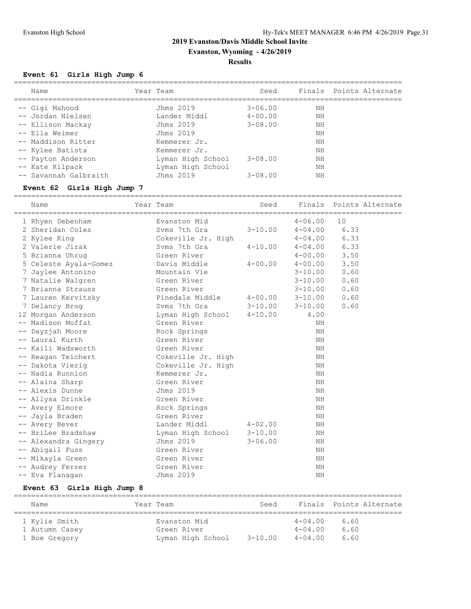**Evanston, Wyoming - 4/26/2019**

#### **Results**

#### **Event 61 Girls High Jump 6**

| Name                                                                                                                                                                                   | Year Team                                                                                                                                  | Seed                                                                    |                                                    | Finals Points Alternate |
|----------------------------------------------------------------------------------------------------------------------------------------------------------------------------------------|--------------------------------------------------------------------------------------------------------------------------------------------|-------------------------------------------------------------------------|----------------------------------------------------|-------------------------|
| -- Gigi Mahood<br>-- Jordan Nielsen<br>-- Ellison Mackay<br>-- Ella Weimer<br>-- Maddison Ritter<br>-- Kylee Batista<br>-- Payton Anderson<br>-- Kate Kilpack<br>-- Savannah Galbraith | Jhms 2019<br>Lander Middl<br>Jhms 2019<br>Jhms 2019<br>Kemmerer Jr.<br>Kemmerer Jr.<br>Lyman High School<br>Lyman High School<br>Jhms 2019 | $3 - 06.00$<br>$4 - 00.00$<br>$3 - 08.00$<br>$3 - 08.00$<br>$3 - 08.00$ | NΗ<br>ΝH<br>ΝH<br>NΗ<br>NΗ<br>NΗ<br>ΝH<br>ΝH<br>NΗ |                         |
|                                                                                                                                                                                        |                                                                                                                                            |                                                                         |                                                    |                         |

#### **Event 62 Girls High Jump 7**

========================================================================================== Name Tear Team Seed Finals Points Alternate ========================================================================================== 1 Rhyen Debenham Evanston Mid 4-06.00 10 2 Sheridan Coles Svms 7th Gra 3-10.00 4-04.00 6.33 2 Kylee King Cokeville Jr. High 4-04.00 6.33 2 Valerie Jirak Svms 7th Gra 4-10.00 4-04.00 6.33 5 Brianna Uhrug Green River 4-00.00 3.50 5 Celeste Ayala-Gomez Davis Middle 4-00.00 4-00.00 3.50 7 Jaylee Antonino Mountain Vie 3-10.00 0.60 7 Natalie Walgren Green River 3-10.00 0.60 7 Brianna Strauss Green River 3-10.00 0.60 7 Lauren Kervitsky Pinedale Middle 4-00.00 3-10.00 0.60 7 Delancy Brog Svms 7th Gra 3-10.00 3-10.00 0.60 12 Morgan Anderson Lyman High School 4-10.00 4.00 -- Madison Moffat Green River NH -- Dayzjah Moore Rock Springs NH -- Laural Kurth Green River NH -- Kaili Wadsworth Green River NH -- Reagan Teichert Cokeville Jr. High NH -- Dakota Vierig Cokeville Jr. High NH -- Nadia Runnion and Kemmerer Jr. NH -- Alaina Sharp Green River NH -- Alexis Dunne Jhms 2019 NH -- Allysa Drinkle Green River NH -- Avery Elmore Rock Springs NH -- Jayla Braden New York Green River New York States and MH -- Avery Bever Lander Middl 4-02.00 NH -- BriLee Bradshaw Lyman High School 3-10.00 NH -- Alexandra Gingery Jhms 2019 3-06.00 NH -- Abigail Fuss NH (Green River NH (Green River NH ) NH (NH ) NH ) NH (NH ) NH ) (NH ) (NH ) (NH ) (NH ) (NH ) (NH ) (NH ) (NH ) (NH ) (NH ) (NH ) (NH ) (NH ) (NH ) (NH ) (NH ) (NH ) (NH ) (NH ) (NH ) (NH ) (NH ) (NH ) (NH -- Mikayla Green Ning (1999) Sheep River NH (1999) Sheep River NH (1999) Sheep River NH (1999) Sheep River NH -- Audrey Ferrer Green River NH -- Eva Flanagan Jhms 2019 NH

#### **Event 63 Girls High Jump 8**

| Name                                             | Year Team                                        | Seed        |                                           | Finals Points Alternate |
|--------------------------------------------------|--------------------------------------------------|-------------|-------------------------------------------|-------------------------|
| 1 Kylie Smith<br>1 Autumn Casey<br>1 Boe Gregory | Evanston Mid<br>Green River<br>Lyman High School | $3 - 10.00$ | $4 - 04.00$<br>$4 - 04.00$<br>$4 - 04.00$ | 6.60<br>6.60<br>6.60    |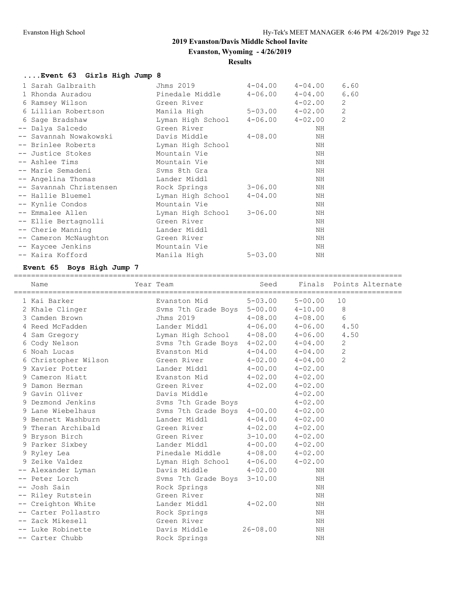**Evanston, Wyoming - 4/26/2019**

#### **Results**

# **....Event 63 Girls High Jump 8**

| 1 Sarah Galbraith       | Jhms 2019         | $4 - 04.00$             | $4 - 04.00$ | 6.60         |
|-------------------------|-------------------|-------------------------|-------------|--------------|
| 1 Rhonda Auradou        | Pinedale Middle   | $4 - 06.00$             | $4 - 04.00$ | 6.60         |
| 6 Ramsey Wilson         | Green River       |                         | $4 - 02.00$ | 2            |
| 6 Lillian Robertson     | Manila High       | $5 - 03.00$ $4 - 02.00$ |             | $\mathbf{2}$ |
| 6 Sage Bradshaw         | Lyman High School | $4-06.00$ $4-02.00$     |             | 2            |
| -- Dalya Salcedo        | Green River       |                         | ΝH          |              |
| -- Savannah Nowakowski  | Davis Middle      | 4-08.00                 | ΝH          |              |
| -- Brinlee Roberts      | Lyman High School |                         | ΝH          |              |
| -- Justice Stokes       | Mountain Vie      |                         | ΝH          |              |
| -- Ashlee Tims          | Mountain Vie      |                         | ΝH          |              |
| -- Marie Semadeni       | Syms 8th Gra      |                         | ΝH          |              |
| -- Angelina Thomas      | Lander Middl      |                         | NH          |              |
| -- Savannah Christensen | Rock Springs      | $3 - 06.00$             | ΝH          |              |
| -- Hallie Bluemel       | Lyman High School | $4 - 04.00$             | ΝH          |              |
| -- Kynlie Condos        | Mountain Vie      |                         | ΝH          |              |
| -- Emmalee Allen        | Lyman High School | $3 - 06.00$             | ΝH          |              |
| -- Ellie Bertagnolli    | Green River       |                         | ΝH          |              |
| -- Cherie Manning       | Lander Middl      |                         | ΝH          |              |
| -- Cameron McNaughton   | Green River       |                         | ΝH          |              |
| -- Kaycee Jenkins       | Mountain Vie      |                         | ΝH          |              |
| -- Kaira Kofford        | Manila High       | $5 - 03.00$             | ΝH          |              |

# **Event 65 Boys High Jump 7**

| Name                 | Year Team                           | Seed         |             |                | Finals Points Alternate |
|----------------------|-------------------------------------|--------------|-------------|----------------|-------------------------|
| 1 Kai Barker         | Evanston Mid                        | $5 - 03.00$  | $5 - 00.00$ | 10             |                         |
| 2 Khale Clinger      | Svms 7th Grade Boys 5-00.00 4-10.00 |              |             | 8              |                         |
| 3 Camden Brown       | Jhms 2019                           | $4 - 08.00$  | $4 - 08.00$ | 6              |                         |
| 4 Reed McFadden      | Lander Middl                        | $4 - 06.00$  | $4 - 06.00$ | 4.50           |                         |
| 4 Sam Gregory        | Lyman High School 4-08.00 4-06.00   |              |             | 4.50           |                         |
| 6 Cody Nelson        | Svms 7th Grade Boys 4-02.00 4-04.00 |              |             | 2              |                         |
| 6 Noah Lucas         | Evanston Mid                        | $4 - 04.00$  | $4 - 04.00$ | $\mathbf{2}$   |                         |
| 6 Christopher Wilson | Green River                         | $4 - 02.00$  | $4 - 04.00$ | $\overline{2}$ |                         |
| 9 Xavier Potter      | Lander Middl                        | $4 - 00.00$  | $4 - 02.00$ |                |                         |
| 9 Cameron Hiatt      | Evanston Mid                        | $4 - 02.00$  | $4 - 02.00$ |                |                         |
| 9 Damon Herman       | Green River                         | $4 - 02.00$  | $4 - 02.00$ |                |                         |
| 9 Gavin Oliver       | Davis Middle                        |              | $4 - 02.00$ |                |                         |
| 9 Dezmond Jenkins    | Svms 7th Grade Boys                 |              | $4 - 02.00$ |                |                         |
| 9 Lane Wiebelhaus    | Svms 7th Grade Boys 4-00.00         |              | $4 - 02.00$ |                |                         |
| 9 Bennett Washburn   | Lander Middl                        | $4 - 04.00$  | $4 - 02.00$ |                |                         |
| 9 Theran Archibald   | Green River                         | $4 - 02.00$  | $4 - 02.00$ |                |                         |
| 9 Bryson Birch       | Green River                         | $3 - 10.00$  | $4 - 02.00$ |                |                         |
| 9 Parker Sixbey      | Lander Middl                        | $4 - 00.00$  | $4 - 02.00$ |                |                         |
| 9 Ryley Lea          | Pinedale Middle                     | $4 - 08.00$  | $4 - 02.00$ |                |                         |
| 9 Zeike Valdez       | Lyman High School 4-06.00           |              | $4 - 02.00$ |                |                         |
| -- Alexander Lyman   | Davis Middle                        | $4 - 02.00$  | NH          |                |                         |
| -- Peter Lorch       | Svms 7th Grade Boys 3-10.00         |              | NH          |                |                         |
| -- Josh Sain         | Rock Springs                        |              | NH          |                |                         |
| -- Riley Rutstein    | Green River                         |              | ΝH          |                |                         |
| -- Creighton White   | Lander Middl                        | $4 - 02.00$  | NH          |                |                         |
| -- Carter Pollastro  | Rock Springs                        |              | NH          |                |                         |
| -- Zack Mikesell     | Green River                         |              | NH          |                |                         |
| -- Luke Robinette    | Davis Middle                        | $26 - 08.00$ | NH          |                |                         |
| -- Carter Chubb      | Rock Springs                        |              | NH          |                |                         |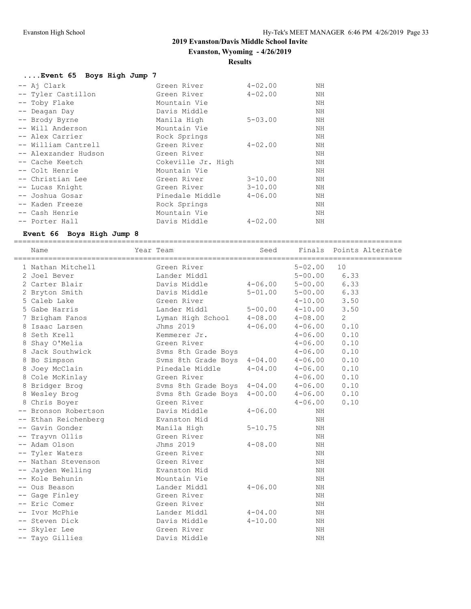**Evanston, Wyoming - 4/26/2019**

# **Results**

| Event 65 Boys High Jump 7. |                    |             |    |
|----------------------------|--------------------|-------------|----|
| -- Aj Clark                | Green River        | $4 - 02.00$ | ΝH |
| -- Tyler Castillon         | Green River        | $4 - 02.00$ | NH |
| -- Toby Flake              | Mountain Vie       |             | NH |
| -- Deagan Day              | Davis Middle       |             | ΝH |
| -- Brody Byrne             | Manila High        | $5 - 03.00$ | ΝH |
| -- Will Anderson           | Mountain Vie       |             | ΝH |
| -- Alex Carrier            | Rock Springs       |             | ΝH |
| -- William Cantrell        | Green River        | $4 - 02.00$ | ΝH |
| -- Alexzander Hudson       | Green River        |             | ΝH |
| -- Cache Keetch            | Cokeville Jr. High |             | ΝH |
| -- Colt Henrie             | Mountain Vie       |             | ΝH |
| -- Christian Lee           | Green River        | $3 - 10.00$ | ΝH |
| -- Lucas Knight            | Green River        | $3 - 10.00$ | ΝH |
| -- Joshua Gosar            | Pinedale Middle    | $4 - 06.00$ | NH |
| -- Kaden Freeze            | Rock Springs       |             | NH |
| -- Cash Henrie             | Mountain Vie       |             | ΝH |
| -- Porter Hall             | Davis Middle       | $4 - 02.00$ | ΝH |

#### **Event 66 Boys High Jump 8**

==========================================================================================

| Name                 | Year Team                   | Seed        |             | Finals Points Alternate |
|----------------------|-----------------------------|-------------|-------------|-------------------------|
| 1 Nathan Mitchell    | Green River                 |             | $5 - 02.00$ | 10                      |
| 2 Joel Bever         | Lander Middl                |             | $5 - 00.00$ | 6.33                    |
| 2 Carter Blair       | Davis Middle                | $4 - 06.00$ | $5 - 00.00$ | 6.33                    |
| 2 Bryton Smith       | Davis Middle                | $5 - 01.00$ | $5 - 00.00$ | 6.33                    |
| 5 Caleb Lake         | Green River                 |             | $4 - 10.00$ | 3.50                    |
| 5 Gabe Harris        | Lander Middl                | $5 - 00.00$ | $4 - 10.00$ | 3.50                    |
| 7 Brigham Fanos      | Lyman High School           | $4 - 08.00$ | $4 - 08.00$ | 2                       |
| 8 Isaac Larsen       | Jhms 2019                   | $4 - 06.00$ | $4 - 06.00$ | 0.10                    |
| 8 Seth Krell         | Kemmerer Jr.                |             | $4 - 06.00$ | 0.10                    |
| 8 Shay O'Melia       | Green River                 |             | $4 - 06.00$ | 0.10                    |
| 8 Jack Southwick     | Svms 8th Grade Boys         |             | $4 - 06.00$ | 0.10                    |
| 8 Bo Simpson         | Svms 8th Grade Boys 4-04.00 |             | $4 - 06.00$ | 0.10                    |
| 8 Joey McClain       | Pinedale Middle             | $4 - 04.00$ | $4 - 06.00$ | 0.10                    |
| 8 Cole McKinlay      | Green River                 |             | $4 - 06.00$ | 0.10                    |
| 8 Bridger Brog       | Svms 8th Grade Boys 4-04.00 |             | $4 - 06.00$ | 0.10                    |
| 8 Wesley Brog        | Svms 8th Grade Boys 4-00.00 |             | $4 - 06.00$ | 0.10                    |
| 8 Chris Boyer        | Green River                 |             | $4 - 06.00$ | 0.10                    |
| -- Bronson Robertson | Davis Middle                | $4 - 06.00$ | NH          |                         |
| -- Ethan Reichenberg | Evanston Mid                |             | NH          |                         |
| -- Gavin Gonder      | Manila High                 | $5 - 10.75$ | ΝH          |                         |
| -- Trayvn Ollis      | Green River                 |             | NH          |                         |
| -- Adam Olson        | Jhms 2019                   | $4 - 08.00$ | NH          |                         |
| -- Tyler Waters      | Green River                 |             | NH          |                         |
| -- Nathan Stevenson  | Green River                 |             | NH          |                         |
| -- Jayden Welling    | Evanston Mid                |             | NH          |                         |
| -- Kole Behunin      | Mountain Vie                |             | NH          |                         |
| -- Ous Beason        | Lander Middl                | $4 - 06.00$ | NH          |                         |
| -- Gage Finley       | Green River                 |             | NH          |                         |
| -- Eric Comer        | Green River                 |             | NH          |                         |
| -- Ivor McPhie       | Lander Middl                | $4 - 04.00$ | ΝH          |                         |
| -- Steven Dick       | Davis Middle                | $4 - 10.00$ | NH          |                         |
| -- Skyler Lee        | Green River                 |             | ΝH          |                         |
| -- Tayo Gillies      | Davis Middle                |             | NH          |                         |
|                      |                             |             |             |                         |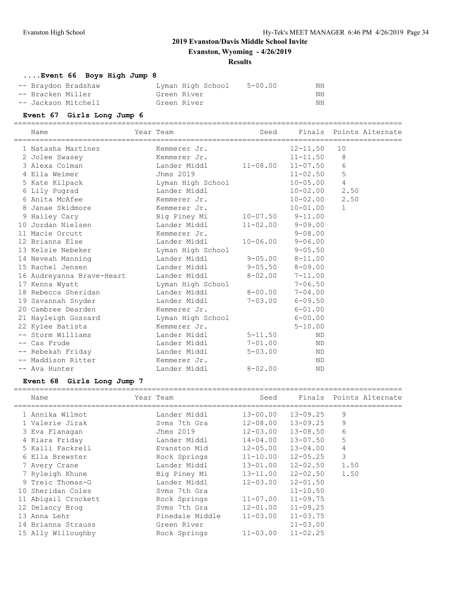**Evanston, Wyoming - 4/26/2019**

#### **Results**

# **....Event 66 Boys High Jump 8**

| -- Braydon Bradshaw | Lyman High School | 5-00.00 | ΝH |
|---------------------|-------------------|---------|----|
| -- Bracken Miller   | Green River       |         | NΗ |
| -- Jackson Mitchell | Green River       |         | NH |

| DIACVEIL MITTLET<br>-- Jackson Mitchell | ATEEN MIAET<br>Green River |              | TATT.<br>ΝH  |                |                         |
|-----------------------------------------|----------------------------|--------------|--------------|----------------|-------------------------|
| Event 67 Girls Long Jump 6              |                            |              |              |                |                         |
| Name                                    | Year Team                  | Seed         |              |                | Finals Points Alternate |
| 1 Natasha Martinez                      | Kemmerer Jr.               |              | $12 - 11.50$ | 10             |                         |
| 2 Jolee Swasey                          | Kemmerer Jr.               |              | $11 - 11.50$ | 8              |                         |
| 3 Alexa Colman                          | Lander Middl               | $11 - 08.00$ | $11 - 07.50$ | 6              |                         |
| 4 Ella Weimer                           | Jhms 2019                  |              | $11 - 02.50$ | 5              |                         |
| 5 Kate Kilpack                          | Lyman High School          |              | $10 - 05.00$ | $\overline{4}$ |                         |
| 6 Lily Pugrad                           | Lander Middl               |              | $10 - 02.00$ | 2.50           |                         |
| 6 Anita McAfee                          | Kemmerer Jr.               |              | $10 - 02.00$ | 2.50           |                         |
| 8 Janae Skidmore                        | Kemmerer Jr.               |              | $10 - 01.00$ | $\mathbf{1}$   |                         |
| 9 Hailey Cary                           | Big Piney Mi               | $10 - 07.50$ | $9 - 11.00$  |                |                         |
| 10 Jordan Nielsen                       | Lander Middl               | $11 - 02.00$ | $9 - 09.00$  |                |                         |
| 11 Macie Orcutt                         | Kemmerer Jr.               |              | $9 - 08.00$  |                |                         |
| 12 Brianna Else                         | Lander Middl               | $10 - 06.00$ | $9 - 06.00$  |                |                         |
| 13 Kelsie Nebeker                       | Lyman High School          |              | $9 - 05.50$  |                |                         |
| 14 Neveah Manning                       | Lander Middl               | $9 - 05.00$  | $8 - 11.00$  |                |                         |
| 15 Rachel Jensen                        | Lander Middl               | $9 - 05.50$  | $8 - 09.00$  |                |                         |
| 16 Audreyanna Brave-Heart               | Lander Middl               | $8 - 02.00$  | $7 - 11.00$  |                |                         |
| 17 Kenna Wyatt                          | Lyman High School          |              | $7 - 06.50$  |                |                         |
| 18 Rebecca Sheridan                     | Lander Middl               | $8 - 00.00$  | $7 - 04.00$  |                |                         |
| 19 Savannah Snyder                      | Lander Middl               | $7 - 03.00$  | $6 - 09.50$  |                |                         |
| 20 Cambree Dearden                      | Kemmerer Jr.               |              | $6 - 01.00$  |                |                         |
| 21 Hayleigh Gossard                     | Lyman High School          |              | $6 - 00.00$  |                |                         |
| 22 Kylee Batista                        | Kemmerer Jr.               |              | $5 - 10.00$  |                |                         |
| -- Storm Williams                       | Lander Middl               | $5 - 11.50$  | <b>ND</b>    |                |                         |
| -- Cas Frude                            | Lander Middl               | $7 - 01.00$  | ND           |                |                         |
| -- Rebekah Friday                       | Lander Middl               | $5 - 03.00$  | ND           |                |                         |
| -- Maddison Ritter                      | Kemmerer Jr.               |              | <b>ND</b>    |                |                         |
| -- Ava Hunter                           | Lander Middl               | $8 - 02.00$  | <b>ND</b>    |                |                         |

# **Event 68 Girls Long Jump 7**

| Name                | Year Team       | Seed         |                           | Finals Points Alternate |
|---------------------|-----------------|--------------|---------------------------|-------------------------|
| 1 Annika Wilmot     | Lander Middl    | $13 - 00.00$ | 13-09.25                  | 9                       |
| 1 Valerie Jirak     | Syms 7th Gra    | $12 - 08.00$ | 13-09.25                  | 9                       |
| 3 Eva Flanagan      | Jhms 2019       | $12 - 03.00$ | 13-08.50                  | 6                       |
| 4 Kiara Friday      | Lander Middl    | 14-04.00     | 13-07.50                  | 5                       |
| 5 Kalli Fackrell    | Evanston Mid    | $12 - 05.00$ | 13-04.00                  | 4                       |
| 6 Ella Brewster     | Rock Springs    |              | $11 - 10.00$ $12 - 05.25$ | 3                       |
| 7 Avery Crane       | Lander Middl    |              | $13 - 01.00$ $12 - 02.50$ | 1.50                    |
| 7 Ryleigh Khune     | Big Piney Mi    |              | $13 - 11.00$ $12 - 02.50$ | 1.50                    |
| 9 Treic Thomas-G    | Lander Middl    | 12-03.00     | $12 - 01.50$              |                         |
| 10 Sheridan Coles   | Syms 7th Gra    |              | $11 - 10.50$              |                         |
| 11 Abigail Crockett | Rock Springs    | $11 - 07.00$ | $11 - 09.75$              |                         |
| 12 Delancy Brog     | Syms 7th Gra    | $12 - 01.00$ | $11 - 09.25$              |                         |
| 13 Anna Lehr        | Pinedale Middle | $11 - 03.00$ | $11 - 03.75$              |                         |
| 14 Brianna Strauss  | Green River     |              | $11 - 03.00$              |                         |
| 15 Ally Willoughby  | Rock Springs    | $11 - 03.00$ | $11 - 02.25$              |                         |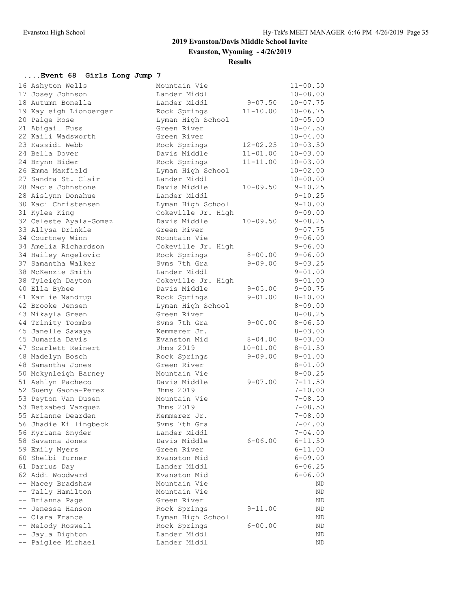**Evanston, Wyoming - 4/26/2019**

**Results**

# **....Event 68 Girls Long Jump 7**

|       | 16 Ashyton Wells       | Mountain Vie       |              | $11 - 00.50$ |
|-------|------------------------|--------------------|--------------|--------------|
|       | 17 Josey Johnson       | Lander Middl       |              | $10 - 08.00$ |
|       | 18 Autumn Bonella      | Lander Middl       | $9 - 07.50$  | $10 - 07.75$ |
|       | 19 Kayleigh Lionberger | Rock Springs       | $11 - 10.00$ | $10 - 06.75$ |
|       | 20 Paige Rose          | Lyman High School  |              | $10 - 05.00$ |
|       | 21 Abigail Fuss        | Green River        |              | $10 - 04.50$ |
|       | 22 Kaili Wadsworth     | Green River        |              | $10 - 04.00$ |
|       | 23 Kassidi Webb        | Rock Springs       | $12 - 02.25$ | $10 - 03.50$ |
|       | 24 Bella Dover         | Davis Middle       | $11 - 01.00$ | $10 - 03.00$ |
|       | 24 Brynn Bider         | Rock Springs       | $11 - 11.00$ | $10 - 03.00$ |
|       | 26 Emma Maxfield       | Lyman High School  |              | $10 - 02.00$ |
|       | 27 Sandra St. Clair    | Lander Middl       |              | $10 - 00.00$ |
|       | 28 Macie Johnstone     | Davis Middle       | $10 - 09.50$ | $9 - 10.25$  |
|       | 28 Aislynn Donahue     | Lander Middl       |              | $9 - 10.25$  |
|       | 30 Kaci Christensen    | Lyman High School  |              | $9 - 10.00$  |
|       | 31 Kylee King          | Cokeville Jr. High |              | $9 - 09.00$  |
|       | 32 Celeste Ayala-Gomez | Davis Middle       | $10 - 09.50$ | $9 - 08.25$  |
|       | 33 Allysa Drinkle      | Green River        |              | $9 - 07.75$  |
|       | 34 Courtney Winn       | Mountain Vie       |              | $9 - 06.00$  |
|       | 34 Amelia Richardson   | Cokeville Jr. High |              | $9 - 06.00$  |
|       | 34 Hailey Angelovic    | Rock Springs       | $8 - 00.00$  | $9 - 06.00$  |
|       | 37 Samantha Walker     | Syms 7th Gra       | $9 - 09.00$  | $9 - 03.25$  |
|       | 38 McKenzie Smith      | Lander Middl       |              | $9 - 01.00$  |
|       | 38 Tyleigh Dayton      | Cokeville Jr. High |              | $9 - 01.00$  |
|       | 40 Ella Bybee          | Davis Middle       | $9 - 05.00$  | $9 - 00.75$  |
|       | 41 Karlie Nandrup      | Rock Springs       | $9 - 01.00$  | $8 - 10.00$  |
|       | 42 Brooke Jensen       | Lyman High School  |              | $8 - 09.00$  |
|       | 43 Mikayla Green       | Green River        |              | $8 - 08.25$  |
|       | 44 Trinity Toombs      | Syms 7th Gra       | $9 - 00.00$  | $8 - 06.50$  |
|       | 45 Janelle Sawaya      | Kemmerer Jr.       |              | $8 - 03.00$  |
|       | 45 Jumaria Davis       | Evanston Mid       | $8 - 04.00$  | $8 - 03.00$  |
|       | 47 Scarlett Reinert    | Jhms 2019          | $10 - 01.00$ | $8 - 01.50$  |
|       | 48 Madelyn Bosch       | Rock Springs       | $9 - 09.00$  | $8 - 01.00$  |
|       | 48 Samantha Jones      | Green River        |              | $8 - 01.00$  |
|       | 50 Mckynleigh Barney   | Mountain Vie       |              | $8 - 00.25$  |
|       | 51 Ashlyn Pacheco      | Davis Middle       | $9 - 07.00$  | $7 - 11.50$  |
|       | 52 Suemy Gaona-Perez   | Jhms 2019          |              | $7 - 10.00$  |
|       | 53 Peyton Van Dusen    | Mountain Vie       |              | $7 - 08.50$  |
|       | 53 Betzabed Vazquez    | Jhms 2019          |              | $7 - 08.50$  |
|       | 55 Arianne Dearden     | Kemmerer Jr.       |              | $7 - 08.00$  |
|       | 56 Jhadie Killingbeck  | Svms 7th Gra       |              | $7 - 04.00$  |
|       | 56 Kyriana Snyder      | Lander Middl       |              | $7 - 04.00$  |
|       | 58 Savanna Jones       | Davis Middle       | $6 - 06.00$  | $6 - 11.50$  |
|       | 59 Emily Myers         | Green River        |              | $6 - 11.00$  |
|       | 60 Shelbi Turner       | Evanston Mid       |              | $6 - 09.00$  |
|       | 61 Darius Day          | Lander Middl       |              | $6 - 06.25$  |
|       | 62 Addi Woodward       | Evanston Mid       |              | $6 - 06.00$  |
|       | -- Macey Bradshaw      | Mountain Vie       |              | ND           |
| $- -$ | Tally Hamilton         | Mountain Vie       |              | ND           |
|       | -- Brianna Page        | Green River        |              | ND           |
|       | -- Jenessa Hanson      | Rock Springs       | $9 - 11.00$  | ND           |
|       | -- Clara France        | Lyman High School  |              | ΝD           |
|       | -- Melody Roswell      | Rock Springs       | $6 - 00.00$  | ΝD           |
|       | -- Jayla Dighton       | Lander Middl       |              | ΝD           |
|       | -- Paiglee Michael     | Lander Middl       |              | ND.          |
|       |                        |                    |              |              |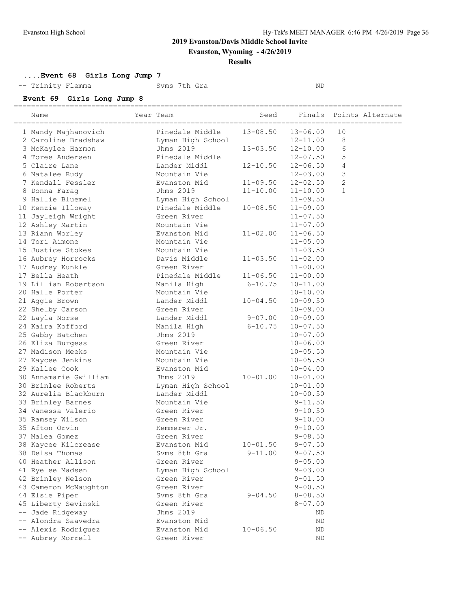**Evanston, Wyoming - 4/26/2019**

#### **Results**

**....Event 68 Girls Long Jump 7**

-- Trinity Flemma Svms 7th Gra ND

#### **Event 69 Girls Long Jump 8**

| Name                                                  | Year Team         | Seed                      |                           |                | Finals Points Alternate |
|-------------------------------------------------------|-------------------|---------------------------|---------------------------|----------------|-------------------------|
| 1 Mandy Majhanovich Pinedale Middle 13-08.50 13-06.00 |                   |                           |                           | 10             |                         |
| 2 Caroline Bradshaw                                   | Lyman High School |                           | $12 - 11.00$              | 8              |                         |
| 3 McKaylee Harmon                                     | Jhms 2019         | $13 - 03.50$ $12 - 10.00$ |                           | 6              |                         |
| 4 Toree Andersen                                      | Pinedale Middle   |                           | $12 - 07.50$              | 5              |                         |
| 5 Claire Lane                                         | Lander Middl      |                           | $12 - 10.50$ $12 - 06.50$ | $\overline{4}$ |                         |
| 6 Natalee Rudy                                        | Mountain Vie      |                           | $12 - 03.00$              | $\mathsf 3$    |                         |
| 7 Kendall Fessler                                     | Evanston Mid      |                           | $11 - 09.50$ $12 - 02.50$ | $\mathbf{2}$   |                         |
| 8 Donna Farag                                         | Jhms 2019         |                           | $11 - 10.00$ $11 - 10.00$ | $\mathbf{1}$   |                         |
| 9 Hallie Bluemel                                      | Lyman High School |                           | $11 - 09.50$              |                |                         |
| 10 Kenzie Illoway                                     | Pinedale Middle   | $10 - 08.50$              | $11 - 09.00$              |                |                         |
| 11 Jayleigh Wright                                    | Green River       |                           | $11 - 07.50$              |                |                         |
| 12 Ashley Martin                                      | Mountain Vie      |                           | $11 - 07.00$              |                |                         |
| 13 Riann Worley                                       | Evanston Mid      | $11 - 02.00$              | $11 - 06.50$              |                |                         |
| 14 Tori Aimone                                        | Mountain Vie      |                           | $11 - 05.00$              |                |                         |
| 15 Justice Stokes                                     | Mountain Vie      |                           | $11 - 03.50$              |                |                         |
| 16 Aubrey Horrocks                                    | Davis Middle      | $11 - 03.50$              | $11 - 02.00$              |                |                         |
| 17 Audrey Kunkle                                      | Green River       |                           | $11 - 00.00$              |                |                         |
| 17 Bella Heath                                        | Pinedale Middle   | $11-06.50$ $11-00.00$     |                           |                |                         |
| 19 Lillian Robertson                                  | Manila High       | $6 - 10.75$               | $10 - 11.00$              |                |                         |
| 20 Halle Porter                                       | Mountain Vie      |                           | $10 - 10.00$              |                |                         |
| 21 Aggie Brown                                        | Lander Middl      | $10 - 04.50$              | $10 - 09.50$              |                |                         |
| 22 Shelby Carson                                      | Green River       |                           | $10 - 09.00$              |                |                         |
| 22 Layla Norse                                        | Lander Middl      | $9-07.00$ $10-09.00$      |                           |                |                         |
| 24 Kaira Kofford                                      | Manila High       | $6 - 10.75$               | $10 - 07.50$              |                |                         |
| 25 Gabby Batchen                                      | Jhms 2019         |                           | $10 - 07.00$              |                |                         |
| 26 Eliza Burgess                                      | Green River       |                           | $10 - 06.00$              |                |                         |
| 27 Madison Meeks                                      | Mountain Vie      |                           | $10 - 05.50$              |                |                         |
| 27 Kaycee Jenkins                                     | Mountain Vie      |                           | $10 - 05.50$              |                |                         |
| 29 Kallee Cook                                        | Evanston Mid      |                           | $10 - 04.00$              |                |                         |
| 30 Annamarie Gwilliam                                 | Jhms 2019         | $10 - 01.00$              | $10 - 01.00$              |                |                         |
| 30 Brinlee Roberts                                    | Lyman High School |                           | $10 - 01.00$              |                |                         |
| 32 Aurelia Blackburn                                  | Lander Middl      |                           | $10 - 00.50$              |                |                         |
| 33 Brinley Barnes                                     | Mountain Vie      |                           | $9 - 11.50$               |                |                         |
| 34 Vanessa Valerio                                    | Green River       |                           | $9 - 10.50$               |                |                         |
| 35 Ramsey Wilson                                      | Green River       |                           | $9 - 10.00$               |                |                         |
| 35 Afton Orvin                                        | Kemmerer Jr.      |                           | $9 - 10.00$               |                |                         |
| 37 Malea Gomez                                        | Green River       |                           | $9 - 08.50$               |                |                         |
| 38 Kaycee Kilcrease                                   | Evanston Mid      | $10 - 01.50$              | $9 - 07.50$               |                |                         |
| 38 Delsa Thomas                                       | Svms 8th Gra      | $9 - 11.00$               | $9 - 07.50$               |                |                         |
| 40 Heather Allison                                    | Green River       |                           | $9 - 05.00$               |                |                         |
| 41 Ryelee Madsen                                      | Lyman High School |                           | $9 - 03.00$               |                |                         |
| 42 Brinley Nelson                                     | Green River       |                           | $9 - 01.50$               |                |                         |
| 43 Cameron McNaughton                                 | Green River       |                           | $9 - 00.50$               |                |                         |
| 44 Elsie Piper                                        | Svms 8th Gra      | $9 - 04.50$               | $8 - 08.50$               |                |                         |
| 45 Liberty Sevinski                                   | Green River       |                           | $8 - 07.00$               |                |                         |
| -- Jade Ridgeway                                      | Jhms 2019         |                           | ΝD                        |                |                         |
| -- Alondra Saavedra                                   | Evanston Mid      |                           | ND                        |                |                         |
| -- Alexis Rodriguez                                   | Evanston Mid      | $10 - 06.50$              | ΝD                        |                |                         |
| -- Aubrey Morrell                                     | Green River       |                           | ΝD                        |                |                         |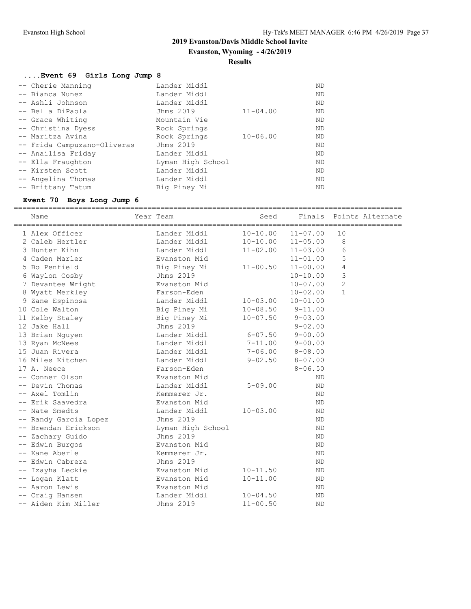**Evanston, Wyoming - 4/26/2019**

**Results**

==========================================================================================

# **....Event 69 Girls Long Jump 8**

| -- Cherie Manning           | Lander Middl      |              | ΝD        |
|-----------------------------|-------------------|--------------|-----------|
| -- Bianca Nunez             | Lander Middl      |              | ΝD        |
| -- Ashli Johnson            | Lander Middl      |              | <b>ND</b> |
| -- Bella DiPaola            | Jhms 2019         | $11 - 04.00$ | <b>ND</b> |
| -- Grace Whiting            | Mountain Vie      |              | ND.       |
| -- Christina Dyess          | Rock Springs      |              | ND.       |
| -- Maritza Avina            | Rock Springs      | $10 - 06.00$ | ΝD        |
| -- Frida Campuzano-Oliveras | Jhms 2019         |              | <b>ND</b> |
| -- Anailisa Friday          | Lander Middl      |              | ΝD        |
| -- Ella Fraughton           | Lyman High School |              | ND.       |
| -- Kirsten Scott            | Lander Middl      |              | ND.       |
| -- Angelina Thomas          | Lander Middl      |              | ND.       |
| -- Brittany Tatum           | Big Piney Mi      |              | ΝD        |

# **Event 70 Boys Long Jump 6**

|      | Name                  | Year Team<br>============== | Seed<br>============== |              | Finals Points Alternate<br>========= |
|------|-----------------------|-----------------------------|------------------------|--------------|--------------------------------------|
|      | 1 Alex Officer        | Lander Middl                | $10 - 10.00$           | $11 - 07.00$ | 10                                   |
|      | 2 Caleb Hertler       | Lander Middl                | $10 - 10.00$           | $11 - 05.00$ | 8                                    |
|      | 3 Hunter Kihn         | Lander Middl                | $11 - 02.00$           | $11 - 03.00$ | 6                                    |
|      | 4 Caden Marler        | Evanston Mid                |                        | $11 - 01.00$ | 5                                    |
|      | 5 Bo Penfield         | Big Piney Mi                | $11 - 00.50$           | $11 - 00.00$ | 4                                    |
|      | 6 Waylon Cosby        | Jhms 2019                   |                        | $10 - 10.00$ | 3                                    |
|      | 7 Devantee Wright     | Evanston Mid                |                        | $10 - 07.00$ | $\overline{2}$                       |
|      | 8 Wyatt Merkley       | Farson-Eden                 |                        | $10 - 02.00$ | $\mathbf{1}$                         |
|      | 9 Zane Espinosa       | Lander Middl                | $10 - 03.00$           | $10 - 01.00$ |                                      |
|      | 10 Cole Walton        | Big Piney Mi                | $10 - 08.50$           | $9 - 11.00$  |                                      |
|      | 11 Kelby Staley       | Big Piney Mi                | $10 - 07.50$           | $9 - 03.00$  |                                      |
|      | 12 Jake Hall          | Jhms 2019                   |                        | $9 - 02.00$  |                                      |
|      | 13 Brian Nguyen       | Lander Middl                | $6 - 07.50$            | $9 - 00.00$  |                                      |
|      | 13 Ryan McNees        | Lander Middl                | $7 - 11.00$            | $9 - 00.00$  |                                      |
|      | 15 Juan Rivera        | Lander Middl                | $7 - 06.00$            | $8 - 08.00$  |                                      |
|      | 16 Miles Kitchen      | Lander Middl                | $9 - 02.50$            | $8 - 07.00$  |                                      |
|      | 17 A. Neece           | Farson-Eden                 |                        | $8 - 06.50$  |                                      |
|      | -- Conner Olson       | Evanston Mid                |                        | ΝD           |                                      |
|      | -- Devin Thomas       | Lander Middl                | $5 - 09.00$            | <b>ND</b>    |                                      |
|      | -- Axel Tomlin        | Kemmerer Jr.                |                        | <b>ND</b>    |                                      |
|      | -- Erik Saavedra      | Evanston Mid                |                        | ND           |                                      |
|      | -- Nate Smedts        | Lander Middl                | $10 - 03.00$           | ND           |                                      |
|      | -- Randy Garcia Lopez | Jhms 2019                   |                        | <b>ND</b>    |                                      |
|      | -- Brendan Erickson   | Lyman High School           |                        | <b>ND</b>    |                                      |
| $--$ | Zachary Guido         | Jhms 2019                   |                        | <b>ND</b>    |                                      |
|      | -- Edwin Burgos       | Evanston Mid                |                        | <b>ND</b>    |                                      |
|      | -- Kane Aberle        | Kemmerer Jr.                |                        | ND.          |                                      |
|      | -- Edwin Cabrera      | Jhms 2019                   |                        | ND.          |                                      |
|      | Izayha Leckie         | Evanston Mid                | $10 - 11.50$           | <b>ND</b>    |                                      |
|      | -- Logan Klatt        | Evanston Mid                | $10 - 11.00$           | <b>ND</b>    |                                      |
|      | -- Aaron Lewis        | Evanston Mid                |                        | ND           |                                      |
|      | -- Craig Hansen       | Lander Middl                | $10 - 04.50$           | <b>ND</b>    |                                      |
|      | -- Aiden Kim Miller   | Jhms 2019                   | $11 - 00.50$           | <b>ND</b>    |                                      |
|      |                       |                             |                        |              |                                      |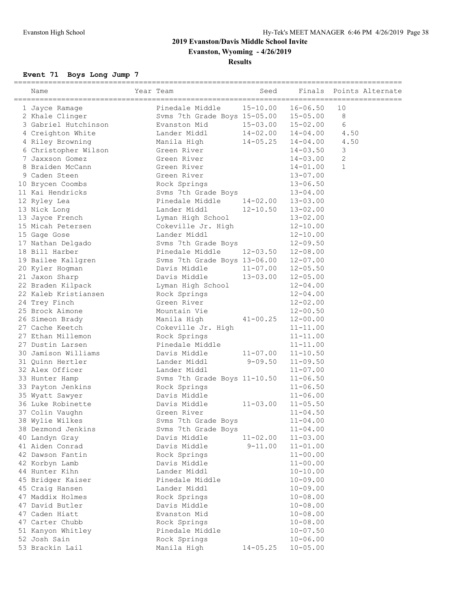**Evanston, Wyoming - 4/26/2019**

# **Results**

# **Event 71 Boys Long Jump 7**

|    | ======================<br>Name      | Year Team                                                               | Seed         | Finals                       | Points Alternate |
|----|-------------------------------------|-------------------------------------------------------------------------|--------------|------------------------------|------------------|
|    | 1 Jayce Ramage                      | Pinedale Middle                                                         | $15 - 10.00$ | $16 - 06.50$                 | 10               |
|    | 2 Khale Clinger                     | Svms 7th Grade Boys 15-05.00 15-05.00<br>Evanston Mid 15-03.00 15-02.00 |              |                              | 8                |
|    | 3 Gabriel Hutchinson                |                                                                         |              |                              | 6                |
|    | 4 Creighton White                   | Lander Middl                                                            |              | $14 - 02.00$ $14 - 04.00$    | 4.50             |
|    | 4 Riley Browning                    | Manila High                                                             | $14 - 05.25$ | $14 - 04.00$                 | 4.50             |
|    | 6 Christopher Wilson                | Green River                                                             |              | 14-03.50                     | 3                |
|    | 7 Jaxxson Gomez                     | Green River                                                             |              | $14 - 03.00$                 | 2                |
|    | 8 Braiden McCann                    | Green River                                                             |              | $14 - 01.00$                 | $\mathbf{1}$     |
|    | 9 Caden Steen                       | Green River                                                             |              | $13 - 07.00$                 |                  |
|    | 10 Brycen Coombs                    | Rock Springs                                                            |              | $13 - 06.50$                 |                  |
|    | 11 Kai Hendricks                    | Syms 7th Grade Boys                                                     |              | $13 - 04.00$                 |                  |
|    | 12 Ryley Lea                        | Pinedale Middle                                                         | $14 - 02.00$ | $13 - 03.00$                 |                  |
|    | 13 Nick Long                        | Lander Middl                                                            | $12 - 10.50$ | $13 - 02.00$                 |                  |
|    | 13 Jayce French                     | Lyman High School                                                       |              | $13 - 02.00$                 |                  |
|    | 15 Micah Petersen                   | Cokeville Jr. High                                                      |              | $12 - 10.00$                 |                  |
|    | 15 Gage Gose                        | Lander Middl                                                            |              | $12 - 10.00$                 |                  |
|    | 17 Nathan Delgado                   | Syms 7th Grade Boys                                                     |              | $12 - 09.50$                 |                  |
|    | 18 Bill Harber                      | Pinedale Middle                                                         | $12 - 03.50$ | $12 - 08.00$                 |                  |
|    | 19 Bailee Kallgren                  | Svms 7th Grade Boys 13-06.00                                            |              | $12 - 07.00$                 |                  |
|    | 20 Kyler Hogman                     | Davis Middle                                                            | $11 - 07.00$ | $12 - 05.50$                 |                  |
|    | 21 Jaxon Sharp                      | Davis Middle                                                            | $13 - 03.00$ | $12 - 05.00$                 |                  |
|    | 22 Braden Kilpack                   | Lyman High School                                                       |              | $12 - 04.00$                 |                  |
|    | 22 Kaleb Kristiansen                | Rock Springs                                                            |              | $12 - 04.00$                 |                  |
|    | 24 Trey Finch                       | Green River                                                             |              | $12 - 02.00$                 |                  |
|    | 25 Brock Aimone                     | Mountain Vie                                                            |              | $12 - 00.50$                 |                  |
|    | 26 Simeon Brady                     | Manila High                                                             | $41 - 00.25$ | $12 - 00.00$                 |                  |
|    | 27 Cache Keetch                     | Cokeville Jr. High                                                      |              | $11 - 11.00$                 |                  |
|    | 27 Ethan Millemon                   | Rock Springs                                                            |              | $11 - 11.00$                 |                  |
|    | 27 Dustin Larsen                    | Pinedale Middle                                                         |              | $11 - 11.00$                 |                  |
|    | 30 Jamison Williams                 | Davis Middle                                                            | $11 - 07.00$ | $11 - 10.50$                 |                  |
|    | 31 Ouinn Hertler<br>32 Alex Officer | Lander Middl<br>Lander Middl                                            | $9 - 09.50$  | $11 - 09.50$                 |                  |
|    | 33 Hunter Hamp                      |                                                                         |              | $11 - 07.00$<br>$11 - 06.50$ |                  |
|    | 33 Payton Jenkins                   | Svms 7th Grade Boys 11-10.50<br>Rock Springs                            |              | $11 - 06.50$                 |                  |
|    | 35 Wyatt Sawyer                     | Davis Middle                                                            |              | $11 - 06.00$                 |                  |
|    | 36 Luke Robinette                   | Davis Middle                                                            | $11 - 03.00$ | $11 - 05.50$                 |                  |
|    | 37 Colin Vaughn                     | Green River                                                             |              | $11 - 04.50$                 |                  |
|    | 38 Wylie Wilkes                     | Svms 7th Grade Boys                                                     |              | $11 - 04.00$                 |                  |
|    | 38 Dezmond Jenkins                  | Svms 7th Grade Boys                                                     |              | $11 - 04.00$                 |                  |
|    | 40 Landyn Gray                      | Davis Middle                                                            | $11 - 02.00$ | $11 - 03.00$                 |                  |
|    | 41 Aiden Conrad                     | Davis Middle                                                            | $9 - 11.00$  | $11 - 01.00$                 |                  |
|    | 42 Dawson Fantin                    | Rock Springs                                                            |              | $11 - 00.00$                 |                  |
|    | 42 Korbyn Lamb                      | Davis Middle                                                            |              | $11 - 00.00$                 |                  |
|    | 44 Hunter Kihn                      | Lander Middl                                                            |              | $10 - 10.00$                 |                  |
|    | 45 Bridger Kaiser                   | Pinedale Middle                                                         |              | $10 - 09.00$                 |                  |
|    | 45 Craig Hansen                     | Lander Middl                                                            |              | $10 - 09.00$                 |                  |
|    | 47 Maddix Holmes                    | Rock Springs                                                            |              | $10 - 08.00$                 |                  |
|    | 47 David Butler                     | Davis Middle                                                            |              | $10 - 08.00$                 |                  |
| 47 | Caden Hiatt                         | Evanston Mid                                                            |              | $10 - 08.00$                 |                  |
|    | 47 Carter Chubb                     | Rock Springs                                                            |              | $10 - 08.00$                 |                  |
|    | 51 Kanyon Whitley                   | Pinedale Middle                                                         |              | $10 - 07.50$                 |                  |
|    | 52 Josh Sain                        | Rock Springs                                                            |              | $10 - 06.00$                 |                  |
|    | 53 Brackin Lail                     | Manila High                                                             | $14 - 05.25$ | $10 - 05.00$                 |                  |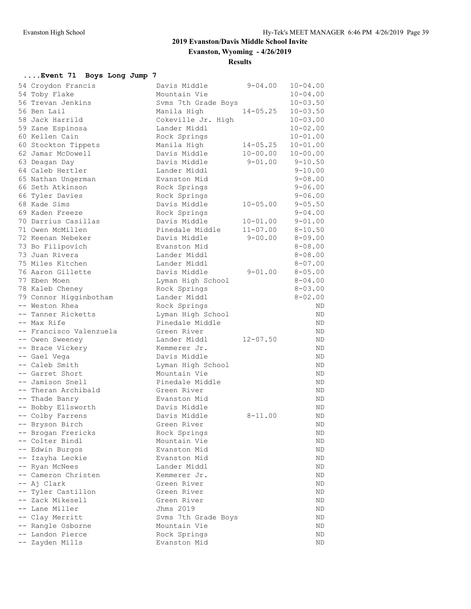# **2019 Evanston/Davis Middle School Invite Evanston, Wyoming - 4/26/2019**

**Results**

# **....Event 71 Boys Long Jump 7**

| 54 Croydon Francis                    | Davis Middle        | $9 - 04.00$  | $10 - 04.00$ |
|---------------------------------------|---------------------|--------------|--------------|
| 54 Toby Flake                         | Mountain Vie        |              | $10 - 04.00$ |
| 56 Trevan Jenkins                     | Syms 7th Grade Boys |              | $10 - 03.50$ |
| 56 Ben Lail                           | Manila High         | $14 - 05.25$ | $10 - 03.50$ |
| 58 Jack Harrild                       | Cokeville Jr. High  |              | $10 - 03.00$ |
| 59 Zane Espinosa                      | Lander Middl        |              | $10 - 02.00$ |
| 60 Kellen Cain                        | Rock Springs        |              | $10 - 01.00$ |
| 60 Stockton Tippets                   | Manila High         | $14 - 05.25$ | $10 - 01.00$ |
| 62 Jamar McDowell                     | Davis Middle        | $10 - 00.00$ | $10 - 00.00$ |
| 63 Deagan Day                         | Davis Middle        | $9 - 01.00$  | $9 - 10.50$  |
| 64 Caleb Hertler                      | Lander Middl        |              | $9 - 10.00$  |
| 65 Nathan Ungerman                    | Evanston Mid        |              | $9 - 08.00$  |
| 66 Seth Atkinson                      | Rock Springs        |              | $9 - 06.00$  |
| 66 Tyler Davies                       | Rock Springs        |              | $9 - 06.00$  |
| 68 Kade Sims                          | Davis Middle        | $10 - 05.00$ | $9 - 05.50$  |
| 69 Kaden Freeze                       | Rock Springs        |              | $9 - 04.00$  |
| 70 Darrius Casillas                   | Davis Middle        | $10 - 01.00$ | $9 - 01.00$  |
| 71 Owen McMillen                      | Pinedale Middle     | $11 - 07.00$ | $8 - 10.50$  |
| 72 Keenan Nebeker                     | Davis Middle        | $9 - 00.00$  | $8 - 09.00$  |
| 73 Bo Filipovich                      | Evanston Mid        |              | $8 - 08.00$  |
| 73 Juan Rivera                        | Lander Middl        |              | $8 - 08.00$  |
| 75 Miles Kitchen                      | Lander Middl        |              | $8 - 07.00$  |
| 76 Aaron Gillette                     | Davis Middle        | $9 - 01.00$  | $8 - 05.00$  |
| 77 Eben Moen                          | Lyman High School   |              | $8 - 04.00$  |
| 78 Kaleb Cheney                       | Rock Springs        |              | $8 - 03.00$  |
| 79 Connor Higginbotham                | Lander Middl        |              | $8 - 02.00$  |
| -- Weston Rhea                        | Rock Springs        |              | ND.          |
| -- Tanner Ricketts                    | Lyman High School   |              | ΝD           |
| -- Max Rife                           | Pinedale Middle     |              | ΝD           |
| -- Francisco Valenzuela               | Green River         |              | ND           |
| -- Owen Sweeney                       | Lander Middl        | $12 - 07.50$ | ND           |
| -- Brace Vickery                      | Kemmerer Jr.        |              | ND.          |
| -- Gael Vega                          | Davis Middle        |              | ND           |
| -- Caleb Smith                        | Lyman High School   |              | ND           |
| -- Garret Short                       | Mountain Vie        |              | ΝD           |
| -- Jamison Snell                      | Pinedale Middle     |              | ND           |
| -- Theran Archibald                   | Green River         |              | ΝD           |
| -- Thade Banry                        | Evanston Mid        |              | ND.          |
| -- Bobby Ellsworth                    | Davis Middle        |              | ND           |
| -- Colby Farrens                      | Davis Middle        | $8 - 11.00$  | ΝD           |
| -- Bryson Birch                       | Green River         |              | ΝD           |
| -- Brogan Frericks                    | Rock Springs        |              | ND.          |
| -- Colter Bindl                       | Mountain Vie        |              | ΝD           |
| -- Edwin Burgos                       | Evanston Mid        |              | ND           |
| -- Izayha Leckie                      | Evanston Mid        |              | ND           |
| -- Ryan McNees                        | Lander Middl        |              | ND           |
| -- Cameron Christen                   | Kemmerer Jr.        |              | ΝD           |
| -- Aj Clark                           | Green River         |              | ND           |
| -- Tyler Castillon                    | Green River         |              | ND           |
| -- Zack Mikesell                      | Green River         |              | ND           |
| -- Lane Miller                        | Jhms 2019           |              | ND           |
| -- Clay Merritt                       |                     |              | ND           |
|                                       | Svms 7th Grade Boys |              |              |
| -- Rangle Osborne<br>-- Landon Pierce | Mountain Vie        |              | ND           |
|                                       | Rock Springs        |              | ND           |
| -- Zayden Mills                       | Evanston Mid        |              | ND           |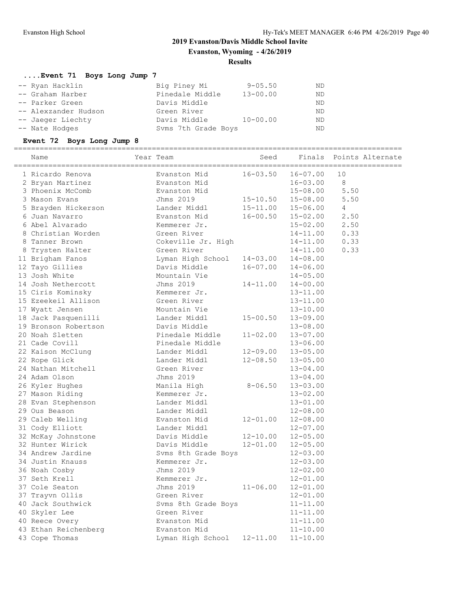**Evanston, Wyoming - 4/26/2019**

#### **Results**

# **....Event 71 Boys Long Jump 7**

| -- Ryan Hacklin      | Big Piney Mi        | $9 - 05.50$  | ND        |
|----------------------|---------------------|--------------|-----------|
| -- Graham Harber     | Pinedale Middle     | $13 - 00.00$ | <b>ND</b> |
| -- Parker Green      | Davis Middle        |              | ND        |
| -- Alexzander Hudson | Green River         |              | ND        |
| -- Jaeger Liechty    | Davis Middle        | $10 - 00.00$ | <b>ND</b> |
| -- Nate Hodges       | Syms 7th Grade Boys |              | ND        |

#### **Event 72 Boys Long Jump 8**

==========================================================================================

| Name                 | Year Team<br>======== | Seed         | Finals       | Points Alternate |
|----------------------|-----------------------|--------------|--------------|------------------|
| 1 Ricardo Renova     | Evanston Mid          | $16 - 03.50$ | $16 - 07.00$ | 10               |
| 2 Bryan Martinez     | Evanston Mid          |              | $16 - 03.00$ | 8                |
| 3 Phoenix McComb     | Evanston Mid          |              | $15 - 08.00$ | 5.50             |
| 3 Mason Evans        | Jhms 2019             | $15 - 10.50$ | $15 - 08.00$ | 5.50             |
| 5 Brayden Hickerson  | Lander Middl          | $15 - 11.00$ | $15 - 06.00$ | 4                |
| 6 Juan Navarro       | Evanston Mid          | $16 - 00.50$ | $15 - 02.00$ | 2.50             |
| 6 Abel Alvarado      | Kemmerer Jr.          |              | $15 - 02.00$ | 2.50             |
| 8 Christian Worden   | Green River           |              | $14 - 11.00$ | 0.33             |
| 8 Tanner Brown       | Cokeville Jr. High    |              | $14 - 11.00$ | 0.33             |
| 8 Trysten Halter     | Green River           |              | $14 - 11.00$ | 0.33             |
| 11 Brigham Fanos     | Lyman High School     | $14 - 03.00$ | $14 - 08.00$ |                  |
| 12 Tayo Gillies      | Davis Middle          | $16 - 07.00$ | $14 - 06.00$ |                  |
| 13 Josh White        | Mountain Vie          |              | $14 - 05.00$ |                  |
| 14 Josh Nethercott   | Jhms 2019             | 14-11.00     | $14 - 00.00$ |                  |
| 15 Ciris Kominsky    | Kemmerer Jr.          |              | $13 - 11.00$ |                  |
| 15 Ezeekeil Allison  | Green River           |              | $13 - 11.00$ |                  |
| 17 Wyatt Jensen      | Mountain Vie          |              | $13 - 10.00$ |                  |
| 18 Jack Pasquenilli  | Lander Middl          | $15 - 00.50$ | $13 - 09.00$ |                  |
| 19 Bronson Robertson | Davis Middle          |              | $13 - 08.00$ |                  |
| 20 Noah Sletten      | Pinedale Middle       | $11 - 02.00$ | $13 - 07.00$ |                  |
| 21 Cade Covill       | Pinedale Middle       |              | $13 - 06.00$ |                  |
| 22 Kaison McClung    | Lander Middl          | $12 - 09.00$ | $13 - 05.00$ |                  |
| 22 Rope Glick        | Lander Middl          | $12 - 08.50$ | $13 - 05.00$ |                  |
| 24 Nathan Mitchell   | Green River           |              | $13 - 04.00$ |                  |
| 24 Adam Olson        | Jhms 2019             |              | $13 - 04.00$ |                  |
| 26 Kyler Hughes      | Manila High           | $8 - 06.50$  | $13 - 03.00$ |                  |
| 27 Mason Riding      | Kemmerer Jr.          |              | $13 - 02.00$ |                  |
| 28 Evan Stephenson   | Lander Middl          |              | $13 - 01.00$ |                  |
| 29 Ous Beason        | Lander Middl          |              | $12 - 08.00$ |                  |
| 29 Caleb Welling     | Evanston Mid          | $12 - 01.00$ | $12 - 08.00$ |                  |
| 31 Cody Elliott      | Lander Middl          |              | $12 - 07.00$ |                  |
| 32 McKay Johnstone   | Davis Middle          | $12 - 10.00$ | $12 - 05.00$ |                  |
| 32 Hunter Wirick     | Davis Middle          | $12 - 01.00$ | $12 - 05.00$ |                  |
| 34 Andrew Jardine    | Svms 8th Grade Boys   |              | $12 - 03.00$ |                  |
| 34 Justin Knauss     | Kemmerer Jr.          |              | $12 - 03.00$ |                  |
| 36 Noah Cosby        | Jhms 2019             |              | $12 - 02.00$ |                  |
| 37 Seth Krell        | Kemmerer Jr.          |              | $12 - 01.00$ |                  |
| 37 Cole Seaton       | Jhms 2019             | $11 - 06.00$ | $12 - 01.00$ |                  |
| 37 Trayvn Ollis      | Green River           |              | $12 - 01.00$ |                  |
| 40 Jack Southwick    | Svms 8th Grade Boys   |              | $11 - 11.00$ |                  |
| 40 Skyler Lee        | Green River           |              | $11 - 11.00$ |                  |
| 40 Reece Overy       | Evanston Mid          |              | $11 - 11.00$ |                  |
| 43 Ethan Reichenberg | Evanston Mid          |              | $11 - 10.00$ |                  |
| 43 Cope Thomas       | Lyman High School     | $12 - 11.00$ | $11 - 10.00$ |                  |
|                      |                       |              |              |                  |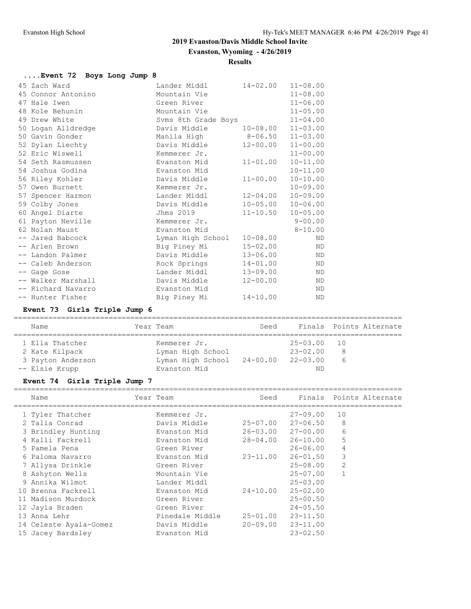# **Evanston, Wyoming - 4/26/2019**

#### **Results**

| Event 72 Boys Long Jump 8 |                     |              |              |
|---------------------------|---------------------|--------------|--------------|
| 45 Zach Ward              | Lander Middl        | 14-02.00     | $11 - 08.00$ |
| 45 Connor Antonino        | Mountain Vie        |              | $11 - 08.00$ |
| 47 Hale Iwen              | Green River         |              | $11 - 06.00$ |
| 48 Kole Behunin           | Mountain Vie        |              | $11 - 05.00$ |
| 49 Drew White             | Syms 8th Grade Boys |              | $11 - 04.00$ |
| 50 Logan Alldredge        | Davis Middle        | $10 - 08.00$ | $11 - 03.00$ |
| 50 Gavin Gonder           | Manila High         | $8 - 06.50$  | $11 - 03.00$ |
| 52 Dylan Liechty          | Davis Middle        | $12 - 00.00$ | $11 - 00.00$ |
| 52 Eric Wiswell           | Kemmerer Jr.        |              | $11 - 00.00$ |
| 54 Seth Rasmussen         | Evanston Mid        | $11 - 01.00$ | $10 - 11.00$ |
| 54 Joshua Godina          | Evanston Mid        |              | $10 - 11.00$ |
| 56 Riley Kohler           | Davis Middle        | $11 - 00.00$ | $10 - 10.00$ |
| 57 Owen Burnett           | Kemmerer Jr.        |              | $10 - 09.00$ |
| 57 Spencer Harmon         | Lander Middl        | $12 - 04.00$ | $10 - 09.00$ |
| 59 Colby Jones            | Davis Middle        | $10 - 05.00$ | $10 - 06.00$ |
| 60 Angel Diarte           | Jhms 2019           | $11 - 10.50$ | $10 - 05.00$ |
| 61 Payton Neville         | Kemmerer Jr.        |              | $9 - 00.00$  |
| 62 Nolan Maust            | Evanston Mid        |              | $8 - 10.00$  |
| -- Jared Babcock          | Lyman High School   | $10 - 08.00$ | ND           |
| -- Arlen Brown            | Big Piney Mi        | $15 - 02.00$ | <b>ND</b>    |
| -- Landon Palmer          | Davis Middle        | $13 - 06.00$ | <b>ND</b>    |
| -- Caleb Anderson         | Rock Springs        | $14 - 01.00$ | ND           |
| -- Gage Gose              | Lander Middl        | $13 - 09.00$ | <b>ND</b>    |
| -- Walker Marshall        | Davis Middle        | $12 - 00.00$ | ND           |
| -- Richard Navarro        | Evanston Mid        |              | ND           |
| -- Hunter Fisher          | Big Piney Mi        | $14 - 10.00$ | <b>ND</b>    |

# **Event 73 Girls Triple Jump 6**

| Name                                                                     | Year Team                                                                       | Seed |                                                    | Finals Points Alternate |
|--------------------------------------------------------------------------|---------------------------------------------------------------------------------|------|----------------------------------------------------|-------------------------|
| 1 Ella Thatcher<br>2 Kate Kilpack<br>3 Payton Anderson<br>-- Elsie Krupp | Kemmerer Jr.<br>Lyman High School<br>Lyman High School 24-00.00<br>Evanston Mid |      | $25 - 03.00$<br>$23 - 02.00$<br>$22 - 03.00$<br>ND | 10<br>8<br>6            |

# **Event 74 Girls Triple Jump 7**

| Name                   | Year Team       | Seed                      |                   | Finals Points Alternate |
|------------------------|-----------------|---------------------------|-------------------|-------------------------|
| 1 Tyler Thatcher       | Kemmerer Jr.    |                           | $27 - 09.00$      | 10                      |
| 2 Talia Conrad         | Davis Middle    |                           | 25-07.00 27-06.50 | 8                       |
| 3 Brindley Hunting     | Evanston Mid    |                           | 26-03.00 27-00.00 | 6                       |
| 4 Kalli Fackrell       | Evanston Mid    |                           | 28-04.00 26-10.00 | 5                       |
| 5 Pamela Pena          | Green River     |                           | $26 - 06.00$      | 4                       |
| 6 Paloma Navarro       | Evanston Mid    | 23-11.00                  | 26-01.50          | 3                       |
| 7 Allysa Drinkle       | Green River     |                           | $25 - 08.00$      | $\overline{2}$          |
| 8 Ashyton Wells        | Mountain Vie    |                           | 25-07.00          |                         |
| 9 Annika Wilmot        | Lander Middl    |                           | $25 - 03.00$      |                         |
| 10 Brenna Fackrell     | Evanston Mid    | 24-10.00                  | $25 - 02.00$      |                         |
| 11 Madison Murdock     | Green River     |                           | $25 - 00.50$      |                         |
| 12 Jayla Braden        | Green River     |                           | $24 - 05.50$      |                         |
| 13 Anna Lehr           | Pinedale Middle | 25-01.00                  | 23-11.50          |                         |
| 14 Celeste Ayala-Gomez | Davis Middle    | $20 - 09.00$ $23 - 11.00$ |                   |                         |
| 15 Jacey Bardsley      | Evanston Mid    |                           | $23 - 02.50$      |                         |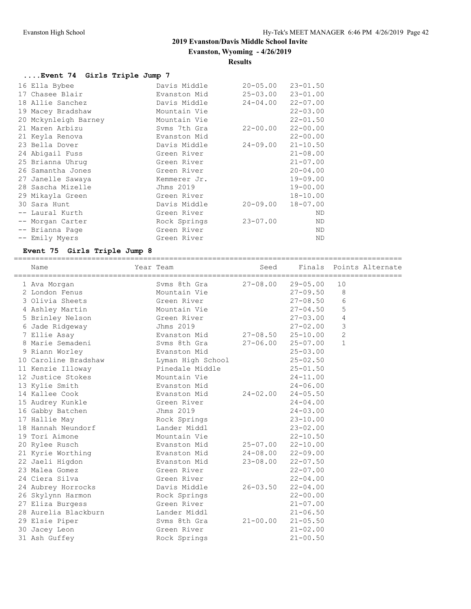**Evanston, Wyoming - 4/26/2019**

# **Results**

# **....Event 74 Girls Triple Jump 7**

| 16 Ella Bybee        | Davis Middle | $20 - 05.00$ | $23 - 01.50$ |
|----------------------|--------------|--------------|--------------|
| 17 Chasee Blair      | Evanston Mid | $25 - 03.00$ | $23 - 01.00$ |
| 18 Allie Sanchez     | Davis Middle | $24 - 04.00$ | $22 - 07.00$ |
| 19 Macey Bradshaw    | Mountain Vie |              | $22 - 03.00$ |
| 20 Mckynleigh Barney | Mountain Vie |              | $22 - 01.50$ |
| 21 Maren Arbizu      | Syms 7th Gra | $22 - 00.00$ | $22 - 00.00$ |
| 21 Keyla Renova      | Evanston Mid |              | $22 - 00.00$ |
| 23 Bella Dover       | Davis Middle | $24 - 09.00$ | $21 - 10.50$ |
| 24 Abigail Fuss      | Green River  |              | $21 - 08.00$ |
| 25 Brianna Uhrug     | Green River  |              | $21 - 07.00$ |
| 26 Samantha Jones    | Green River  |              | $20 - 04.00$ |
| 27 Janelle Sawaya    | Kemmerer Jr. |              | $19 - 09.00$ |
| 28 Sascha Mizelle    | Jhms 2019    |              | $19 - 00.00$ |
| 29 Mikayla Green     | Green River  |              | $18 - 10.00$ |
| 30 Sara Hunt         | Davis Middle | $20 - 09.00$ | $18 - 07.00$ |
| -- Laural Kurth      | Green River  |              | ND           |
| -- Morgan Carter     | Rock Springs | $23 - 07.00$ | ND           |
| -- Brianna Page      | Green River  |              | ND           |
| -- Emily Myers       | Green River  |              | ND           |

# **Event 75 Girls Triple Jump 8**

| Name                 | Year Team         |                           | Seed Finals Points Alternate |                | ====================== |
|----------------------|-------------------|---------------------------|------------------------------|----------------|------------------------|
| 1 Ava Morgan         | Syms 8th Gra      | $27 - 08.00$ $29 - 05.00$ |                              | 10             |                        |
| 2 London Fenus       | Mountain Vie      |                           | 27-09.50                     | 8              |                        |
| 3 Olivia Sheets      | Green River       |                           | $27 - 08.50$                 | 6              |                        |
| 4 Ashley Martin      | Mountain Vie      |                           | $27 - 04.50$                 | 5              |                        |
| 5 Brinley Nelson     | Green River       |                           | $27 - 03.00$                 | $\overline{4}$ |                        |
| 6 Jade Ridgeway      | Jhms 2019         |                           | $27 - 02.00$                 | 3              |                        |
| 7 Ellie Asay         | Evanston Mid      |                           | $27 - 08.50$ $25 - 10.00$    | $\overline{2}$ |                        |
| 8 Marie Semadeni     | Svms 8th Gra      |                           | $27 - 06.00$ $25 - 07.00$    | $\mathbf{1}$   |                        |
| 9 Riann Worley       | Evanston Mid      |                           | $25 - 03.00$                 |                |                        |
| 10 Caroline Bradshaw | Lyman High School |                           | $25 - 02.50$                 |                |                        |
| 11 Kenzie Illoway    | Pinedale Middle   |                           | $25 - 01.50$                 |                |                        |
| 12 Justice Stokes    | Mountain Vie      |                           | $24 - 11.00$                 |                |                        |
| 13 Kylie Smith       | Evanston Mid      |                           | $24 - 06.00$                 |                |                        |
| 14 Kallee Cook       | Evanston Mid      | $24 - 02.00$              | $24 - 05.50$                 |                |                        |
| 15 Audrey Kunkle     | Green River       |                           | $24 - 04.00$                 |                |                        |
| 16 Gabby Batchen     | Jhms 2019         |                           | $24 - 03.00$                 |                |                        |
| 17 Hallie May        | Rock Springs      |                           | $23 - 10.00$                 |                |                        |
| 18 Hannah Neundorf   | Lander Middl      |                           | $23 - 02.00$                 |                |                        |
| 19 Tori Aimone       | Mountain Vie      |                           | $22 - 10.50$                 |                |                        |
| 20 Rylee Rusch       | Evanston Mid      | $25 - 07.00$ $22 - 10.00$ |                              |                |                        |
| 21 Kyrie Worthing    | Evanston Mid      | $24 - 08.00$ 22-09.00     |                              |                |                        |
| 22 Jaeli Higdon      | Evanston Mid      | $23 - 08.00$              | $22 - 07.50$                 |                |                        |
| 23 Malea Gomez       | Green River       |                           | $22 - 07.00$                 |                |                        |
| 24 Ciera Silva       | Green River       |                           | $22 - 04.00$                 |                |                        |
| 24 Aubrey Horrocks   | Davis Middle      | $26 - 03.50$              | $22 - 04.00$                 |                |                        |
| 26 Skylynn Harmon    | Rock Springs      |                           | $22 - 00.00$                 |                |                        |
| 27 Eliza Burgess     | Green River       |                           | $21 - 07.00$                 |                |                        |
| 28 Aurelia Blackburn | Lander Middl      |                           | $21 - 06.50$                 |                |                        |
| 29 Elsie Piper       | Syms 8th Gra      | $21 - 00.00$              | $21 - 05.50$                 |                |                        |
| 30 Jacey Leon        | Green River       |                           | $21 - 02.00$                 |                |                        |
| 31 Ash Guffey        | Rock Springs      |                           | $21 - 00.50$                 |                |                        |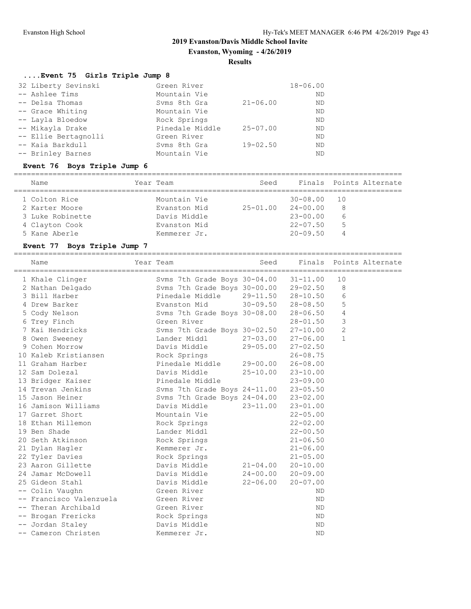**Evanston, Wyoming - 4/26/2019**

#### **Results**

#### **....Event 75 Girls Triple Jump 8**

| 32 Liberty Sevinski  | Green River     |              | $18 - 06.00$ |
|----------------------|-----------------|--------------|--------------|
| -- Ashlee Tims       | Mountain Vie    |              | ND.          |
| -- Delsa Thomas      | Syms 8th Gra    | $21 - 06.00$ | ND           |
| -- Grace Whiting     | Mountain Vie    |              | ND.          |
| -- Layla Bloedow     | Rock Springs    |              | ND.          |
| -- Mikayla Drake     | Pinedale Middle | $25 - 07.00$ | ND.          |
| -- Ellie Bertagnolli | Green River     |              | ND.          |
| -- Kaia Barkdull     | Syms 8th Gra    | $19 - 02.50$ | ND.          |
| -- Brinley Barnes    | Mountain Vie    |              | ND           |
|                      |                 |              |              |

#### **Event 76 Boys Triple Jump 6**

#### ========================================================================================== Name Tear Team Seed Finals Points Alternate ========================================================================================== 1 Colton Rice Mountain Vie 30-08.00 10 2 Karter Moore Evanston Mid 25-01.00 24-00.00 8 3 Luke Robinette Davis Middle 23-00.00 6 4 Clayton Cook Evanston Mid 22-07.50 5 5 Kane Aberle Kemmerer Jr. 20-09.50 4

#### **Event 77 Boys Triple Jump 7**

| Name                    | Year Team                             | Seed                      |              | Finals Points Alternate |
|-------------------------|---------------------------------------|---------------------------|--------------|-------------------------|
| 1 Khale Clinger         | Svms 7th Grade Boys 30-04.00 31-11.00 |                           |              | 10                      |
| 2 Nathan Delgado        | Svms 7th Grade Boys 30-00.00 29-02.50 |                           |              | 8                       |
| 3 Bill Harber           | Pinedale Middle                       | 29-11.50 28-10.50         |              | 6                       |
| 4 Drew Barker           | Evanston Mid                          | $30 - 09.50$ $28 - 08.50$ |              | 5                       |
| 5 Cody Nelson           | Svms 7th Grade Boys 30-08.00 28-06.50 |                           |              | 4                       |
| 6 Trey Finch            | Green River                           |                           | $28 - 01.50$ | $\mathsf 3$             |
| 7 Kai Hendricks         | Svms 7th Grade Boys 30-02.50 27-10.00 |                           |              | $\mathbf{2}$            |
| 8 Owen Sweeney          | Lander Middl                          | $27 - 03.00$ $27 - 06.00$ |              | $\mathbf{1}$            |
| 9 Cohen Morrow          | Davis Middle                          | 29-05.00 27-02.50         |              |                         |
| 10 Kaleb Kristiansen    | Rock Springs                          |                           | $26 - 08.75$ |                         |
| 11 Graham Harber        | Pinedale Middle                       | 29-00.00 26-08.00         |              |                         |
| 12 Sam Dolezal          | Davis Middle                          | $25 - 10.00$              | $23 - 10.00$ |                         |
| 13 Bridger Kaiser       | Pinedale Middle                       |                           | $23 - 09.00$ |                         |
| 14 Trevan Jenkins       | Svms 7th Grade Boys 24-11.00 23-05.50 |                           |              |                         |
| 15 Jason Heiner         | Svms 7th Grade Boys 24-04.00 23-02.00 |                           |              |                         |
| 16 Jamison Williams     | Davis Middle                          | $23 - 11.00$              | $23 - 01.00$ |                         |
| 17 Garret Short         | Mountain Vie                          |                           | $22 - 05.00$ |                         |
| 18 Ethan Millemon       | Rock Springs                          |                           | $22 - 02.00$ |                         |
| 19 Ben Shade            | Lander Middl                          |                           | $22 - 00.50$ |                         |
| 20 Seth Atkinson        | Rock Springs                          |                           | $21 - 06.50$ |                         |
| 21 Dylan Hagler         | Kemmerer Jr.                          |                           | $21 - 06.00$ |                         |
| 22 Tyler Davies         | Rock Springs                          |                           | $21 - 05.00$ |                         |
| 23 Aaron Gillette       | Davis Middle                          | $21 - 04.00$              | $20 - 10.00$ |                         |
| 24 Jamar McDowell       | Davis Middle                          | $24 - 00.00$ $20 - 09.00$ |              |                         |
| 25 Gideon Stahl         | Davis Middle                          | 22-06.00                  | $20 - 07.00$ |                         |
| -- Colin Vaughn         | Green River                           |                           | ND.          |                         |
| -- Francisco Valenzuela | Green River                           |                           | <b>ND</b>    |                         |
| -- Theran Archibald     | Green River                           |                           | ND.          |                         |
| -- Brogan Frericks      | Rock Springs                          |                           | <b>ND</b>    |                         |
| -- Jordan Staley        | Davis Middle                          |                           | <b>ND</b>    |                         |
| -- Cameron Christen     | Kemmerer Jr.                          |                           | <b>ND</b>    |                         |
|                         |                                       |                           |              |                         |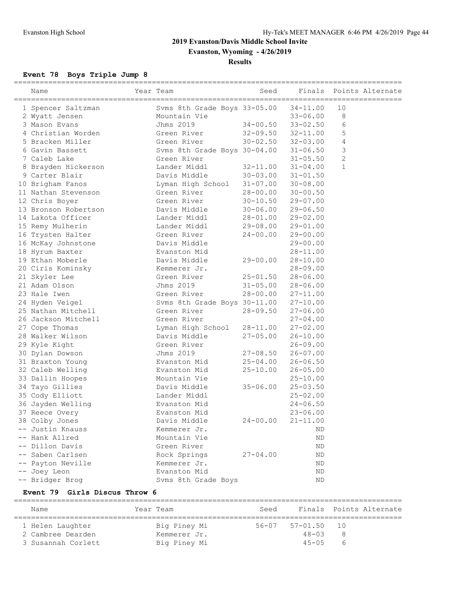**Evanston, Wyoming - 4/26/2019**

**Results**

#### **Event 78 Boys Triple Jump 8**

| ----------------------<br>Name | Year Team                    | Seed         | Finals                    |                | Points Alternate |
|--------------------------------|------------------------------|--------------|---------------------------|----------------|------------------|
| 1 Spencer Saltzman             | Svms 8th Grade Boys 33-05.00 |              | $34 - 11.00$              | 10             |                  |
| 2 Wyatt Jensen                 | Mountain Vie                 |              | $33 - 06.00$              | 8              |                  |
| 3 Mason Evans                  | Jhms 2019                    |              | $34 - 00.50$ $33 - 02.50$ | 6              |                  |
| 4 Christian Worden             | Green River                  |              | $32 - 09.50$ $32 - 11.00$ | 5              |                  |
| 5 Bracken Miller               | Green River                  | $30 - 02.50$ | $32 - 03.00$              | 4              |                  |
| 6 Gavin Bassett                | Svms 8th Grade Boys 30-04.00 |              | $31 - 06.50$              | 3              |                  |
| 7 Caleb Lake                   | Green River                  |              | $31 - 05.50$              | $\overline{c}$ |                  |
| 8 Brayden Hickerson            | Lander Middl                 | $32 - 11.00$ | $31 - 04.00$              | $\mathbf{1}$   |                  |
| 9 Carter Blair                 | Davis Middle                 | $30 - 03.00$ | $31 - 01.50$              |                |                  |
| 10 Brigham Fanos               | Lyman High School            |              | $31 - 07.00$ $30 - 08.00$ |                |                  |
| 11 Nathan Stevenson            | Green River                  | 28-00.00     | $30 - 00.50$              |                |                  |
| 12 Chris Boyer                 | Green River                  | $30 - 10.50$ | $29 - 07.00$              |                |                  |
| 13 Bronson Robertson           | Davis Middle                 | $30 - 06.00$ | $29 - 06.50$              |                |                  |
| 14 Lakota Officer              | Lander Middl                 | 28-01.00     | $29 - 02.00$              |                |                  |
| 15 Remy Mulherin               | Lander Middl                 | $29 - 08.00$ | $29 - 01.00$              |                |                  |
| 16 Trysten Halter              | Green River                  | $24 - 00.00$ | $29 - 00.00$              |                |                  |
| 16 McKay Johnstone             | Davis Middle                 |              | $29 - 00.00$              |                |                  |
| 18 Hyrum Baxter                | Evanston Mid                 |              | $28 - 11.00$              |                |                  |
| 19 Ethan Moberle               | Davis Middle                 | $29 - 00.00$ | $28 - 10.00$              |                |                  |
| 20 Ciris Kominsky              | Kemmerer Jr.                 |              | $28 - 09.00$              |                |                  |
| 21 Skyler Lee                  | Green River                  | 25-01.50     | $28 - 06.00$              |                |                  |
| 21 Adam Olson                  | Jhms 2019                    | $31 - 05.00$ | $28 - 06.00$              |                |                  |
| 23 Hale Iwen                   | Green River                  | 28-00.00     | $27 - 11.00$              |                |                  |
| 24 Hyden Veigel                | Svms 8th Grade Boys 30-11.00 |              | $27 - 10.00$              |                |                  |
| 25 Nathan Mitchell             | Green River                  | $28 - 09.50$ | $27 - 06.00$              |                |                  |
| 26 Jackson Mitchell            | Green River                  |              | $27 - 04.00$              |                |                  |
| 27 Cope Thomas                 | Lyman High School            | 28-11.00     | $27 - 02.00$              |                |                  |
| 28 Walker Wilson               | Davis Middle                 | 27-05.00     | $26 - 10.00$              |                |                  |
| 29 Kyle Kight                  | Green River                  |              | $26 - 09.00$              |                |                  |
| 30 Dylan Dowson                | Jhms 2019                    | $27 - 08.50$ | $26 - 07.00$              |                |                  |
| 31 Braxton Young               | Evanston Mid                 | $25 - 04.00$ | $26 - 06.50$              |                |                  |
| 32 Caleb Welling               | Evanston Mid                 | $25 - 10.00$ | $26 - 05.00$              |                |                  |
| 33 Dallin Hoopes               | Mountain Vie                 |              | $25 - 10.00$              |                |                  |
| 34 Tayo Gillies                | Davis Middle                 | $35 - 06.00$ | $25 - 03.50$              |                |                  |
| 35 Cody Elliott                | Lander Middl                 |              | $25 - 02.00$              |                |                  |
| 36 Jayden Welling              | Evanston Mid                 |              | $24 - 06.50$              |                |                  |
| 37 Reece Overy                 | Evanston Mid                 |              | $23 - 06.00$              |                |                  |
| 38 Colby Jones                 | Davis Middle                 | $24 - 00.00$ | $21 - 11.00$              |                |                  |
| -- Justin Knauss               | Kemmerer Jr.                 |              | ΝD                        |                |                  |
| -- Hank Allred                 | Mountain Vie                 |              | ND                        |                |                  |
| -- Dillon Davis                | Green River                  |              | ND                        |                |                  |
| -- Saben Carlsen               | Rock Springs                 | $27 - 04.00$ | ΝD                        |                |                  |
| -- Payton Neville              | Kemmerer Jr.                 |              | ΝD                        |                |                  |
| -- Joey Leon                   | Evanston Mid                 |              | ND                        |                |                  |
| -- Bridger Brog                | Svms 8th Grade Boys          |              | ND                        |                |                  |

#### **Event 79 Girls Discus Throw 6**

========================================================================================== Name Tear Team Seed Finals Points Alternate ========================================================================================== 1 Helen Laughter Big Piney Mi 56-07 57-01.50 10 2 Cambree Dearden Kemmerer Jr. 48-03 8 3 Susannah Corlett Big Piney Mi 45-05 6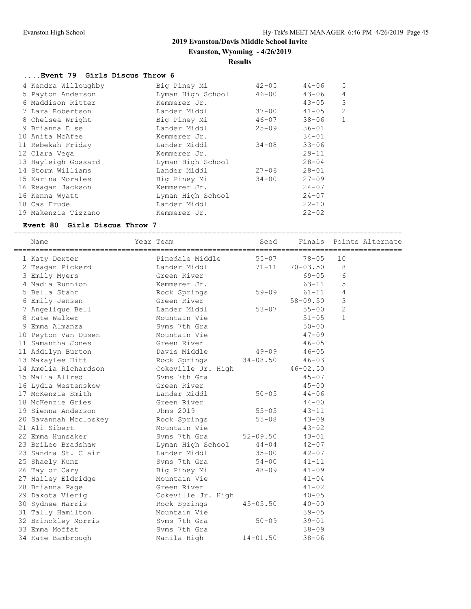**Evanston, Wyoming - 4/26/2019**

#### **Results**

#### **....Event 79 Girls Discus Throw 6**

| 4 Kendra Willoughby | Big Piney Mi      | $42 - 05$ | $44 - 06$ | 5              |
|---------------------|-------------------|-----------|-----------|----------------|
| 5 Payton Anderson   | Lyman High School | $46 - 00$ | $43 - 06$ | 4              |
| 6 Maddison Ritter   | Kemmerer Jr.      |           | $43 - 05$ | 3              |
| 7 Lara Robertson    | Lander Middl      | $37 - 00$ | $41 - 05$ | $\overline{c}$ |
| 8 Chelsea Wright    | Big Piney Mi      | $46 - 07$ | $38 - 06$ | $\mathbf{1}$   |
| 9 Brianna Else      | Lander Middl      | $25 - 09$ | $36 - 01$ |                |
| 10 Anita McAfee     | Kemmerer Jr.      |           | $34 - 01$ |                |
| 11 Rebekah Friday   | Lander Middl      | $34 - 08$ | $33 - 06$ |                |
| 12 Clara Vega       | Kemmerer Jr.      |           | $29 - 11$ |                |
| 13 Hayleigh Gossard | Lyman High School |           | $28 - 04$ |                |
| 14 Storm Williams   | Lander Middl      | $27 - 06$ | $28 - 01$ |                |
| 15 Karina Morales   | Big Piney Mi      | $34 - 00$ | $27 - 09$ |                |
| 16 Reagan Jackson   | Kemmerer Jr.      |           | $24 - 07$ |                |
| 16 Kenna Wyatt      | Lyman High School |           | $24 - 07$ |                |
| 18 Cas Frude        | Lander Middl      |           | $22 - 10$ |                |
| 19 Makenzie Tizzano | Kemmerer Jr.      |           | $22 - 02$ |                |

#### **Event 80 Girls Discus Throw 7**

========================================================================================== ----<br>Seed Finals Points Alternate

| name                  | rear<br>ream       | seea         | rınaıs       | POINTS Alternate |
|-----------------------|--------------------|--------------|--------------|------------------|
| 1 Katy Dexter         | Pinedale Middle    | $55 - 07$    | $78 - 05$    | 10               |
| 2 Teagan Pickerd      | Lander Middl       | $71 - 11$    | $70 - 03.50$ | 8                |
| 3 Emily Myers         | Green River        |              | $69 - 05$    | 6                |
| 4 Nadia Runnion       | Kemmerer Jr.       |              | $63 - 11$    | 5                |
| 5 Bella Stahr         | Rock Springs       | $59 - 09$    | $61 - 11$    | 4                |
| 6 Emily Jensen        | Green River        |              | $58 - 09.50$ | 3                |
| 7 Angelique Bell      | Lander Middl       | $53 - 07$    | $55 - 00$    | $\mathbf{2}$     |
| 8 Kate Walker         | Mountain Vie       |              | $51 - 05$    | $\mathbf{1}$     |
| 9 Emma Almanza        | Syms 7th Gra       |              | $50 - 00$    |                  |
| 10 Peyton Van Dusen   | Mountain Vie       |              | $47 - 09$    |                  |
| 11 Samantha Jones     | Green River        |              | $46 - 05$    |                  |
| 11 Addilyn Burton     | Davis Middle       | $49 - 09$    | $46 - 05$    |                  |
| 13 Makaylee Hitt      | Rock Springs       | $34 - 08.50$ | $46 - 03$    |                  |
| 14 Amelia Richardson  | Cokeville Jr. High |              | $46 - 02.50$ |                  |
| 15 Malia Allred       | Syms 7th Gra       |              | $45 - 07$    |                  |
| 16 Lydia Westenskow   | Green River        |              | $45 - 00$    |                  |
| 17 McKenzie Smith     | Lander Middl       | $50 - 05$    | $44 - 06$    |                  |
| 18 McKenzie Gries     | Green River        |              | $44 - 00$    |                  |
| 19 Sienna Anderson    | Jhms 2019          | $55 - 05$    | $43 - 11$    |                  |
| 20 Savannah Mccloskey | Rock Springs       | $55 - 08$    | $43 - 09$    |                  |
| 21 Ali Sibert         | Mountain Vie       |              | $43 - 02$    |                  |
| 22 Emma Hunsaker      | Syms 7th Gra       | $52 - 09.50$ | $43 - 01$    |                  |
| 23 BriLee Bradshaw    | Lyman High School  | $44 - 04$    | $42 - 07$    |                  |
| 23 Sandra St. Clair   | Lander Middl       | $35 - 00$    | $42 - 07$    |                  |
| 25 Shaely Kunz        | Syms 7th Gra       | $54 - 00$    | $41 - 11$    |                  |
| 26 Taylor Cary        | Big Piney Mi       | $48 - 09$    | $41 - 09$    |                  |
| 27 Hailey Eldridge    | Mountain Vie       |              | $41 - 04$    |                  |
| 28 Brianna Page       | Green River        |              | $41 - 02$    |                  |
| 29 Dakota Vierig      | Cokeville Jr. High |              | $40 - 05$    |                  |
| 30 Sydnee Harris      | Rock Springs       | $45 - 05.50$ | $40 - 00$    |                  |
| 31 Tally Hamilton     | Mountain Vie       |              | $39 - 05$    |                  |
| 32 Brinckley Morris   | Syms 7th Gra       | $50 - 09$    | $39 - 01$    |                  |
| 33 Emma Moffat        | Syms 7th Gra       |              | $38 - 09$    |                  |
| 34 Kate Bambrough     | Manila High        | $14 - 01.50$ | $38 - 06$    |                  |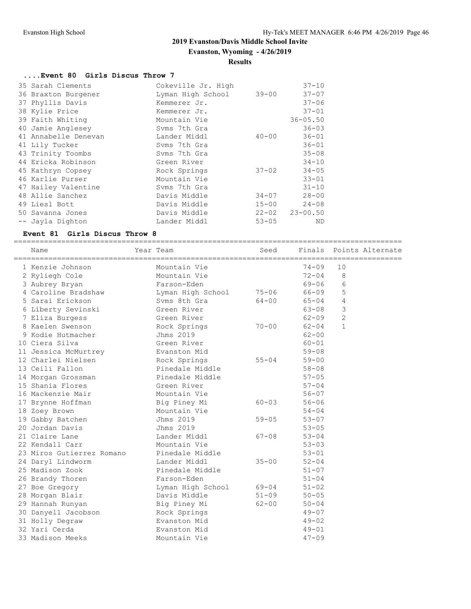**Evanston, Wyoming - 4/26/2019**

#### **Results**

# **....Event 80 Girls Discus Throw 7**

| 35 Sarah Clements    | Cokeville Jr. High |           | $37 - 10$    |
|----------------------|--------------------|-----------|--------------|
| 36 Braxton Burgener  | Lyman High School  | $39 - 00$ | $37 - 07$    |
| 37 Phyllis Davis     | Kemmerer Jr.       |           | $37 - 06$    |
| 38 Kylie Price       | Kemmerer Jr.       |           | $37 - 01$    |
| 39 Faith Whiting     | Mountain Vie       |           | $36 - 05.50$ |
| 40 Jamie Anglesey    | Syms 7th Gra       |           | $36 - 03$    |
| 41 Annabelle Denevan | Lander Middl       | $40 - 00$ | $36 - 01$    |
| 41 Lily Tucker       | Syms 7th Gra       |           | $36 - 01$    |
| 43 Trinity Toombs    | Syms 7th Gra       |           | $35 - 08$    |
| 44 Ericka Robinson   | Green River        |           | $34 - 10$    |
| 45 Kathryn Copsey    | Rock Springs       | $37 - 02$ | $34 - 05$    |
| 46 Karlie Purser     | Mountain Vie       |           | $33 - 01$    |
| 47 Hailey Valentine  | Syms 7th Gra       |           | $31 - 10$    |
| 48 Allie Sanchez     | Davis Middle       | $34 - 07$ | $28 - 00$    |
| 49 Liesl Bott        | Davis Middle       | $15 - 00$ | $24 - 08$    |
| 50 Savanna Jones     | Davis Middle       | $22 - 02$ | $23 - 00.50$ |
| -- Jayla Dighton     | Lander Middl       | $53 - 05$ | ND           |

#### **Event 81 Girls Discus Throw 8**

==========================================================================================

| Name                      | Year Team         | Seed      | Finals    | Points Alternate |
|---------------------------|-------------------|-----------|-----------|------------------|
| 1 Kenzie Johnson          | Mountain Vie      |           | $74 - 09$ | 10               |
| 2 Ryliegh Cole            | Mountain Vie      |           | $72 - 04$ | 8                |
| 3 Aubrey Bryan            | Farson-Eden       |           | $69 - 06$ | 6                |
| 4 Caroline Bradshaw       | Lyman High School | $75 - 06$ | 66-09     | 5                |
| 5 Sarai Erickson          | Syms 8th Gra      | $64 - 00$ | $65 - 04$ | 4                |
| 6 Liberty Sevinski        | Green River       |           | 63-08     | 3                |
| 7 Eliza Burgess           | Green River       |           | $62 - 09$ | $\overline{2}$   |
| 8 Kaelen Swenson          | Rock Springs      | $70 - 00$ | $62 - 04$ | $\mathbf{1}$     |
| 9 Kodie Hutmacher         | Jhms 2019         |           | $62 - 00$ |                  |
| 10 Ciera Silva            | Green River       |           | $60 - 01$ |                  |
| 11 Jessica McMurtrey      | Evanston Mid      |           | $59 - 08$ |                  |
| 12 Charlei Nielsen        | Rock Springs      | $55 - 04$ | $59 - 00$ |                  |
| 13 Ceili Fallon           | Pinedale Middle   |           | $58 - 08$ |                  |
| 14 Morgan Grossman        | Pinedale Middle   |           | $57 - 05$ |                  |
| 15 Shania Flores          | Green River       |           | $57 - 04$ |                  |
| 16 Mackenzie Mair         | Mountain Vie      |           | $56 - 07$ |                  |
| 17 Brynne Hoffman         | Big Piney Mi      | $60 - 03$ | $56 - 06$ |                  |
| 18 Zoey Brown             | Mountain Vie      |           | $54 - 04$ |                  |
| 19 Gabby Batchen          | Jhms 2019         | $59 - 05$ | $53 - 07$ |                  |
| 20 Jordan Davis           | Jhms 2019         |           | $53 - 05$ |                  |
| 21 Claire Lane            | Lander Middl      | $67 - 08$ | $53 - 04$ |                  |
| 22 Kendall Carr           | Mountain Vie      |           | $53 - 03$ |                  |
| 23 Miros Gutierrez Romano | Pinedale Middle   |           | $53 - 01$ |                  |
| 24 Daryl Lindworm         | Lander Middl      | $35 - 00$ | $52 - 04$ |                  |
| 25 Madison Zook           | Pinedale Middle   |           | $51 - 07$ |                  |
| 26 Brandy Thoren          | Farson-Eden       |           | $51 - 04$ |                  |
| 27 Boe Gregory            | Lyman High School | 69-04     | $51 - 02$ |                  |
| 28 Morgan Blair           | Davis Middle      | $51 - 09$ | $50 - 05$ |                  |
| 29 Hannah Runyan          | Big Piney Mi      | $62 - 00$ | $50 - 04$ |                  |
| 30 Danyell Jacobson       | Rock Springs      |           | $49 - 07$ |                  |
| 31 Holly Degraw           | Evanston Mid      |           | $49 - 02$ |                  |
| 32 Yari Cerda             | Evanston Mid      |           | $49 - 01$ |                  |
| 33 Madison Meeks          | Mountain Vie      |           | $47 - 09$ |                  |
|                           |                   |           |           |                  |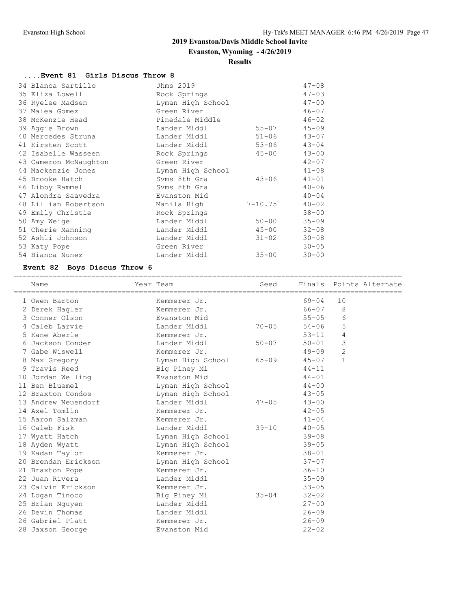==============================

# **2019 Evanston/Davis Middle School Invite**

**Evanston, Wyoming - 4/26/2019**

# **Results**

# **....Event 81 Girls Discus Throw 8**

| 34 Blanca Sartillo    | Jhms 2019         |             | $47 - 08$ |
|-----------------------|-------------------|-------------|-----------|
| 35 Eliza Lowell       | Rock Springs      |             | $47 - 03$ |
| 36 Ryelee Madsen      | Lyman High School |             | $47 - 00$ |
| 37 Malea Gomez        | Green River       |             | $46 - 07$ |
| 38 McKenzie Head      | Pinedale Middle   |             | $46 - 02$ |
| 39 Aggie Brown        | Lander Middl      | $55 - 07$   | $45 - 09$ |
| 40 Mercedes Struna    | Lander Middl      | $51 - 06$   | $43 - 07$ |
| 41 Kirsten Scott      | Lander Middl      | $53 - 06$   | $43 - 04$ |
| 42 Isabelle Wasseen   | Rock Springs      | $45 - 00$   | $43 - 00$ |
| 43 Cameron McNaughton | Green River       |             | $42 - 07$ |
| 44 Mackenzie Jones    | Lyman High School |             | $41 - 08$ |
| 45 Brooke Hatch       | Svms 8th Gra      | $43 - 06$   | $41 - 01$ |
| 46 Libby Rammell      | Syms 8th Gra      |             | $40 - 06$ |
| 47 Alondra Saavedra   | Evanston Mid      |             | $40 - 04$ |
| 48 Lillian Robertson  | Manila High       | $7 - 10.75$ | $40 - 02$ |
| 49 Emily Christie     | Rock Springs      |             | $38 - 00$ |
| 50 Amy Weigel         | Lander Middl      | $50 - 00$   | $35 - 09$ |
| 51 Cherie Manning     | Lander Middl      | $45 - 00$   | $32 - 08$ |
| 52 Ashli Johnson      | Lander Middl      | $31 - 02$   | $30 - 08$ |
| 53 Katy Pope          | Green River       |             | $30 - 05$ |
| 54 Bianca Nunez       | Lander Middl      | $35 - 00$   | $30 - 00$ |

# **Event 82 Boys Discus Throw 6**

|   | Name                | Year Team         | Seed<br>============ |           | ========       | Finals Points Alternate |
|---|---------------------|-------------------|----------------------|-----------|----------------|-------------------------|
|   | 1 Owen Barton       | Kemmerer Jr.      |                      | $69 - 04$ | 10             |                         |
|   | 2 Derek Hagler      | Kemmerer Jr.      |                      | 66-07     | 8              |                         |
|   | 3 Conner Olson      | Evanston Mid      |                      | $55 - 05$ | 6              |                         |
|   | 4 Caleb Larvie      | Lander Middl      | $70 - 05$            | $54 - 06$ | 5              |                         |
|   | 5 Kane Aberle       | Kemmerer Jr.      |                      | $53 - 11$ | 4              |                         |
|   | 6 Jackson Conder    | Lander Middl      | $50 - 07$            | $50 - 01$ | 3              |                         |
|   | 7 Gabe Wiswell      | Kemmerer Jr.      |                      | $49 - 09$ | $\overline{2}$ |                         |
| 8 | Max Gregory         | Lyman High School | $65 - 09$            | $45 - 07$ | $\mathbf{1}$   |                         |
|   | 9 Travis Reed       | Big Piney Mi      |                      | $44 - 11$ |                |                         |
|   | 10 Jordan Welling   | Evanston Mid      |                      | $44 - 01$ |                |                         |
|   | 11 Ben Bluemel      | Lyman High School |                      | $44 - 00$ |                |                         |
|   | 12 Braxton Condos   | Lyman High School |                      | $43 - 05$ |                |                         |
|   | 13 Andrew Neuendorf | Lander Middl      | $47 - 05$            | $43 - 00$ |                |                         |
|   | 14 Axel Tomlin      | Kemmerer Jr.      |                      | $42 - 05$ |                |                         |
|   | 15 Aaron Salzman    | Kemmerer Jr.      |                      | $41 - 04$ |                |                         |
|   | 16 Caleb Fisk       | Lander Middl      | $39 - 10$            | $40 - 05$ |                |                         |
|   | 17 Wyatt Hatch      | Lyman High School |                      | $39 - 08$ |                |                         |
|   | 18 Ayden Wyatt      | Lyman High School |                      | $39 - 05$ |                |                         |
|   | 19 Kadan Taylor     | Kemmerer Jr.      |                      | $38 - 01$ |                |                         |
|   | 20 Brendan Erickson | Lyman High School |                      | $37 - 07$ |                |                         |
|   | 21 Braxton Pope     | Kemmerer Jr.      |                      | $36 - 10$ |                |                         |
|   | 22 Juan Rivera      | Lander Middl      |                      | $35 - 09$ |                |                         |
|   | 23 Calvin Erickson  | Kemmerer Jr.      |                      | $33 - 05$ |                |                         |
|   | 24 Logan Tinoco     | Big Piney Mi      | $35 - 04$            | $32 - 02$ |                |                         |
|   | 25 Brian Nguyen     | Lander Middl      |                      | $27 - 00$ |                |                         |
|   | 26 Devin Thomas     | Lander Middl      |                      | $26 - 09$ |                |                         |
|   | 26 Gabriel Platt    | Kemmerer Jr.      |                      | $26 - 09$ |                |                         |
|   | 28 Jaxson George    | Evanston Mid      |                      | $22 - 02$ |                |                         |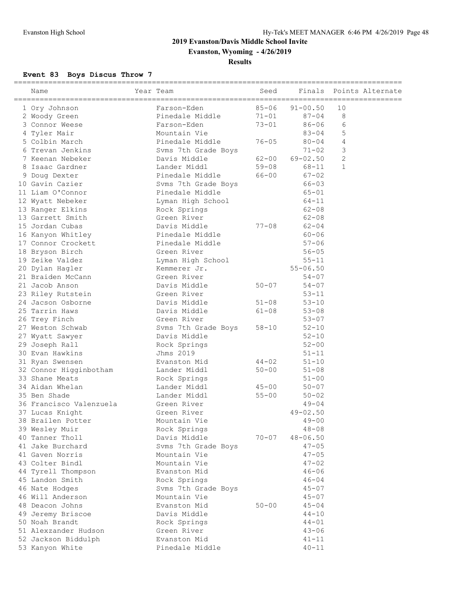**Evanston, Wyoming - 4/26/2019**

# **Results**

# **Event 83 Boys Discus Throw 7**

| =======================<br>Name | Year Team           | Seed      | Finals       | Points Alternate |
|---------------------------------|---------------------|-----------|--------------|------------------|
| 1 Ory Johnson                   | Farson-Eden         | $85 - 06$ | $91 - 00.50$ | 10               |
| 2 Woody Green                   | Pinedale Middle     | $71 - 01$ | $87 - 04$    | 8                |
| 3 Connor Weese                  | Farson-Eden         | $73 - 01$ | $86 - 06$    | 6                |
| 4 Tyler Mair                    | Mountain Vie        |           | $83 - 04$    | 5                |
| 5 Colbin March                  | Pinedale Middle     | $76 - 05$ | $80 - 04$    | 4                |
| 6 Trevan Jenkins                | Syms 7th Grade Boys |           | $71 - 02$    | 3                |
| 7 Keenan Nebeker                | Davis Middle        | $62 - 00$ | $69 - 02.50$ | $\mathbf{2}$     |
| 8 Isaac Gardner                 | Lander Middl        | $59 - 08$ | 68-11        | $\mathbf{1}$     |
| 9 Doug Dexter                   | Pinedale Middle     | 66-00     | $67 - 02$    |                  |
| 10 Gavin Cazier                 | Svms 7th Grade Boys |           | $66 - 03$    |                  |
| 11 Liam O'Connor                | Pinedale Middle     |           | $65 - 01$    |                  |
| 12 Wyatt Nebeker                | Lyman High School   |           | 64-11        |                  |
| 13 Ranger Elkins                | Rock Springs        |           | $62 - 08$    |                  |
| 13 Garrett Smith                | Green River         |           | $62 - 08$    |                  |
| 15 Jordan Cubas                 | Davis Middle        | $77 - 08$ | $62 - 04$    |                  |
| 16 Kanyon Whitley               | Pinedale Middle     |           | $60 - 06$    |                  |
| 17 Connor Crockett              | Pinedale Middle     |           | $57 - 06$    |                  |
| 18 Bryson Birch                 | Green River         |           | $56 - 05$    |                  |
| 19 Zeike Valdez                 | Lyman High School   |           | $55 - 11$    |                  |
| 20 Dylan Hagler                 | Kemmerer Jr.        |           | $55 - 06.50$ |                  |
| 21 Braiden McCann               | Green River         |           | $54 - 07$    |                  |
| 21 Jacob Anson                  | Davis Middle        | $50 - 07$ | $54 - 07$    |                  |
| 23 Riley Rutstein               | Green River         |           | $53 - 11$    |                  |
| 24 Jacson Osborne               | Davis Middle        | $51 - 08$ | $53 - 10$    |                  |
| 25 Tarrin Haws                  | Davis Middle        | $61 - 08$ | $53 - 08$    |                  |
| 26 Trey Finch                   | Green River         |           | $53 - 07$    |                  |
| 27 Weston Schwab                | Syms 7th Grade Boys | $58 - 10$ | $52 - 10$    |                  |
| 27 Wyatt Sawyer                 | Davis Middle        |           | $52 - 10$    |                  |
| 29 Joseph Rall                  | Rock Springs        |           | $52 - 00$    |                  |
| 30 Evan Hawkins                 | Jhms 2019           |           | $51 - 11$    |                  |
| 31 Ryan Swensen                 | Evanston Mid        | $44 - 02$ | $51 - 10$    |                  |
| 32 Connor Higginbotham          | Lander Middl        | $50 - 00$ | $51 - 08$    |                  |
| 33 Shane Meats                  | Rock Springs        |           | $51 - 00$    |                  |
| 34 Aidan Whelan                 | Lander Middl        | $45 - 00$ | $50 - 07$    |                  |
| 35 Ben Shade                    | Lander Middl        | $55 - 00$ | $50 - 02$    |                  |
| 36 Francisco Valenzuela         | Green River         |           | $49 - 04$    |                  |
| 37 Lucas Knight                 | Green River         |           | $49 - 02.50$ |                  |
| 38 Brailen Potter               | Mountain Vie        |           | $49 - 00$    |                  |
| 39 Wesley Muir                  | Rock Springs        |           | $48 - 08$    |                  |
| 40 Tanner Tholl                 | Davis Middle        | $70 - 07$ | $48 - 06.50$ |                  |
| 41 Jake Burchard                | Svms 7th Grade Boys |           | $47 - 05$    |                  |
| 41 Gaven Norris                 | Mountain Vie        |           | $47 - 05$    |                  |
| 43 Colter Bindl                 | Mountain Vie        |           | $47 - 02$    |                  |
| 44 Tyrell Thompson              | Evanston Mid        |           | $46 - 06$    |                  |
| 45 Landon Smith                 | Rock Springs        |           | $46 - 04$    |                  |
| 46 Nate Hodges                  | Svms 7th Grade Boys |           | $45 - 07$    |                  |
| 46 Will Anderson                | Mountain Vie        |           | $45 - 07$    |                  |
| 48 Deacon Johns                 | Evanston Mid        | $50 - 00$ | $45 - 04$    |                  |
| 49 Jeremy Briscoe               | Davis Middle        |           | $44 - 10$    |                  |
| 50 Noah Brandt                  | Rock Springs        |           | $44 - 01$    |                  |
| 51 Alexzander Hudson            | Green River         |           | $43 - 06$    |                  |
| 52 Jackson Biddulph             | Evanston Mid        |           | $41 - 11$    |                  |
| 53 Kanyon White                 | Pinedale Middle     |           | $40 - 11$    |                  |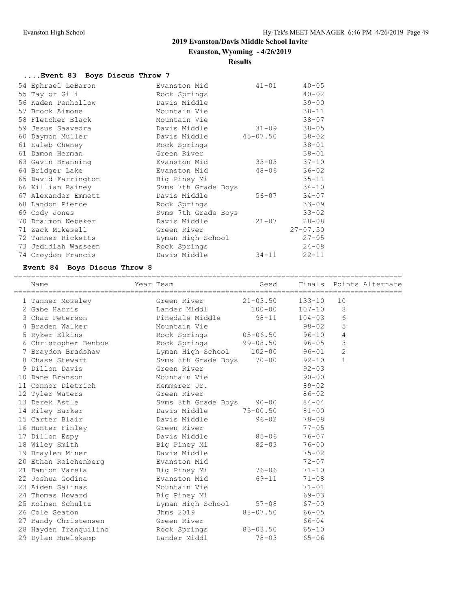**Evanston, Wyoming - 4/26/2019**

# **Results**

# **....Event 83 Boys Discus Throw 7**

|    | 54 Ephrael LeBaron  | Evanston Mid        | $41 - 01$ | $40 - 05$    |
|----|---------------------|---------------------|-----------|--------------|
|    | 55 Taylor Gili      | Rock Springs        |           | $40 - 02$    |
|    | 56 Kaden Penhollow  | Davis Middle        |           | $39 - 00$    |
|    | 57 Brock Aimone     | Mountain Vie        |           | $38 - 11$    |
|    | 58 Fletcher Black   | Mountain Vie        |           | $38 - 07$    |
|    | 59 Jesus Saavedra   | Davis Middle        | $31 - 09$ | $38 - 05$    |
|    | 60 Daymon Muller    | Davis Middle        | 45-07.50  | $38 - 02$    |
|    | 61 Kaleb Cheney     | Rock Springs        |           | $38 - 01$    |
|    | 61 Damon Herman     | Green River         |           | $38 - 01$    |
|    | 63 Gavin Branning   | Evanston Mid        | $33 - 03$ | $37 - 10$    |
|    | 64 Bridger Lake     | Evanston Mid        | $48 - 06$ | $36 - 02$    |
|    | 65 David Farrington | Big Piney Mi        |           | $35 - 11$    |
|    | 66 Killian Rainey   | Svms 7th Grade Boys |           | $34 - 10$    |
|    | 67 Alexander Emmett | Davis Middle        | $56 - 07$ | $34 - 07$    |
|    | 68 Landon Pierce    | Rock Springs        |           | $33 - 09$    |
|    | 69 Cody Jones       | Svms 7th Grade Boys |           | $33 - 02$    |
| 70 | Draimon Nebeker     | Davis Middle        | $21 - 07$ | $28 - 08$    |
|    | 71 Zack Mikesell    | Green River         |           | $27 - 07.50$ |
|    | 72 Tanner Ricketts  | Lyman High School   |           | $27 - 05$    |
|    | 73 Jedidiah Wasseen | Rock Springs        |           | $24 - 08$    |
|    | 74 Croydon Francis  | Davis Middle        | $34 - 11$ | $22 - 11$    |

# **Event 84 Boys Discus Throw 8**

| Name                  | Year Team                 | Seed         |            |                | Finals Points Alternate |
|-----------------------|---------------------------|--------------|------------|----------------|-------------------------|
| 1 Tanner Moseley      | Green River               | $21 - 03.50$ | 133-10     | 10             |                         |
| 2 Gabe Harris         | Lander Middl              | $100 - 00$   | $107 - 10$ | 8              |                         |
| 3 Chaz Peterson       |                           |              | $104 - 03$ | 6              |                         |
| 4 Braden Walker       | Mountain Vie              |              | $98 - 02$  | 5              |                         |
| 5 Ryker Elkins        | Rock Springs 05-06.50     |              | $96 - 10$  | 4              |                         |
| 6 Christopher Benboe  | Rock Springs 99-08.50     |              | $96 - 05$  | 3              |                         |
| 7 Braydon Bradshaw    | Lyman High School 102-00  |              | $96 - 01$  | $\overline{2}$ |                         |
| 8 Chase Stewart       | Svms 8th Grade Boys 70-00 |              | $92 - 10$  | $\mathbf{1}$   |                         |
| 9 Dillon Davis        | Green River               |              | $92 - 03$  |                |                         |
| 10 Dane Branson       | Mountain Vie              |              | $90 - 00$  |                |                         |
| 11 Connor Dietrich    | Kemmerer Jr.              |              | $89 - 02$  |                |                         |
| 12 Tyler Waters       | Green River               |              | $86 - 02$  |                |                         |
| 13 Derek Astle        | Svms 8th Grade Boys 90-00 |              | $84 - 04$  |                |                         |
| 14 Riley Barker       | Davis Middle              | 75-00.50     | $81 - 00$  |                |                         |
| 15 Carter Blair       | Davis Middle              | 96-02        | $78 - 08$  |                |                         |
| 16 Hunter Finley      | Green River               |              | $77 - 05$  |                |                         |
| 17 Dillon Espy        | Davis Middle              | $85 - 06$    | $76 - 07$  |                |                         |
| 18 Wiley Smith        | Big Piney Mi              | $82 - 03$    | $76 - 00$  |                |                         |
| 19 Braylen Miner      | Davis Middle              |              | $75 - 02$  |                |                         |
| 20 Ethan Reichenberg  | Evanston Mid              |              | $72 - 07$  |                |                         |
| 21 Damion Varela      | Big Piney Mi              | 76-06        | $71 - 10$  |                |                         |
| 22 Joshua Godina      | Evanston Mid              | 69-11        | $71 - 08$  |                |                         |
| 23 Aiden Salinas      | Mountain Vie              |              | $71 - 01$  |                |                         |
| 24 Thomas Howard      | Big Piney Mi              |              | $69 - 03$  |                |                         |
| 25 Kolmen Schultz     | Lyman High School 57-08   |              | $67 - 00$  |                |                         |
| 26 Cole Seaton        | Jhms 2019                 | 88-07.50     | $66 - 05$  |                |                         |
| 27 Randy Christensen  | Green River               |              | 66-04      |                |                         |
| 28 Hayden Tranquilino | Rock Springs              | 83-03.50     | $65 - 10$  |                |                         |
| 29 Dylan Huelskamp    | Lander Middl              | $78 - 03$    | $65 - 06$  |                |                         |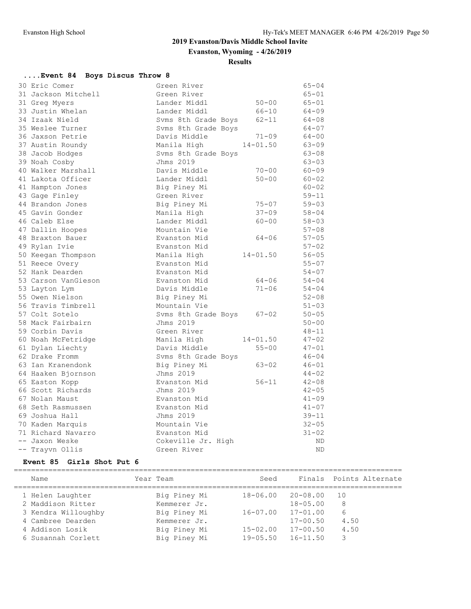**Evanston, Wyoming - 4/26/2019**

# **Results**

# **....Event 84 Boys Discus Throw 8**

| 30 Eric Comer       | Green River         |              | $65 - 04$ |
|---------------------|---------------------|--------------|-----------|
| 31 Jackson Mitchell | Green River         |              | $65 - 01$ |
| 31 Greg Myers       | Lander Middl        | $50 - 00$    | $65 - 01$ |
| 33 Justin Whelan    | Lander Middl        | 66-10        | $64 - 09$ |
| 34 Izaak Nield      | Syms 8th Grade Boys | $62 - 11$    | $64 - 08$ |
| 35 Weslee Turner    | Svms 8th Grade Boys |              | $64 - 07$ |
| 36 Jaxson Petrie    | Davis Middle        | $71 - 09$    | $64 - 00$ |
| 37 Austin Roundy    | Manila High         | $14 - 01.50$ | $63 - 09$ |
| 38 Jacob Hodges     | Svms 8th Grade Boys |              | $63 - 08$ |
| 39 Noah Cosby       | Jhms 2019           |              | $63 - 03$ |
| 40 Walker Marshall  | Davis Middle        | $70 - 00$    | $60 - 09$ |
| 41 Lakota Officer   | Lander Middl        | $50 - 00$    | $60 - 02$ |
| 41 Hampton Jones    | Big Piney Mi        |              | $60 - 02$ |
| 43 Gage Finley      | Green River         |              | $59 - 11$ |
| 44 Brandon Jones    | Big Piney Mi        | $75 - 07$    | $59 - 03$ |
| 45 Gavin Gonder     | Manila High         | $37 - 09$    | $58 - 04$ |
| 46 Caleb Else       | Lander Middl        | $60 - 00$    | $58 - 03$ |
| 47 Dallin Hoopes    | Mountain Vie        |              | $57 - 08$ |
| 48 Braxton Bauer    | Evanston Mid        | $64 - 06$    | $57 - 05$ |
| 49 Rylan Ivie       | Evanston Mid        |              | $57 - 02$ |
| 50 Keegan Thompson  | Manila High         | $14 - 01.50$ | $56 - 05$ |
| 51 Reece Overy      | Evanston Mid        |              | $55 - 07$ |
| 52 Hank Dearden     | Evanston Mid        |              | $54 - 07$ |
| 53 Carson VanGieson | Evanston Mid        | 64-06        | $54 - 04$ |
| 53 Layton Lym       | Davis Middle        | $71 - 06$    | $54 - 04$ |
| 55 Owen Nielson     | Big Piney Mi        |              | $52 - 08$ |
| 56 Travis Timbrell  | Mountain Vie        |              | $51 - 03$ |
| 57 Colt Sotelo      | Svms 8th Grade Boys | $67 - 02$    | $50 - 05$ |
| 58 Mack Fairbairn   | Jhms 2019           |              | $50 - 00$ |
| 59 Corbin Davis     | Green River         |              | $48 - 11$ |
| 60 Noah McFetridge  | Manila High         | $14 - 01.50$ | $47 - 02$ |
| 61 Dylan Liechty    | Davis Middle        | $55 - 00$    | $47 - 01$ |
| 62 Drake Fromm      | Syms 8th Grade Boys |              | $46 - 04$ |
| 63 Ian Kranendonk   | Big Piney Mi        | $63 - 02$    | $46 - 01$ |
| 64 Haaken Bjornson  | Jhms 2019           |              | $44 - 02$ |
| 65 Easton Kopp      | Evanston Mid        | $56 - 11$    | $42 - 08$ |
| 66 Scott Richards   | Jhms 2019           |              | $42 - 05$ |
| 67 Nolan Maust      | Evanston Mid        |              | $41 - 09$ |
| 68 Seth Rasmussen   | Evanston Mid        |              | $41 - 07$ |
| 69 Joshua Hall      | Jhms 2019           |              | $39 - 11$ |
| 70 Kaden Marquis    | Mountain Vie        |              | $32 - 05$ |
| 71 Richard Navarro  | Evanston Mid        |              | $31 - 02$ |
| -- Jaxon Weske      | Cokeville Jr. High  |              | ND.       |
| -- Trayvn Ollis     | Green River         |              | <b>ND</b> |

#### **Event 85 Girls Shot Put 6**

| Name                | Year Team    | Seed         | Finals       | Points Alternate |
|---------------------|--------------|--------------|--------------|------------------|
| 1 Helen Laughter    | Big Piney Mi | $18 - 06.00$ | $20 - 08.00$ | 10               |
| 2 Maddison Ritter   | Kemmerer Jr. |              | $18 - 05.00$ | 8                |
| 3 Kendra Willoughby | Big Piney Mi | $16 - 07.00$ | $17 - 01.00$ | 6                |
| 4 Cambree Dearden   | Kemmerer Jr. |              | $17 - 00.50$ | 4.50             |
| 4 Addison Losik     | Big Piney Mi | $15 - 02.00$ | $17 - 00.50$ | 4.50             |
| 6 Susannah Corlett  | Big Piney Mi | $19 - 05.50$ | $16 - 11.50$ |                  |
|                     |              |              |              |                  |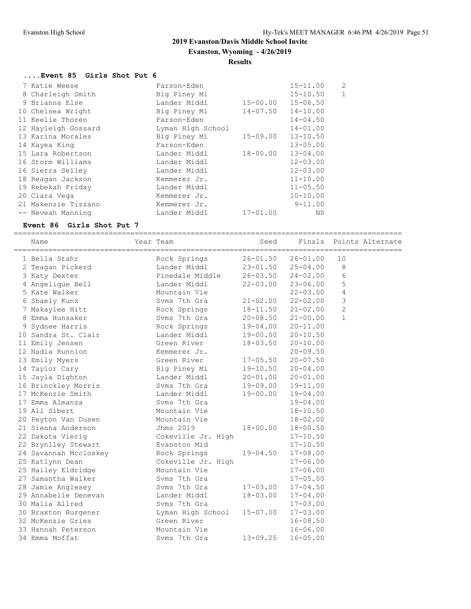**Evanston, Wyoming - 4/26/2019**

#### **Results**

#### **....Event 85 Girls Shot Put 6**

| Farson-Eden       |              | $15 - 11.00$ | $\overline{2}$           |
|-------------------|--------------|--------------|--------------------------|
| Big Piney Mi      |              | $15 - 10.50$ | $\mathbf{1}$             |
| Lander Middl      |              | $15 - 06.50$ |                          |
| Big Piney Mi      |              | $14 - 10.00$ |                          |
| Farson-Eden       |              | $14 - 04.50$ |                          |
| Lyman High School |              | $14 - 01.00$ |                          |
| Big Piney Mi      | 15-09.00     | $13 - 10.50$ |                          |
| Farson-Eden       |              | $13 - 05.00$ |                          |
| Lander Middl      | 18-00.00     | $13 - 04.00$ |                          |
| Lander Middl      |              | $12 - 03.00$ |                          |
| Lander Middl      |              | $12 - 03.00$ |                          |
| Kemmerer Jr.      |              | $11 - 10.00$ |                          |
| Lander Middl      |              | $11 - 05.50$ |                          |
| Kemmerer Jr.      |              | $10 - 10.00$ |                          |
| Kemmerer Jr.      |              | $9 - 11.00$  |                          |
| Lander Middl      | $17 - 01.00$ | ND           |                          |
|                   |              |              | 15-00.00<br>$14 - 07.50$ |

#### **Event 86 Girls Shot Put 7**

========================================================================================== Name Year Team Seed Finals Points Alternate ========================================================================================== 1 Bella Stahr Rock Springs 26-01.50 26-01.00 10 2 Teagan Pickerd Lander Middl 23-01.50 25-04.00 8 3 Katy Dexter Pinedale Middle 26-03.50 24-02.00 6 4 Angelique Bell Lander Middl 22-03.00 23-06.00 5 5 Kate Walker Mountain Vie 22-03.00 4 6 Shaely Kunz Svms 7th Gra 21-02.00 22-02.00 3 7 Makaylee Hitt Rock Springs 18-11.50 21-02.00 2 8 Emma Hunsaker Svms 7th Gra 20-08.50 21-00.00 1 9 Sydnee Harris Rock Springs 19-04.00 20-11.00 10 Sandra St. Clair Lander Middl 19-00.00 20-10.50 11 Emily Jensen Green River 18-03.50 20-10.00 12 Nadia Runnion Kemmerer Jr. 20-09.50 13 Emily Myers Green River 17-05.50 20-07.50 14 Taylor Cary Big Piney Mi 19-10.50 20-04.00 15 Jayla Dighton Lander Middl 20-01.00 20-01.00 16 Brinckley Morris Svms 7th Gra 19-09.00 19-11.00 17 McKenzie Smith Lander Middl 19-00.00 19-04.00 17 Emma Almanza Svms 7th Gra 19-04.00 19 Ali Sibert Mountain Vie 18-10.50 20 Peyton Van Dusen Mountain Vie 18-02.00 21 Sienna Anderson Jhms 2019 18-00.00 18-00.50 22 Dakota Vierig Cokeville Jr. High 17-10.50 22 Brynlley Stewart Evanston Mid 17-10.50 24 Savannah Mccloskey Rock Springs 19-04.50 17-08.00 25 Katlynn Dean Cokeville Jr. High 17-06.00 25 Hailey Eldridge Mountain Vie 17-06.00 27 Samantha Walker Svms 7th Gra 17-05.00 28 Jamie Anglesey Svms 7th Gra 17-03.00 17-04.50 29 Annabelle Denevan Lander Middl 18-03.00 17-04.00 30 Malia Allred Svms 7th Gra 17-03.00 30 Braxton Burgener Lyman High School 15-07.00 17-03.00 32 McKenzie Gries Green River 16-08.50 33 Hannah Peterson Mountain Vie 16-06.00 34 Emma Moffat Svms 7th Gra 13-09.25 16-05.00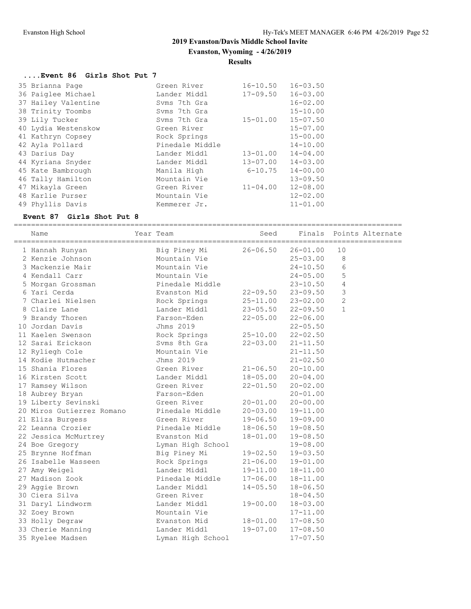**Evanston, Wyoming - 4/26/2019**

#### **Results**

# **....Event 86 Girls Shot Put 7**

| 35 Brianna Page     | Green River     | $16 - 10.50$ | $16 - 03.50$ |
|---------------------|-----------------|--------------|--------------|
| 36 Paiglee Michael  | Lander Middl    | $17 - 09.50$ | $16 - 03.00$ |
| 37 Hailey Valentine | Syms 7th Gra    |              | $16 - 02.00$ |
| 38 Trinity Toombs   | Syms 7th Gra    |              | $15 - 10.00$ |
| 39 Lily Tucker      | Syms 7th Gra    | $15 - 01.00$ | $15 - 07.50$ |
| 40 Lydia Westenskow | Green River     |              | $15 - 07.00$ |
| 41 Kathryn Copsey   | Rock Springs    |              | $15 - 00.00$ |
| 42 Ayla Pollard     | Pinedale Middle |              | $14 - 10.00$ |
| 43 Darius Day       | Lander Middl    | $13 - 01.00$ | $14 - 04.00$ |
| 44 Kyriana Snyder   | Lander Middl    | $13 - 07.00$ | $14 - 03.00$ |
| 45 Kate Bambrough   | Manila High     | $6 - 10.75$  | $14 - 00.00$ |
| 46 Tally Hamilton   | Mountain Vie    |              | $13 - 09.50$ |
| 47 Mikayla Green    | Green River     | $11 - 04.00$ | $12 - 08.00$ |
| 48 Karlie Purser    | Mountain Vie    |              | $12 - 02.00$ |
| 49 Phyllis Davis    | Kemmerer Jr.    |              | $11 - 01.00$ |

#### **Event 87 Girls Shot Put 8**

# ==========================================================================================

| Name                      | Year Team         | Seed         | Finals       | ---------      | Points Alternate<br>============= |
|---------------------------|-------------------|--------------|--------------|----------------|-----------------------------------|
| 1 Hannah Runyan           | Big Piney Mi      | $26 - 06.50$ | $26 - 01.00$ | 10             |                                   |
| 2 Kenzie Johnson          | Mountain Vie      |              | $25 - 03.00$ | 8              |                                   |
| 3 Mackenzie Mair          | Mountain Vie      |              | $24 - 10.50$ | 6              |                                   |
| 4 Kendall Carr            | Mountain Vie      |              | $24 - 05.00$ | 5              |                                   |
| 5 Morgan Grossman         | Pinedale Middle   |              | $23 - 10.50$ | 4              |                                   |
| 6 Yari Cerda              | Evanston Mid      | $22 - 09.50$ | $23 - 09.50$ | 3              |                                   |
| 7 Charlei Nielsen         | Rock Springs      | $25 - 11.00$ | $23 - 02.00$ | $\overline{2}$ |                                   |
| 8 Claire Lane             | Lander Middl      | $23 - 05.50$ | $22 - 09.50$ | $\mathbf{1}$   |                                   |
| 9 Brandy Thoren           | Farson-Eden       | $22 - 05.00$ | $22 - 06.00$ |                |                                   |
| 10 Jordan Davis           | Jhms 2019         |              | $22 - 05.50$ |                |                                   |
| 11 Kaelen Swenson         | Rock Springs      | $25 - 10.00$ | $22 - 02.50$ |                |                                   |
| 12 Sarai Erickson         | Syms 8th Gra      | $22 - 03.00$ | $21 - 11.50$ |                |                                   |
| 12 Ryliegh Cole           | Mountain Vie      |              | $21 - 11.50$ |                |                                   |
| 14 Kodie Hutmacher        | Jhms 2019         |              | $21 - 02.50$ |                |                                   |
| 15 Shania Flores          | Green River       | $21 - 06.50$ | $20 - 10.00$ |                |                                   |
| 16 Kirsten Scott          | Lander Middl      | 18-05.00     | $20 - 04.00$ |                |                                   |
| 17 Ramsey Wilson          | Green River       | $22 - 01.50$ | $20 - 02.00$ |                |                                   |
| 18 Aubrey Bryan           | Farson-Eden       |              | $20 - 01.00$ |                |                                   |
| 19 Liberty Sevinski       | Green River       | 20-01.00     | $20 - 00.00$ |                |                                   |
| 20 Miros Gutierrez Romano | Pinedale Middle   | $20 - 03.00$ | 19-11.00     |                |                                   |
| 21 Eliza Burgess          | Green River       | 19-06.50     | $19 - 09.00$ |                |                                   |
| 22 Leanna Crozier         | Pinedale Middle   | 18-06.50     | $19 - 08.50$ |                |                                   |
| 22 Jessica McMurtrey      | Evanston Mid      | $18 - 01.00$ | $19 - 08.50$ |                |                                   |
| 24 Boe Gregory            | Lyman High School |              | $19 - 08.00$ |                |                                   |
| 25 Brynne Hoffman         | Big Piney Mi      | 19-02.50     | $19 - 03.50$ |                |                                   |
| 26 Isabelle Wasseen       | Rock Springs      | $21 - 06.00$ | $19 - 01.00$ |                |                                   |
| 27 Amy Weigel             | Lander Middl      | 19-11.00     | $18 - 11.00$ |                |                                   |
| 27 Madison Zook           | Pinedale Middle   | 17-06.00     | $18 - 11.00$ |                |                                   |
| 29 Aggie Brown            | Lander Middl      | $14 - 05.50$ | $18 - 06.50$ |                |                                   |
| 30 Ciera Silva            | Green River       |              | $18 - 04.50$ |                |                                   |
| 31 Daryl Lindworm         | Lander Middl      | $19 - 00.00$ | $18 - 03.00$ |                |                                   |
| 32 Zoey Brown             | Mountain Vie      |              | $17 - 11.00$ |                |                                   |
| 33 Holly Degraw           | Evanston Mid      | $18 - 01.00$ | $17 - 08.50$ |                |                                   |
| 33 Cherie Manning         | Lander Middl      | $19 - 07.00$ | $17 - 08.50$ |                |                                   |
| 35 Ryelee Madsen          | Lyman High School |              | $17 - 07.50$ |                |                                   |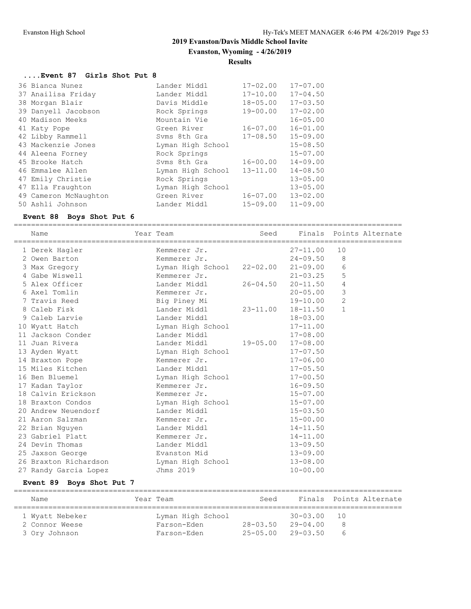# **2019 Evanston/Davis Middle School Invite Evanston, Wyoming - 4/26/2019**

#### **Results**

# **....Event 87 Girls Shot Put 8**

| 36 Bianca Nunez       | Lander Middl      | $17 - 02.00$ | $17 - 07.00$ |
|-----------------------|-------------------|--------------|--------------|
| 37 Anailisa Friday    | Lander Middl      | $17 - 10.00$ | $17 - 04.50$ |
| 38 Morgan Blair       | Davis Middle      | $18 - 05.00$ | $17 - 03.50$ |
| 39 Danyell Jacobson   | Rock Springs      | $19 - 00.00$ | $17 - 02.00$ |
| 40 Madison Meeks      | Mountain Vie      |              | $16 - 05.00$ |
| 41 Katy Pope          | Green River       | $16 - 07.00$ | $16 - 01.00$ |
| 42 Libby Rammell      | Syms 8th Gra      | $17 - 08.50$ | $15 - 09.00$ |
| 43 Mackenzie Jones    | Lyman High School |              | $15 - 08.50$ |
| 44 Aleena Forney      | Rock Springs      |              | $15 - 07.00$ |
| 45 Brooke Hatch       | Syms 8th Gra      | $16 - 00.00$ | $14 - 09.00$ |
| 46 Emmalee Allen      | Lyman High School | $13 - 11.00$ | $14 - 08.50$ |
| 47 Emily Christie     | Rock Springs      |              | $13 - 05.00$ |
| 47 Ella Fraughton     | Lyman High School |              | $13 - 05.00$ |
| 49 Cameron McNaughton | Green River       | $16 - 07.00$ | $13 - 02.00$ |
| 50 Ashli Johnson      | Lander Middl      | $15 - 09.00$ | $11 - 09.00$ |

#### **Event 88 Boys Shot Put 6**

==========================================================================================

| Name |                                                                                                                                                                                                                                                                                                                                                                                                                                                                                                                                       |              | Seed                                                                                                                                                                                                                                                                      |                                                                                                       |                                                        |                                                                                     |
|------|---------------------------------------------------------------------------------------------------------------------------------------------------------------------------------------------------------------------------------------------------------------------------------------------------------------------------------------------------------------------------------------------------------------------------------------------------------------------------------------------------------------------------------------|--------------|---------------------------------------------------------------------------------------------------------------------------------------------------------------------------------------------------------------------------------------------------------------------------|-------------------------------------------------------------------------------------------------------|--------------------------------------------------------|-------------------------------------------------------------------------------------|
|      |                                                                                                                                                                                                                                                                                                                                                                                                                                                                                                                                       | Kemmerer Jr. |                                                                                                                                                                                                                                                                           | $27 - 11.00$                                                                                          | 10                                                     |                                                                                     |
|      |                                                                                                                                                                                                                                                                                                                                                                                                                                                                                                                                       | Kemmerer Jr. |                                                                                                                                                                                                                                                                           | $24 - 09.50$                                                                                          | 8                                                      |                                                                                     |
|      |                                                                                                                                                                                                                                                                                                                                                                                                                                                                                                                                       |              |                                                                                                                                                                                                                                                                           |                                                                                                       | 6                                                      |                                                                                     |
|      |                                                                                                                                                                                                                                                                                                                                                                                                                                                                                                                                       |              |                                                                                                                                                                                                                                                                           |                                                                                                       | 5                                                      |                                                                                     |
|      |                                                                                                                                                                                                                                                                                                                                                                                                                                                                                                                                       |              |                                                                                                                                                                                                                                                                           | $20 - 11.50$                                                                                          | 4                                                      |                                                                                     |
|      |                                                                                                                                                                                                                                                                                                                                                                                                                                                                                                                                       |              |                                                                                                                                                                                                                                                                           |                                                                                                       | 3                                                      |                                                                                     |
|      |                                                                                                                                                                                                                                                                                                                                                                                                                                                                                                                                       |              |                                                                                                                                                                                                                                                                           |                                                                                                       | $\overline{c}$                                         |                                                                                     |
|      |                                                                                                                                                                                                                                                                                                                                                                                                                                                                                                                                       | Lander Middl | $23 - 11.00$                                                                                                                                                                                                                                                              | $18 - 11.50$                                                                                          | $\mathbf{1}$                                           |                                                                                     |
|      |                                                                                                                                                                                                                                                                                                                                                                                                                                                                                                                                       |              |                                                                                                                                                                                                                                                                           | $18 - 03.00$                                                                                          |                                                        |                                                                                     |
|      |                                                                                                                                                                                                                                                                                                                                                                                                                                                                                                                                       |              |                                                                                                                                                                                                                                                                           | $17 - 11.00$                                                                                          |                                                        |                                                                                     |
|      |                                                                                                                                                                                                                                                                                                                                                                                                                                                                                                                                       |              |                                                                                                                                                                                                                                                                           | $17 - 08.00$                                                                                          |                                                        |                                                                                     |
|      |                                                                                                                                                                                                                                                                                                                                                                                                                                                                                                                                       |              |                                                                                                                                                                                                                                                                           | $17 - 08.00$                                                                                          |                                                        |                                                                                     |
|      |                                                                                                                                                                                                                                                                                                                                                                                                                                                                                                                                       |              |                                                                                                                                                                                                                                                                           | $17 - 07.50$                                                                                          |                                                        |                                                                                     |
|      |                                                                                                                                                                                                                                                                                                                                                                                                                                                                                                                                       |              |                                                                                                                                                                                                                                                                           | $17 - 06.00$                                                                                          |                                                        |                                                                                     |
|      |                                                                                                                                                                                                                                                                                                                                                                                                                                                                                                                                       | Lander Middl |                                                                                                                                                                                                                                                                           | $17 - 05.50$                                                                                          |                                                        |                                                                                     |
|      |                                                                                                                                                                                                                                                                                                                                                                                                                                                                                                                                       |              |                                                                                                                                                                                                                                                                           | $17 - 00.50$                                                                                          |                                                        |                                                                                     |
|      |                                                                                                                                                                                                                                                                                                                                                                                                                                                                                                                                       |              |                                                                                                                                                                                                                                                                           | $16 - 09.50$                                                                                          |                                                        |                                                                                     |
|      |                                                                                                                                                                                                                                                                                                                                                                                                                                                                                                                                       |              |                                                                                                                                                                                                                                                                           | $15 - 07.00$                                                                                          |                                                        |                                                                                     |
|      |                                                                                                                                                                                                                                                                                                                                                                                                                                                                                                                                       |              |                                                                                                                                                                                                                                                                           | $15 - 07.00$                                                                                          |                                                        |                                                                                     |
|      |                                                                                                                                                                                                                                                                                                                                                                                                                                                                                                                                       |              |                                                                                                                                                                                                                                                                           | $15 - 03.50$                                                                                          |                                                        |                                                                                     |
|      |                                                                                                                                                                                                                                                                                                                                                                                                                                                                                                                                       |              |                                                                                                                                                                                                                                                                           | $15 - 00.00$                                                                                          |                                                        |                                                                                     |
|      |                                                                                                                                                                                                                                                                                                                                                                                                                                                                                                                                       |              |                                                                                                                                                                                                                                                                           | $14 - 11.50$                                                                                          |                                                        |                                                                                     |
|      |                                                                                                                                                                                                                                                                                                                                                                                                                                                                                                                                       |              |                                                                                                                                                                                                                                                                           | $14 - 11.00$                                                                                          |                                                        |                                                                                     |
|      |                                                                                                                                                                                                                                                                                                                                                                                                                                                                                                                                       |              |                                                                                                                                                                                                                                                                           | $13 - 09.50$                                                                                          |                                                        |                                                                                     |
|      |                                                                                                                                                                                                                                                                                                                                                                                                                                                                                                                                       |              |                                                                                                                                                                                                                                                                           | $13 - 09.00$                                                                                          |                                                        |                                                                                     |
|      |                                                                                                                                                                                                                                                                                                                                                                                                                                                                                                                                       |              |                                                                                                                                                                                                                                                                           | $13 - 08.00$                                                                                          |                                                        |                                                                                     |
|      |                                                                                                                                                                                                                                                                                                                                                                                                                                                                                                                                       | Jhms 2019    |                                                                                                                                                                                                                                                                           | $10 - 00.00$                                                                                          |                                                        |                                                                                     |
|      | 1 Derek Hagler<br>2 Owen Barton<br>3 Max Gregory<br>4 Gabe Wiswell<br>5 Alex Officer<br>6 Axel Tomlin<br>7 Travis Reed<br>8 Caleb Fisk<br>9 Caleb Larvie<br>10 Wyatt Hatch<br>11 Jackson Conder<br>11 Juan Rivera<br>13 Ayden Wyatt<br>14 Braxton Pope<br>15 Miles Kitchen<br>16 Ben Bluemel<br>17 Kadan Taylor<br>18 Calvin Erickson<br>18 Braxton Condos<br>20 Andrew Neuendorf<br>21 Aaron Salzman<br>22 Brian Nguyen<br>23 Gabriel Platt<br>24 Devin Thomas<br>25 Jaxson George<br>26 Braxton Richardson<br>27 Randy Garcia Lopez |              | Year Team<br>Kemmerer Jr.<br>Lander Middl<br>Kemmerer Jr.<br>Big Piney Mi<br>Lander Middl<br>Lander Middl<br>Lander Middl<br>Kemmerer Jr.<br>Kemmerer Jr.<br>Kemmerer Jr.<br>Lander Middl<br>Kemmerer Jr.<br>Lander Middl<br>Kemmerer Jr.<br>Lander Middl<br>Evanston Mid | Lyman High School<br>Lyman High School<br>Lyman High School<br>Lyman High School<br>Lyman High School | Lyman High School 22-02.00<br>$26 - 04.50$<br>19-05.00 | Finals Points Alternate<br>$21 - 09.00$<br>$21 - 03.25$<br>$20 - 05.00$<br>19-10.00 |

# **Event 89 Boys Shot Put 7**

| Name            | Year Team         | Seed         |              | Finals Points Alternate |
|-----------------|-------------------|--------------|--------------|-------------------------|
| 1 Wyatt Nebeker | Lyman High School |              | $30 - 03.00$ | - 10                    |
| 2 Connor Weese  | Farson-Eden       | $28 - 03.50$ | $29 - 04.00$ |                         |
| 3 Ory Johnson   | Farson-Eden       | $25 - 05.00$ | $29 - 03.50$ | b                       |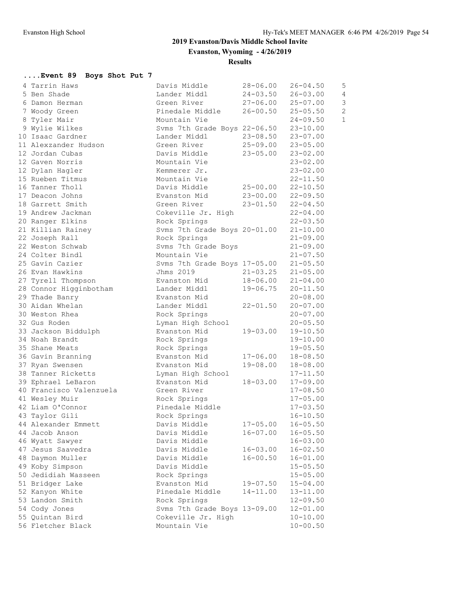# **2019 Evanston/Davis Middle School Invite Evanston, Wyoming - 4/26/2019**

**Results**

# **....Event 89 Boys Shot Put 7**

| 4 Tarrin Haws           | Davis Middle                 | $28 - 06.00$ | $26 - 04.50$ | 5              |
|-------------------------|------------------------------|--------------|--------------|----------------|
| 5 Ben Shade             | Lander Middl                 | $24 - 03.50$ | $26 - 03.00$ | $\sqrt{4}$     |
| 6 Damon Herman          | Green River                  | $27 - 06.00$ | $25 - 07.00$ | 3              |
| 7 Woody Green           | Pinedale Middle              | $26 - 00.50$ | $25 - 05.50$ | $\overline{c}$ |
| 8 Tyler Mair            | Mountain Vie                 |              | $24 - 09.50$ | $\mathbf{1}$   |
| 9 Wylie Wilkes          | Svms 7th Grade Boys 22-06.50 |              | $23 - 10.00$ |                |
| 10 Isaac Gardner        | Lander Middl                 | $23 - 08.50$ | $23 - 07.00$ |                |
| 11 Alexzander Hudson    | Green River                  | $25 - 09.00$ | $23 - 05.00$ |                |
| 12 Jordan Cubas         | Davis Middle                 | $23 - 05.00$ | $23 - 02.00$ |                |
| 12 Gaven Norris         | Mountain Vie                 |              | $23 - 02.00$ |                |
| 12 Dylan Hagler         | Kemmerer Jr.                 |              | $23 - 02.00$ |                |
| 15 Rueben Titmus        | Mountain Vie                 |              | $22 - 11.50$ |                |
| 16 Tanner Tholl         | Davis Middle                 | $25 - 00.00$ | $22 - 10.50$ |                |
| 17 Deacon Johns         | Evanston Mid                 | $23 - 00.00$ | $22 - 09.50$ |                |
| 18 Garrett Smith        | Green River                  | $23 - 01.50$ | $22 - 04.50$ |                |
| 19 Andrew Jackman       | Cokeville Jr. High           |              | $22 - 04.00$ |                |
| 20 Ranger Elkins        | Rock Springs                 |              | $22 - 03.50$ |                |
| 21 Killian Rainey       | Svms 7th Grade Boys 20-01.00 |              | $21 - 10.00$ |                |
| 22 Joseph Rall          | Rock Springs                 |              | $21 - 09.00$ |                |
| 22 Weston Schwab        | Svms 7th Grade Boys          |              | $21 - 09.00$ |                |
| 24 Colter Bindl         | Mountain Vie                 |              | $21 - 07.50$ |                |
| 25 Gavin Cazier         | Svms 7th Grade Boys 17-05.00 |              | $21 - 05.50$ |                |
| 26 Evan Hawkins         | Jhms 2019                    | $21 - 03.25$ | $21 - 05.00$ |                |
| 27 Tyrell Thompson      | Evanston Mid                 | 18-06.00     | $21 - 04.00$ |                |
| 28 Connor Higginbotham  | Lander Middl                 | $19 - 06.75$ | $20 - 11.50$ |                |
| 29 Thade Banry          | Evanston Mid                 |              | $20 - 08.00$ |                |
| 30 Aidan Whelan         | Lander Middl                 | $22 - 01.50$ | $20 - 07.00$ |                |
| 30 Weston Rhea          | Rock Springs                 |              | $20 - 07.00$ |                |
| 32 Gus Roden            | Lyman High School            |              | $20 - 05.50$ |                |
| 33 Jackson Biddulph     | Evanston Mid                 | $19 - 03.00$ | $19 - 10.50$ |                |
| 34 Noah Brandt          | Rock Springs                 |              | $19 - 10.00$ |                |
| 35 Shane Meats          | Rock Springs                 |              | $19 - 05.50$ |                |
| 36 Gavin Branning       | Evanston Mid                 | 17-06.00     | $18 - 08.50$ |                |
| 37 Ryan Swensen         | Evanston Mid                 | $19 - 08.00$ | $18 - 08.00$ |                |
| 38 Tanner Ricketts      | Lyman High School            |              | $17 - 11.50$ |                |
| 39 Ephrael LeBaron      | Evanston Mid                 | 18-03.00     | $17 - 09.00$ |                |
| 40 Francisco Valenzuela | Green River                  |              | $17 - 08.50$ |                |
| 41 Wesley Muir          | Rock Springs                 |              | $17 - 05.00$ |                |
| 42 Liam O'Connor        | Pinedale Middle              |              | $17 - 03.50$ |                |
| 43 Taylor Gili          | Rock Springs                 |              | $16 - 10.50$ |                |
| 44 Alexander Emmett     | Davis Middle                 | $17 - 05.00$ | $16 - 05.50$ |                |
| 44 Jacob Anson          | Davis Middle                 | $16 - 07.00$ | $16 - 05.50$ |                |
| 46 Wyatt Sawyer         | Davis Middle                 |              | $16 - 03.00$ |                |
| 47 Jesus Saavedra       | Davis Middle                 | $16 - 03.00$ | $16 - 02.50$ |                |
| 48 Daymon Muller        | Davis Middle                 | $16 - 00.50$ | $16 - 01.00$ |                |
| 49 Koby Simpson         | Davis Middle                 |              | $15 - 05.50$ |                |
| 50 Jedidiah Wasseen     | Rock Springs                 |              | $15 - 05.00$ |                |
| 51 Bridger Lake         | Evanston Mid                 | $19 - 07.50$ | $15 - 04.00$ |                |
| 52 Kanyon White         | Pinedale Middle              | 14-11.00     | $13 - 11.00$ |                |
| 53 Landon Smith         | Rock Springs                 |              | $12 - 09.50$ |                |
| 54 Cody Jones           | Svms 7th Grade Boys 13-09.00 |              | $12 - 01.00$ |                |
| 55 Quintan Bird         | Cokeville Jr. High           |              | $10 - 10.00$ |                |
| 56 Fletcher Black       | Mountain Vie                 |              | $10 - 00.50$ |                |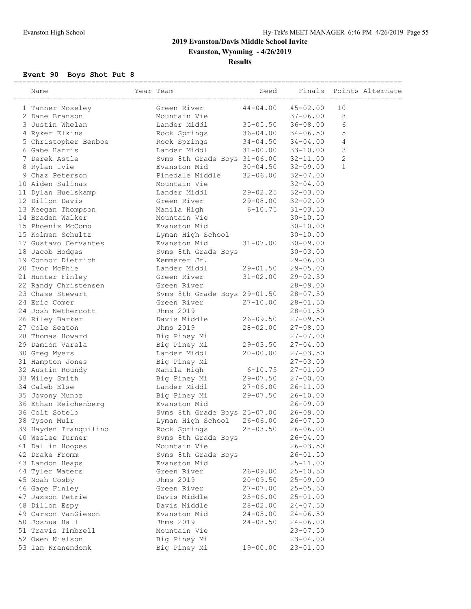**Evanston, Wyoming - 4/26/2019**

# **Results**

# **Event 90 Boys Shot Put 8**

| ___________________________<br>Name | Year Team                             | Seed         | Finals                    | Points Alternate |
|-------------------------------------|---------------------------------------|--------------|---------------------------|------------------|
| 1 Tanner Moseley                    | Green River                           | $44 - 04.00$ | $45 - 02.00$              | 10               |
| 2 Dane Branson                      | Mountain Vie                          |              | $37 - 06.00$              | 8                |
| 3 Justin Whelan                     | Lander Middl                          | $35 - 05.50$ | $36 - 08.00$              | 6                |
| 4 Ryker Elkins                      | Rock Springs                          |              | $36 - 04.00$ $34 - 06.50$ | 5                |
| 5 Christopher Benboe                | Rock Springs                          |              | $34 - 04.50$ $34 - 04.00$ | 4                |
| 6 Gabe Harris                       | Lander Middl                          |              | $31 - 00.00$ $33 - 10.00$ | 3                |
| 7 Derek Astle                       | Svms 8th Grade Boys 31-06.00 32-11.00 |              |                           | $\mathbf{2}$     |
| 8 Rylan Ivie                        | Evanston Mid                          |              | $30 - 04.50$ $32 - 09.00$ | $\mathbf{1}$     |
| 9 Chaz Peterson                     | Pinedale Middle                       | $32 - 06.00$ | $32 - 07.00$              |                  |
| 10 Aiden Salinas                    | Mountain Vie                          |              | $32 - 04.00$              |                  |
| 11 Dylan Huelskamp                  | Lander Middl                          |              | 29-02.25 32-03.00         |                  |
| 12 Dillon Davis                     | Green River                           | 29-08.00     | $32 - 02.00$              |                  |
| 13 Keegan Thompson                  | Manila High                           | $6 - 10.75$  | $31 - 03.50$              |                  |
| 14 Braden Walker                    | Mountain Vie                          |              | $30 - 10.50$              |                  |
| 15 Phoenix McComb                   | Evanston Mid                          |              | $30 - 10.00$              |                  |
| 15 Kolmen Schultz                   | Lyman High School                     |              | $30 - 10.00$              |                  |
| 17 Gustavo Cervantes                | Evanston Mid                          | 31-07.00     | $30 - 09.00$              |                  |
| 18 Jacob Hodges                     | Svms 8th Grade Boys                   |              | $30 - 03.00$              |                  |
| 19 Connor Dietrich                  | Kemmerer Jr.                          |              | $29 - 06.00$              |                  |
| 20 Ivor McPhie                      | Lander Middl                          | 29-01.50     | $29 - 05.00$              |                  |
| 21 Hunter Finley                    | Green River                           | $31 - 02.00$ | $29 - 02.50$              |                  |
| 22 Randy Christensen                | Green River                           |              | $28 - 09.00$              |                  |
| 23 Chase Stewart                    | Svms 8th Grade Boys 29-01.50          |              | $28 - 07.50$              |                  |
| 24 Eric Comer                       | Green River                           | $27 - 10.00$ | $28 - 01.50$              |                  |
| 24 Josh Nethercott                  | Jhms 2019                             |              | $28 - 01.50$              |                  |
| 26 Riley Barker                     | Davis Middle                          | $26 - 09.50$ | $27 - 09.50$              |                  |
| 27 Cole Seaton                      | Jhms 2019                             | $28 - 02.00$ | $27 - 08.00$              |                  |
| 28 Thomas Howard                    | Big Piney Mi                          |              | $27 - 07.00$              |                  |
| 29 Damion Varela                    | Big Piney Mi                          | 29-03.50     | $27 - 04.00$              |                  |
| 30 Greg Myers                       | Lander Middl                          | $20 - 00.00$ | $27 - 03.50$              |                  |
| 31 Hampton Jones                    | Big Piney Mi                          |              | $27 - 03.00$              |                  |
| 32 Austin Roundy                    | Manila High                           | $6 - 10.75$  | $27 - 01.00$              |                  |
| 33 Wiley Smith                      | Big Piney Mi                          | $29 - 07.50$ | $27 - 00.00$              |                  |
| 34 Caleb Else                       | Lander Middl                          | $27 - 06.00$ | $26 - 11.00$              |                  |
| 35 Jovony Munoz                     | Big Piney Mi                          | 29-07.50     | $26 - 10.00$              |                  |
| 36 Ethan Reichenberg                | Evanston Mid                          |              | $26 - 09.00$              |                  |
| 36 Colt Sotelo                      | Svms 8th Grade Boys 25-07.00          |              | $26 - 09.00$              |                  |
| 38 Tyson Muir                       | Lyman High School                     | $26 - 06.00$ | 26-07.50                  |                  |
| 39 Hayden Tranquilino               | Rock Springs                          | $28 - 03.50$ | $26 - 06.00$              |                  |
| 40 Weslee Turner                    | Svms 8th Grade Boys                   |              | $26 - 04.00$              |                  |
| 41 Dallin Hoopes                    | Mountain Vie                          |              | $26 - 03.50$              |                  |
| 42 Drake Fromm                      | Svms 8th Grade Boys                   |              | $26 - 01.50$              |                  |
| 43 Landon Heaps                     | Evanston Mid                          |              | $25 - 11.00$              |                  |
| 44 Tyler Waters                     | Green River                           | $26 - 09.00$ | $25 - 10.50$              |                  |
| 45 Noah Cosby                       | Jhms 2019                             | $20 - 09.50$ | $25 - 09.00$              |                  |
| 46 Gage Finley                      | Green River                           | $27 - 07.00$ | $25 - 05.50$              |                  |
| 47 Jaxson Petrie                    | Davis Middle                          | $25 - 06.00$ | $25 - 01.00$              |                  |
| 48 Dillon Espy                      | Davis Middle                          | $28 - 02.00$ | $24 - 07.50$              |                  |
| 49 Carson VanGieson                 | Evanston Mid                          | $24 - 05.00$ | $24 - 06.50$              |                  |
| 50 Joshua Hall                      | Jhms 2019                             | $24 - 08.50$ | $24 - 06.00$              |                  |
| 51 Travis Timbrell                  | Mountain Vie                          |              | $23 - 07.50$              |                  |
| 52 Owen Nielson                     | Big Piney Mi                          |              | $23 - 04.00$              |                  |
| 53 Ian Kranendonk                   | Big Piney Mi                          | $19 - 00.00$ | $23 - 01.00$              |                  |